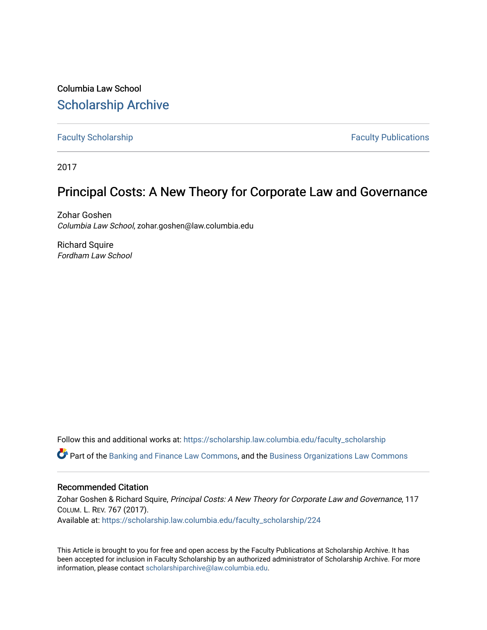Columbia Law School [Scholarship Archive](https://scholarship.law.columbia.edu/) 

[Faculty Scholarship](https://scholarship.law.columbia.edu/faculty_scholarship) **Faculty Scholarship Faculty Publications** 

2017

# Principal Costs: A New Theory for Corporate Law and Governance

Zohar Goshen Columbia Law School, zohar.goshen@law.columbia.edu

Richard Squire Fordham Law School

Follow this and additional works at: [https://scholarship.law.columbia.edu/faculty\\_scholarship](https://scholarship.law.columbia.edu/faculty_scholarship?utm_source=scholarship.law.columbia.edu%2Ffaculty_scholarship%2F224&utm_medium=PDF&utm_campaign=PDFCoverPages)

Part of the [Banking and Finance Law Commons,](http://network.bepress.com/hgg/discipline/833?utm_source=scholarship.law.columbia.edu%2Ffaculty_scholarship%2F224&utm_medium=PDF&utm_campaign=PDFCoverPages) and the [Business Organizations Law Commons](http://network.bepress.com/hgg/discipline/900?utm_source=scholarship.law.columbia.edu%2Ffaculty_scholarship%2F224&utm_medium=PDF&utm_campaign=PDFCoverPages) 

# Recommended Citation

Zohar Goshen & Richard Squire, Principal Costs: A New Theory for Corporate Law and Governance, 117 COLUM. L. REV. 767 (2017). Available at: [https://scholarship.law.columbia.edu/faculty\\_scholarship/224](https://scholarship.law.columbia.edu/faculty_scholarship/224?utm_source=scholarship.law.columbia.edu%2Ffaculty_scholarship%2F224&utm_medium=PDF&utm_campaign=PDFCoverPages) 

This Article is brought to you for free and open access by the Faculty Publications at Scholarship Archive. It has been accepted for inclusion in Faculty Scholarship by an authorized administrator of Scholarship Archive. For more information, please contact [scholarshiparchive@law.columbia.edu.](mailto:scholarshiparchive@law.columbia.edu)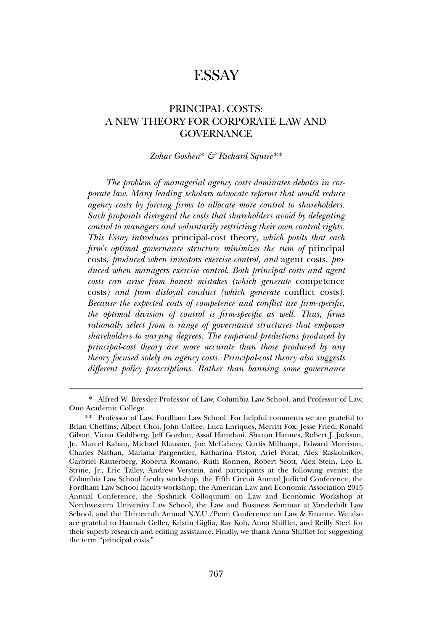# **ESSAY**

# PRINCIPAL COSTS: A NEW THEORY FOR CORPORATE LAW AND **GOVERNANCE**

#### *Zohar Goshen*\* *& Richard Squire*\*\*

*The problem of managerial agency costs dominates debates in corporate law. Many leading scholars advocate reforms that would reduce agency costs by forcing firms to allocate more control to shareholders. Such proposals disregard the costs that shareholders avoid by delegating control to managers and voluntarily restricting their own control rights. This Essay introduces* principal-cost theory*, which posits that each firm's optimal governance structure minimizes the sum of* principal costs*, produced when investors exercise control, and* agent costs*, produced when managers exercise control. Both principal costs and agent costs can arise from honest mistakes (which generate* competence costs*) and from disloyal conduct (which generate* conflict costs*). Because the expected costs of competence and conflict are firm-specific, the optimal division of control is firm-specific as well. Thus, firms rationally select from a range of governance structures that empower shareholders to varying degrees. The empirical predictions produced by principal-cost theory are more accurate than those produced by any theory focused solely on agency costs. Principal-cost theory also suggests different policy prescriptions. Rather than banning some governance*

<sup>\*.</sup> Alfred W. Bressler Professor of Law, Columbia Law School, and Professor of Law, Ono Academic College.

<sup>\*\*.</sup> Professor of Law, Fordham Law School. For helpful comments we are grateful to Brian Cheffins, Albert Choi, John Coffee, Luca Enriques, Merritt Fox, Jesse Fried, Ronald Gilson, Victor Goldberg, Jeff Gordon, Assaf Hamdani, Sharon Hannes, Robert J. Jackson, Jr., Marcel Kahan, Michael Klausner, Joe McCahery, Curtis Milhaupt, Edward Morrison, Charles Nathan, Mariana Pargendler, Katharina Pistor, Ariel Porat, Alex Raskolnikov, Garbriel Rauterberg, Roberta Romano, Ruth Ronnen, Robert Scott, Alex Stein, Leo E. Strine, Jr., Eric Talley, Andrew Verstein, and participants at the following events: the Columbia Law School faculty workshop, the Fifth Circuit Annual Judicial Conference, the Fordham Law School faculty workshop, the American Law and Economic Association 2015 Annual Conference, the Soshnick Colloquium on Law and Economic Workshop at Northwestern University Law School, the Law and Business Seminar at Vanderbilt Law School, and the Thirteenth Annual N.Y.U./Penn Conference on Law & Finance. We also are grateful to Hannah Geller, Kristin Giglia, Ray Koh, Anna Shifflet, and Reilly Steel for their superb research and editing assistance. Finally, we thank Anna Shifflet for suggesting the term "principal costs."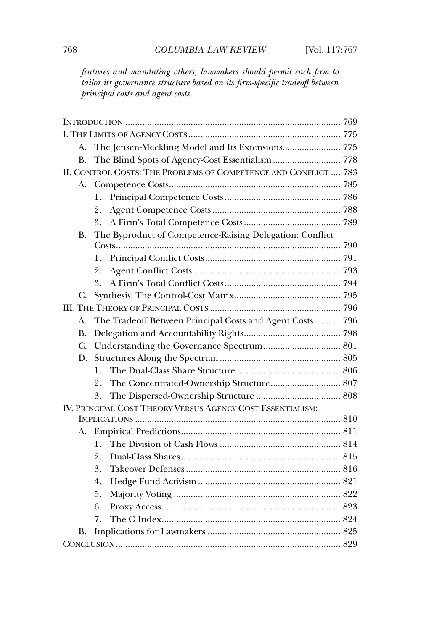*features and mandating others, lawmakers should permit each firm to tailor its governance structure based on its firm-specific tradeoff between principal costs and agent costs.*

| А. | The Jensen-Meckling Model and Its Extensions 775                |  |
|----|-----------------------------------------------------------------|--|
| B. | The Blind Spots of Agency-Cost Essentialism  778                |  |
|    | II. CONTROL COSTS: THE PROBLEMS OF COMPETENCE AND CONFLICT  783 |  |
| А. |                                                                 |  |
|    | 1.                                                              |  |
|    | 2.                                                              |  |
|    | 3.                                                              |  |
| В. | The Byproduct of Competence-Raising Delegation: Conflict        |  |
|    |                                                                 |  |
|    | 1.                                                              |  |
|    | 2.                                                              |  |
|    | 3.                                                              |  |
| C. |                                                                 |  |
|    |                                                                 |  |
| А. | The Tradeoff Between Principal Costs and Agent Costs 796        |  |
| B. |                                                                 |  |
| C. |                                                                 |  |
| D. |                                                                 |  |
|    | 1.                                                              |  |
|    | The Concentrated-Ownership Structure 807<br>2.                  |  |
|    | 3.                                                              |  |
|    | IV. PRINCIPAL-COST THEORY VERSUS AGENCY-COST ESSENTIALISM:      |  |
|    |                                                                 |  |
| А. |                                                                 |  |
|    | 1.                                                              |  |
|    | 2.                                                              |  |
|    | 3.                                                              |  |
|    | 4.                                                              |  |
|    | 5.                                                              |  |
|    | 6.                                                              |  |
|    | 7.                                                              |  |
| В. |                                                                 |  |
|    |                                                                 |  |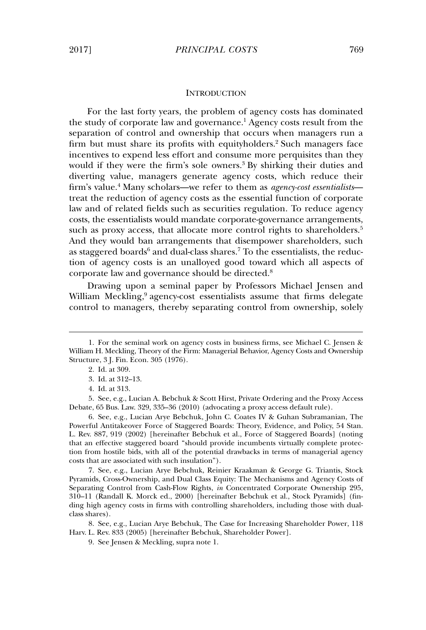#### **INTRODUCTION**

For the last forty years, the problem of agency costs has dominated the study of corporate law and governance.<sup>1</sup> Agency costs result from the separation of control and ownership that occurs when managers run a firm but must share its profits with equityholders.<sup>2</sup> Such managers face incentives to expend less effort and consume more perquisites than they would if they were the firm's sole owners.<sup>3</sup> By shirking their duties and diverting value, managers generate agency costs, which reduce their firm's value.<sup>4</sup> Many scholars—we refer to them as *agency-cost essentialists* treat the reduction of agency costs as the essential function of corporate law and of related fields such as securities regulation. To reduce agency costs, the essentialists would mandate corporate-governance arrangements, such as proxy access, that allocate more control rights to shareholders.<sup>5</sup> And they would ban arrangements that disempower shareholders, such as staggered boards<sup>6</sup> and dual-class shares.<sup>7</sup> To the essentialists, the reduction of agency costs is an unalloyed good toward which all aspects of corporate law and governance should be directed.<sup>8</sup>

Drawing upon a seminal paper by Professors Michael Jensen and William Meckling,<sup>9</sup> agency-cost essentialists assume that firms delegate control to managers, thereby separating control from ownership, solely

6. See, e.g., Lucian Arye Bebchuk, John C. Coates IV & Guhan Subramanian, The Powerful Antitakeover Force of Staggered Boards: Theory, Evidence, and Policy, 54 Stan. L. Rev. 887, 919 (2002) [hereinafter Bebchuk et al., Force of Staggered Boards] (noting that an effective staggered board "should provide incumbents virtually complete protection from hostile bids, with all of the potential drawbacks in terms of managerial agency costs that are associated with such insulation").

7. See, e.g., Lucian Arye Bebchuk, Reinier Kraakman & George G. Triantis, Stock Pyramids, Cross-Ownership, and Dual Class Equity: The Mechanisms and Agency Costs of Separating Control from Cash-Flow Rights, *in* Concentrated Corporate Ownership 295, 310–11 (Randall K. Morck ed., 2000) [hereinafter Bebchuk et al., Stock Pyramids] (finding high agency costs in firms with controlling shareholders, including those with dualclass shares).

8. See, e.g., Lucian Arye Bebchuk, The Case for Increasing Shareholder Power, 118 Harv. L. Rev. 833 (2005) [hereinafter Bebchuk, Shareholder Power].

<sup>1.</sup> For the seminal work on agency costs in business firms, see Michael C. Jensen & William H. Meckling, Theory of the Firm: Managerial Behavior, Agency Costs and Ownership Structure, 3 J. Fin. Econ. 305 (1976).

<sup>2.</sup> Id. at 309.

<sup>3.</sup> Id. at 312–13.

<sup>4.</sup> Id. at 313.

<sup>5.</sup> See, e.g., Lucian A. Bebchuk & Scott Hirst, Private Ordering and the Proxy Access Debate, 65 Bus. Law. 329, 335–36 (2010) (advocating a proxy access default rule).

<sup>9.</sup> See Jensen & Meckling, supra note 1.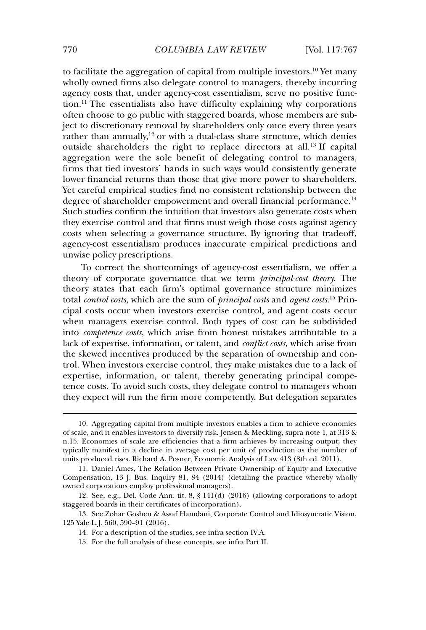to facilitate the aggregation of capital from multiple investors.<sup>10</sup> Yet many wholly owned firms also delegate control to managers, thereby incurring agency costs that, under agency-cost essentialism, serve no positive func- $\mu$ <sub>11</sub>.11 The essentialists also have difficulty explaining why corporations often choose to go public with staggered boards, whose members are subject to discretionary removal by shareholders only once every three years rather than annually,<sup>12</sup> or with a dual-class share structure, which denies outside shareholders the right to replace directors at all.<sup>13</sup> If capital aggregation were the sole benefit of delegating control to managers, firms that tied investors' hands in such ways would consistently generate lower financial returns than those that give more power to shareholders. Yet careful empirical studies find no consistent relationship between the degree of shareholder empowerment and overall financial performance.<sup>14</sup> Such studies confirm the intuition that investors also generate costs when they exercise control and that firms must weigh those costs against agency costs when selecting a governance structure. By ignoring that tradeoff, agency-cost essentialism produces inaccurate empirical predictions and unwise policy prescriptions.

To correct the shortcomings of agency-cost essentialism, we offer a theory of corporate governance that we term *principal-cost theory*. The theory states that each firm's optimal governance structure minimizes total *control costs*, which are the sum of *principal costs* and *agent costs*. <sup>15</sup> Principal costs occur when investors exercise control, and agent costs occur when managers exercise control. Both types of cost can be subdivided into *competence costs*, which arise from honest mistakes attributable to a lack of expertise, information, or talent, and *conflict costs*, which arise from the skewed incentives produced by the separation of ownership and control. When investors exercise control, they make mistakes due to a lack of expertise, information, or talent, thereby generating principal competence costs. To avoid such costs, they delegate control to managers whom they expect will run the firm more competently. But delegation separates

<sup>10.</sup> Aggregating capital from multiple investors enables a firm to achieve economies of scale, and it enables investors to diversify risk. Jensen & Meckling, supra note 1, at 313 & n.15. Economies of scale are efficiencies that a firm achieves by increasing output; they typically manifest in a decline in average cost per unit of production as the number of units produced rises. Richard A. Posner, Economic Analysis of Law 413 (8th ed. 2011).

<sup>11.</sup> Daniel Ames, The Relation Between Private Ownership of Equity and Executive Compensation, 13 J. Bus. Inquiry 81, 84 (2014) (detailing the practice whereby wholly owned corporations employ professional managers).

<sup>12.</sup> See, e.g., Del. Code Ann. tit. 8, § 141(d) (2016) (allowing corporations to adopt staggered boards in their certificates of incorporation).

<sup>13.</sup> See Zohar Goshen & Assaf Hamdani, Corporate Control and Idiosyncratic Vision, 125 Yale L.J. 560, 590–91 (2016).

<sup>14.</sup> For a description of the studies, see infra section IV.A.

<sup>15.</sup> For the full analysis of these concepts, see infra Part II.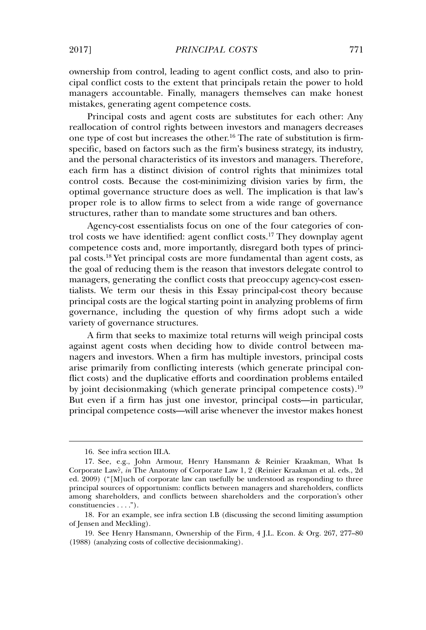ownership from control, leading to agent conflict costs, and also to principal conflict costs to the extent that principals retain the power to hold managers accountable. Finally, managers themselves can make honest mistakes, generating agent competence costs.

Principal costs and agent costs are substitutes for each other: Any reallocation of control rights between investors and managers decreases one type of cost but increases the other.<sup>16</sup> The rate of substitution is firmspecific, based on factors such as the firm's business strategy, its industry, and the personal characteristics of its investors and managers. Therefore, each firm has a distinct division of control rights that minimizes total control costs. Because the cost-minimizing division varies by firm, the optimal governance structure does as well. The implication is that law's proper role is to allow firms to select from a wide range of governance structures, rather than to mandate some structures and ban others.

Agency-cost essentialists focus on one of the four categories of control costs we have identified: agent conflict costs.<sup>17</sup> They downplay agent competence costs and, more importantly, disregard both types of principal costs.<sup>18</sup> Yet principal costs are more fundamental than agent costs, as the goal of reducing them is the reason that investors delegate control to managers, generating the conflict costs that preoccupy agency-cost essentialists. We term our thesis in this Essay principal-cost theory because principal costs are the logical starting point in analyzing problems of firm governance, including the question of why firms adopt such a wide variety of governance structures.

A firm that seeks to maximize total returns will weigh principal costs against agent costs when deciding how to divide control between managers and investors. When a firm has multiple investors, principal costs arise primarily from conflicting interests (which generate principal conflict costs) and the duplicative efforts and coordination problems entailed by joint decisionmaking (which generate principal competence costs).<sup>19</sup> But even if a firm has just one investor, principal costs—in particular, principal competence costs—will arise whenever the investor makes honest

<sup>16.</sup> See infra section III.A.

<sup>17.</sup> See, e.g., John Armour, Henry Hansmann & Reinier Kraakman, What Is Corporate Law?, *in* The Anatomy of Corporate Law 1, 2 (Reinier Kraakman et al. eds., 2d ed. 2009) ("[M]uch of corporate law can usefully be understood as responding to three principal sources of opportunism: conflicts between managers and shareholders, conflicts among shareholders, and conflicts between shareholders and the corporation's other constituencies . . . .").

<sup>18.</sup> For an example, see infra section I.B (discussing the second limiting assumption of Jensen and Meckling).

<sup>19.</sup> See Henry Hansmann, Ownership of the Firm, 4 J.L. Econ. & Org. 267, 277–80 (1988) (analyzing costs of collective decisionmaking).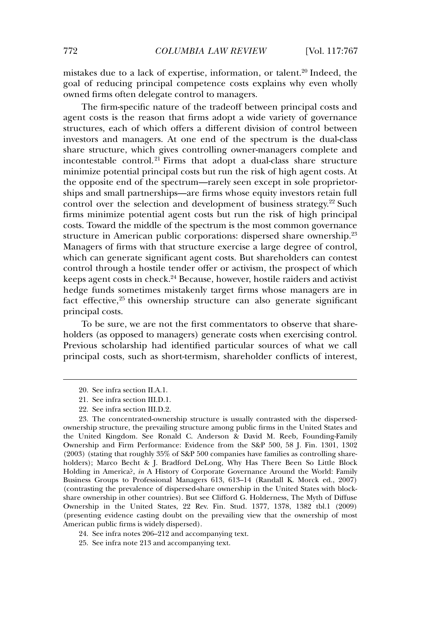mistakes due to a lack of expertise, information, or talent.<sup>20</sup> Indeed, the goal of reducing principal competence costs explains why even wholly owned firms often delegate control to managers.

The firm-specific nature of the tradeoff between principal costs and agent costs is the reason that firms adopt a wide variety of governance structures, each of which offers a different division of control between investors and managers. At one end of the spectrum is the dual-class share structure, which gives controlling owner-managers complete and incontestable control.<sup>21</sup> Firms that adopt a dual-class share structure minimize potential principal costs but run the risk of high agent costs. At the opposite end of the spectrum—rarely seen except in sole proprietorships and small partnerships—are firms whose equity investors retain full control over the selection and development of business strategy.<sup>22</sup> Such firms minimize potential agent costs but run the risk of high principal costs. Toward the middle of the spectrum is the most common governance structure in American public corporations: dispersed share ownership.<sup>23</sup> Managers of firms with that structure exercise a large degree of control, which can generate significant agent costs. But shareholders can contest control through a hostile tender offer or activism, the prospect of which keeps agent costs in check.<sup>24</sup> Because, however, hostile raiders and activist hedge funds sometimes mistakenly target firms whose managers are in fact effective, $25$  this ownership structure can also generate significant principal costs.

To be sure, we are not the first commentators to observe that shareholders (as opposed to managers) generate costs when exercising control. Previous scholarship had identified particular sources of what we call principal costs, such as short-termism, shareholder conflicts of interest,

<sup>20.</sup> See infra section II.A.1.

<sup>21.</sup> See infra section III.D.1.

<sup>22.</sup> See infra section III.D.2.

<sup>23.</sup> The concentrated-ownership structure is usually contrasted with the dispersedownership structure, the prevailing structure among public firms in the United States and the United Kingdom. See Ronald C. Anderson & David M. Reeb, Founding-Family Ownership and Firm Performance: Evidence from the S&P 500, 58 J. Fin. 1301, 1302 (2003) (stating that roughly 35% of S&P 500 companies have families as controlling shareholders); Marco Becht & J. Bradford DeLong, Why Has There Been So Little Block Holding in America?, *in* A History of Corporate Governance Around the World: Family Business Groups to Professional Managers 613, 613–14 (Randall K. Morck ed., 2007) (contrasting the prevalence of dispersed-share ownership in the United States with blockshare ownership in other countries). But see Clifford G. Holderness, The Myth of Diffuse Ownership in the United States, 22 Rev. Fin. Stud. 1377, 1378, 1382 tbl.1 (2009) (presenting evidence casting doubt on the prevailing view that the ownership of most American public firms is widely dispersed).

<sup>24.</sup> See infra notes 206–212 and accompanying text.

<sup>25.</sup> See infra note 213 and accompanying text.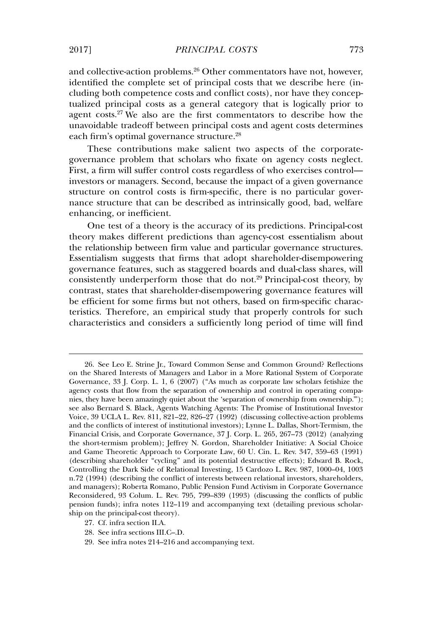and collective-action problems.<sup>26</sup> Other commentators have not, however, identified the complete set of principal costs that we describe here (including both competence costs and conflict costs), nor have they conceptualized principal costs as a general category that is logically prior to agent costs.<sup>27</sup> We also are the first commentators to describe how the unavoidable tradeoff between principal costs and agent costs determines each firm's optimal governance structure.<sup>28</sup>

These contributions make salient two aspects of the corporategovernance problem that scholars who fixate on agency costs neglect. First, a firm will suffer control costs regardless of who exercises control investors or managers. Second, because the impact of a given governance structure on control costs is firm-specific, there is no particular governance structure that can be described as intrinsically good, bad, welfare enhancing, or inefficient.

One test of a theory is the accuracy of its predictions. Principal-cost theory makes different predictions than agency-cost essentialism about the relationship between firm value and particular governance structures. Essentialism suggests that firms that adopt shareholder-disempowering governance features, such as staggered boards and dual-class shares, will consistently underperform those that do not.<sup>29</sup> Principal-cost theory, by contrast, states that shareholder-disempowering governance features will be efficient for some firms but not others, based on firm-specific characteristics. Therefore, an empirical study that properly controls for such characteristics and considers a sufficiently long period of time will find

<sup>26.</sup> See Leo E. Strine Jr., Toward Common Sense and Common Ground? Reflections on the Shared Interests of Managers and Labor in a More Rational System of Corporate Governance, 33 J. Corp. L. 1, 6 (2007) ("As much as corporate law scholars fetishize the agency costs that flow from the separation of ownership and control in operating companies, they have been amazingly quiet about the 'separation of ownership from ownership.'"); see also Bernard S. Black, Agents Watching Agents: The Promise of Institutional Investor Voice, 39 UCLA L. Rev. 811, 821–22, 826–27 (1992) (discussing collective-action problems and the conflicts of interest of institutional investors); Lynne L. Dallas, Short-Termism, the Financial Crisis, and Corporate Governance, 37 J. Corp. L. 265, 267–73 (2012) (analyzing the short-termism problem); Jeffrey N. Gordon, Shareholder Initiative: A Social Choice and Game Theoretic Approach to Corporate Law, 60 U. Cin. L. Rev. 347, 359–63 (1991) (describing shareholder "cycling" and its potential destructive effects); Edward B. Rock, Controlling the Dark Side of Relational Investing, 15 Cardozo L. Rev. 987, 1000–04, 1003 n.72 (1994) (describing the conflict of interests between relational investors, shareholders, and managers); Roberta Romano, Public Pension Fund Activism in Corporate Governance Reconsidered, 93 Colum. L. Rev. 795, 799–839 (1993) (discussing the conflicts of public pension funds); infra notes 112–119 and accompanying text (detailing previous scholarship on the principal-cost theory).

<sup>27.</sup> Cf. infra section II.A.

<sup>28.</sup> See infra sections III.C–.D.

<sup>29.</sup> See infra notes 214–216 and accompanying text.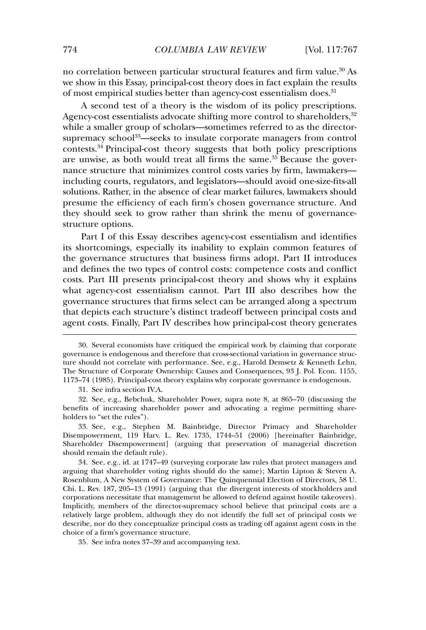no correlation between particular structural features and firm value.<sup>30</sup> As we show in this Essay, principal-cost theory does in fact explain the results of most empirical studies better than agency-cost essentialism does.<sup>31</sup>

A second test of a theory is the wisdom of its policy prescriptions. Agency-cost essentialists advocate shifting more control to shareholders,<sup>32</sup> while a smaller group of scholars—sometimes referred to as the directorsupremacy school<sup>33</sup>—seeks to insulate corporate managers from control contests.<sup>34</sup> Principal-cost theory suggests that both policy prescriptions are unwise, as both would treat all firms the same.<sup>35</sup> Because the governance structure that minimizes control costs varies by firm, lawmakers including courts, regulators, and legislators—should avoid one-size-fits-all solutions. Rather, in the absence of clear market failures, lawmakers should presume the efficiency of each firm's chosen governance structure. And they should seek to grow rather than shrink the menu of governancestructure options.

Part I of this Essay describes agency-cost essentialism and identifies its shortcomings, especially its inability to explain common features of the governance structures that business firms adopt. Part II introduces and defines the two types of control costs: competence costs and conflict costs. Part III presents principal-cost theory and shows why it explains what agency-cost essentialism cannot. Part III also describes how the governance structures that firms select can be arranged along a spectrum that depicts each structure's distinct tradeoff between principal costs and agent costs. Finally, Part IV describes how principal-cost theory generates

31. See infra section IV.A.

32. See, e.g., Bebchuk, Shareholder Power, supra note 8, at 865–70 (discussing the benefits of increasing shareholder power and advocating a regime permitting shareholders to "set the rules").

33. See, e.g., Stephen M. Bainbridge, Director Primacy and Shareholder Disempowerment, 119 Harv. L. Rev. 1735, 1744–51 (2006) [hereinafter Bainbridge, Shareholder Disempowerment] (arguing that preservation of managerial discretion should remain the default rule).

34. See, e.g., id. at 1747–49 (surveying corporate law rules that protect managers and arguing that shareholder voting rights should do the same); Martin Lipton & Steven A. Rosenblum, A New System of Governance: The Quinquennial Election of Directors, 58 U. Chi. L. Rev. 187, 205–13 (1991) (arguing that the divergent interests of stockholders and corporations necessitate that management be allowed to defend against hostile takeovers). Implicitly, members of the director-supremacy school believe that principal costs are a relatively large problem, although they do not identify the full set of principal costs we describe, nor do they conceptualize principal costs as trading off against agent costs in the choice of a firm's governance structure.

35. See infra notes 37–39 and accompanying text.

<sup>30.</sup> Several economists have critiqued the empirical work by claiming that corporate governance is endogenous and therefore that cross-sectional variation in governance structure should not correlate with performance. See, e.g., Harold Demsetz & Kenneth Lehn, The Structure of Corporate Ownership: Causes and Consequences, 93 J. Pol. Econ. 1155, 1173–74 (1985). Principal-cost theory explains why corporate governance is endogenous.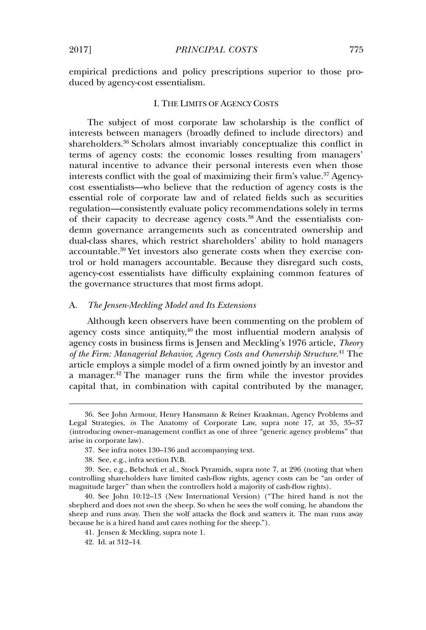empirical predictions and policy prescriptions superior to those produced by agency-cost essentialism.

#### I. THE LIMITS OF AGENCY COSTS

The subject of most corporate law scholarship is the conflict of interests between managers (broadly defined to include directors) and shareholders.<sup>36</sup> Scholars almost invariably conceptualize this conflict in terms of agency costs: the economic losses resulting from managers' natural incentive to advance their personal interests even when those interests conflict with the goal of maximizing their firm's value.<sup>37</sup> Agencycost essentialists—who believe that the reduction of agency costs is the essential role of corporate law and of related fields such as securities regulation—consistently evaluate policy recommendations solely in terms of their capacity to decrease agency costs.<sup>38</sup> And the essentialists condemn governance arrangements such as concentrated ownership and dual-class shares, which restrict shareholders' ability to hold managers accountable.<sup>39</sup> Yet investors also generate costs when they exercise control or hold managers accountable. Because they disregard such costs, agency-cost essentialists have difficulty explaining common features of the governance structures that most firms adopt.

## A. *The Jensen-Meckling Model and Its Extensions*

Although keen observers have been commenting on the problem of agency costs since antiquity, $40$  the most influential modern analysis of agency costs in business firms is Jensen and Meckling's 1976 article, *Theory of the Firm: Managerial Behavior, Agency Costs and Ownership Structure*. <sup>41</sup> The article employs a simple model of a firm owned jointly by an investor and a manager.<sup>42</sup> The manager runs the firm while the investor provides capital that, in combination with capital contributed by the manager,

<sup>36.</sup> See John Armour, Henry Hansmann & Reiner Kraakman, Agency Problems and Legal Strategies, *in* The Anatomy of Corporate Law, supra note 17, at 35, 35–37 (introducing owner–management conflict as one of three "generic agency problems" that arise in corporate law).

<sup>37.</sup> See infra notes 130–136 and accompanying text.

<sup>38.</sup> See, e.g., infra section IV.B.

<sup>39.</sup> See, e.g., Bebchuk et al., Stock Pyramids, supra note 7, at 296 (noting that when controlling shareholders have limited cash-flow rights, agency costs can be "an order of magnitude larger" than when the controllers hold a majority of cash-flow rights).

<sup>40.</sup> See John 10:12–13 (New International Version) ("The hired hand is not the shepherd and does not own the sheep. So when he sees the wolf coming, he abandons the sheep and runs away. Then the wolf attacks the flock and scatters it. The man runs away because he is a hired hand and cares nothing for the sheep.").

<sup>41.</sup> Jensen & Meckling, supra note 1.

<sup>42.</sup> Id. at 312–14.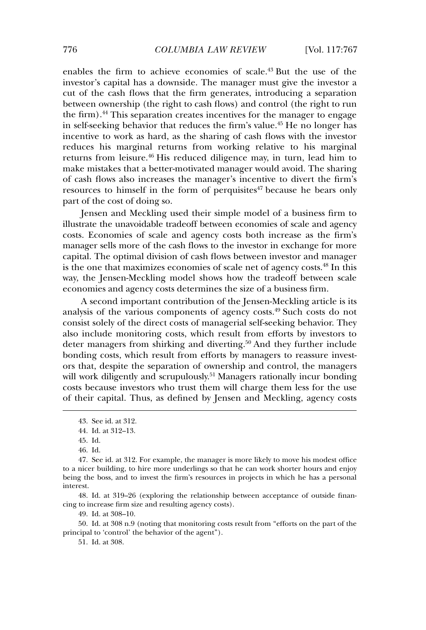enables the firm to achieve economies of scale.<sup>43</sup> But the use of the investor's capital has a downside. The manager must give the investor a cut of the cash flows that the firm generates, introducing a separation between ownership (the right to cash flows) and control (the right to run the firm).<sup>44</sup> This separation creates incentives for the manager to engage in self-seeking behavior that reduces the firm's value.<sup>45</sup> He no longer has incentive to work as hard, as the sharing of cash flows with the investor reduces his marginal returns from working relative to his marginal returns from leisure.<sup>46</sup> His reduced diligence may, in turn, lead him to make mistakes that a better-motivated manager would avoid. The sharing of cash flows also increases the manager's incentive to divert the firm's resources to himself in the form of perquisites $47$  because he bears only part of the cost of doing so.

Jensen and Meckling used their simple model of a business firm to illustrate the unavoidable tradeoff between economies of scale and agency costs. Economies of scale and agency costs both increase as the firm's manager sells more of the cash flows to the investor in exchange for more capital. The optimal division of cash flows between investor and manager is the one that maximizes economies of scale net of agency costs.<sup>48</sup> In this way, the Jensen-Meckling model shows how the tradeoff between scale economies and agency costs determines the size of a business firm.

A second important contribution of the Jensen-Meckling article is its analysis of the various components of agency costs.<sup>49</sup> Such costs do not consist solely of the direct costs of managerial self-seeking behavior. They also include monitoring costs, which result from efforts by investors to deter managers from shirking and diverting.<sup>50</sup> And they further include bonding costs, which result from efforts by managers to reassure investors that, despite the separation of ownership and control, the managers will work diligently and scrupulously.<sup>51</sup> Managers rationally incur bonding costs because investors who trust them will charge them less for the use of their capital. Thus, as defined by Jensen and Meckling, agency costs

48. Id. at 319–26 (exploring the relationship between acceptance of outside financing to increase firm size and resulting agency costs).

49. Id. at 308–10.

50. Id. at 308 n.9 (noting that monitoring costs result from "efforts on the part of the principal to 'control' the behavior of the agent").

51. Id. at 308.

<sup>43.</sup> See id. at 312.

<sup>44.</sup> Id. at 312–13.

<sup>45.</sup> Id.

<sup>46.</sup> Id.

<sup>47.</sup> See id. at 312. For example, the manager is more likely to move his modest office to a nicer building, to hire more underlings so that he can work shorter hours and enjoy being the boss, and to invest the firm's resources in projects in which he has a personal interest.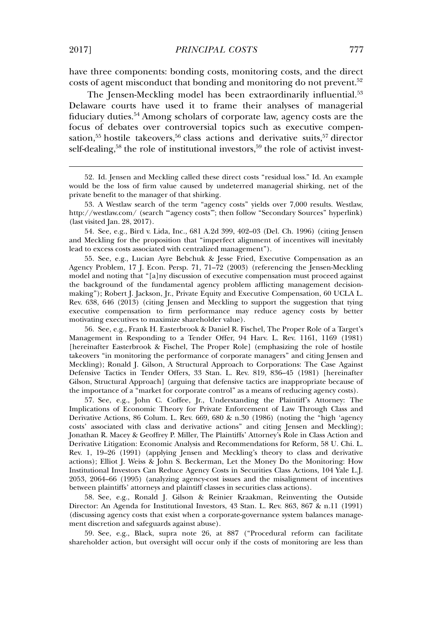have three components: bonding costs, monitoring costs, and the direct costs of agent misconduct that bonding and monitoring do not prevent.<sup>52</sup>

The Jensen-Meckling model has been extraordinarily influential.<sup>53</sup> Delaware courts have used it to frame their analyses of managerial fiduciary duties.<sup>54</sup> Among scholars of corporate law, agency costs are the focus of debates over controversial topics such as executive compensation,<sup>55</sup> hostile takeovers,<sup>56</sup> class actions and derivative suits,<sup>57</sup> director self-dealing,<sup>58</sup> the role of institutional investors,<sup>59</sup> the role of activist invest-

52. Id. Jensen and Meckling called these direct costs "residual loss." Id. An example would be the loss of firm value caused by undeterred managerial shirking, net of the private benefit to the manager of that shirking.

54. See, e.g., Bird v. Lida, Inc., 681 A.2d 399, 402–03 (Del. Ch. 1996) (citing Jensen and Meckling for the proposition that "imperfect alignment of incentives will inevitably lead to excess costs associated with centralized management").

55. See, e.g., Lucian Ayre Bebchuk & Jesse Fried, Executive Compensation as an Agency Problem, 17 J. Econ. Persp. 71, 71–72 (2003) (referencing the Jensen-Meckling model and noting that "[a]ny discussion of executive compensation must proceed against the background of the fundamental agency problem afflicting management decisionmaking"); Robert J. Jackson, Jr., Private Equity and Executive Compensation, 60 UCLA L. Rev. 638, 646 (2013) (citing Jensen and Meckling to support the suggestion that tying executive compensation to firm performance may reduce agency costs by better motivating executives to maximize shareholder value).

56. See, e.g., Frank H. Easterbrook & Daniel R. Fischel, The Proper Role of a Target's Management in Responding to a Tender Offer, 94 Harv. L. Rev. 1161, 1169 (1981) [hereinafter Easterbrook & Fischel, The Proper Role] (emphasizing the role of hostile takeovers "in monitoring the performance of corporate managers" and citing Jensen and Meckling); Ronald J. Gilson, A Structural Approach to Corporations: The Case Against Defensive Tactics in Tender Offers, 33 Stan. L. Rev. 819, 836–45 (1981) [hereinafter Gilson, Structural Approach] (arguing that defensive tactics are inappropriate because of the importance of a "market for corporate control" as a means of reducing agency costs).

57. See, e.g., John C. Coffee, Jr., Understanding the Plaintiff's Attorney: The Implications of Economic Theory for Private Enforcement of Law Through Class and Derivative Actions, 86 Colum. L. Rev. 669, 680 & n.30 (1986) (noting the "high 'agency costs' associated with class and derivative actions" and citing Jensen and Meckling); Jonathan R. Macey & Geoffrey P. Miller, The Plaintiffs' Attorney's Role in Class Action and Derivative Litigation: Economic Analysis and Recommendations for Reform, 58 U. Chi. L. Rev. 1, 19–26 (1991) (applying Jensen and Meckling's theory to class and derivative actions); Elliot J. Weiss & John S. Beckerman, Let the Money Do the Monitoring: How Institutional Investors Can Reduce Agency Costs in Securities Class Actions, 104 Yale L.J. 2053, 2064–66 (1995) (analyzing agency-cost issues and the misalignment of incentives between plaintiffs' attorneys and plaintiff classes in securities class actions).

58. See, e.g., Ronald J. Gilson & Reinier Kraakman, Reinventing the Outside Director: An Agenda for Institutional Investors, 43 Stan. L. Rev. 863, 867 & n.11 (1991) (discussing agency costs that exist when a corporate-governance system balances management discretion and safeguards against abuse).

59. See, e.g., Black, supra note 26, at 887 ("Procedural reform can facilitate shareholder action, but oversight will occur only if the costs of monitoring are less than

<sup>53.</sup> A Westlaw search of the term "agency costs" yields over 7,000 results. Westlaw, http://westlaw.com/ (search "'agency costs'"; then follow "Secondary Sources" hyperlink) (last visited Jan. 28, 2017).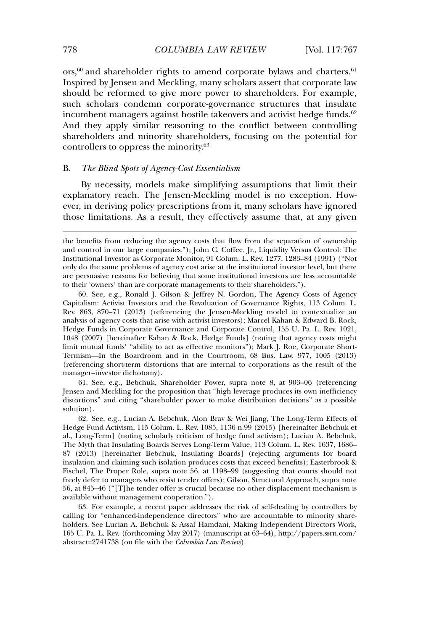$\cos$ ,<sup>60</sup> and shareholder rights to amend corporate bylaws and charters.<sup>61</sup> Inspired by Jensen and Meckling, many scholars assert that corporate law should be reformed to give more power to shareholders. For example, such scholars condemn corporate-governance structures that insulate incumbent managers against hostile takeovers and activist hedge funds.<sup>62</sup> And they apply similar reasoning to the conflict between controlling shareholders and minority shareholders, focusing on the potential for controllers to oppress the minority.<sup>63</sup>

# B. *The Blind Spots of Agency-Cost Essentialism*

By necessity, models make simplifying assumptions that limit their explanatory reach. The Jensen-Meckling model is no exception. However, in deriving policy prescriptions from it, many scholars have ignored those limitations. As a result, they effectively assume that, at any given

60. See, e.g., Ronald J. Gilson & Jeffrey N. Gordon, The Agency Costs of Agency Capitalism: Activist Investors and the Revaluation of Governance Rights, 113 Colum. L. Rev. 863, 870–71 (2013) (referencing the Jensen-Meckling model to contextualize an analysis of agency costs that arise with activist investors); Marcel Kahan & Edward B. Rock, Hedge Funds in Corporate Governance and Corporate Control, 155 U. Pa. L. Rev. 1021, 1048 (2007) [hereinafter Kahan & Rock, Hedge Funds] (noting that agency costs might limit mutual funds' "ability to act as effective monitors"); Mark J. Roe, Corporate Short-Termism—In the Boardroom and in the Courtroom, 68 Bus. Law. 977, 1005 (2013) (referencing short-term distortions that are internal to corporations as the result of the manager–investor dichotomy).

61. See, e.g., Bebchuk, Shareholder Power, supra note 8, at 903–06 (referencing Jensen and Meckling for the proposition that "high leverage produces its own inefficiency distortions" and citing "shareholder power to make distribution decisions" as a possible solution).

62. See, e.g., Lucian A. Bebchuk, Alon Brav & Wei Jiang, The Long-Term Effects of Hedge Fund Activism, 115 Colum. L. Rev. 1085, 1136 n.99 (2015) [hereinafter Bebchuk et al., Long-Term] (noting scholarly criticism of hedge fund activism); Lucian A. Bebchuk, The Myth that Insulating Boards Serves Long-Term Value, 113 Colum. L. Rev. 1637, 1686– 87 (2013) [hereinafter Bebchuk, Insulating Boards] (rejecting arguments for board insulation and claiming such isolation produces costs that exceed benefits); Easterbrook & Fischel, The Proper Role, supra note 56, at 1198–99 (suggesting that courts should not freely defer to managers who resist tender offers); Gilson, Structural Approach, supra note 56, at 845–46 ("[T]he tender offer is crucial because no other displacement mechanism is available without management cooperation.").

63. For example, a recent paper addresses the risk of self-dealing by controllers by calling for "enhanced-independence directors" who are accountable to minority shareholders. See Lucian A. Bebchuk & Assaf Hamdani, Making Independent Directors Work, 165 U. Pa. L. Rev. (forthcoming May 2017) (manuscript at 63–64), http://papers.ssrn.com/ abstract=2741738 (on file with the *Columbia Law Review*).

the benefits from reducing the agency costs that flow from the separation of ownership and control in our large companies."); John C. Coffee, Jr., Liquidity Versus Control: The Institutional Investor as Corporate Monitor, 91 Colum. L. Rev. 1277, 1283–84 (1991) ("Not only do the same problems of agency cost arise at the institutional investor level, but there are persuasive reasons for believing that some institutional investors are less accountable to their 'owners' than are corporate managements to their shareholders.").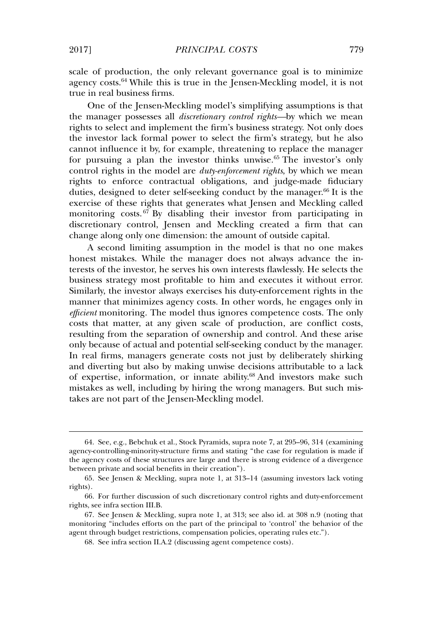scale of production, the only relevant governance goal is to minimize agency costs.<sup>64</sup> While this is true in the Jensen-Meckling model, it is not true in real business firms.

One of the Jensen-Meckling model's simplifying assumptions is that the manager possesses all *discretionary control rights—*by which we mean rights to select and implement the firm's business strategy. Not only does the investor lack formal power to select the firm's strategy, but he also cannot influence it by, for example, threatening to replace the manager for pursuing a plan the investor thinks unwise.<sup>65</sup> The investor's only control rights in the model are *duty-enforcement rights*, by which we mean rights to enforce contractual obligations, and judge-made fiduciary duties, designed to deter self-seeking conduct by the manager.<sup>66</sup> It is the exercise of these rights that generates what Jensen and Meckling called monitoring costs. <sup>67</sup> By disabling their investor from participating in discretionary control, Jensen and Meckling created a firm that can change along only one dimension: the amount of outside capital.

A second limiting assumption in the model is that no one makes honest mistakes. While the manager does not always advance the interests of the investor, he serves his own interests flawlessly. He selects the business strategy most profitable to him and executes it without error. Similarly, the investor always exercises his duty-enforcement rights in the manner that minimizes agency costs. In other words, he engages only in *efficient* monitoring. The model thus ignores competence costs. The only costs that matter, at any given scale of production, are conflict costs, resulting from the separation of ownership and control. And these arise only because of actual and potential self-seeking conduct by the manager. In real firms, managers generate costs not just by deliberately shirking and diverting but also by making unwise decisions attributable to a lack of expertise, information, or innate ability.<sup>68</sup> And investors make such mistakes as well, including by hiring the wrong managers. But such mistakes are not part of the Jensen-Meckling model.

<sup>64.</sup> See, e.g., Bebchuk et al., Stock Pyramids, supra note 7, at 295–96, 314 (examining agency-controlling-minority-structure firms and stating "the case for regulation is made if the agency costs of these structures are large and there is strong evidence of a divergence between private and social benefits in their creation").

<sup>65.</sup> See Jensen & Meckling, supra note 1, at 313–14 (assuming investors lack voting rights).

<sup>66.</sup> For further discussion of such discretionary control rights and duty-enforcement rights, see infra section III.B.

<sup>67.</sup> See Jensen & Meckling, supra note 1, at 313; see also id. at 308 n.9 (noting that monitoring "includes efforts on the part of the principal to 'control' the behavior of the agent through budget restrictions, compensation policies, operating rules etc.").

<sup>68.</sup> See infra section II.A.2 (discussing agent competence costs).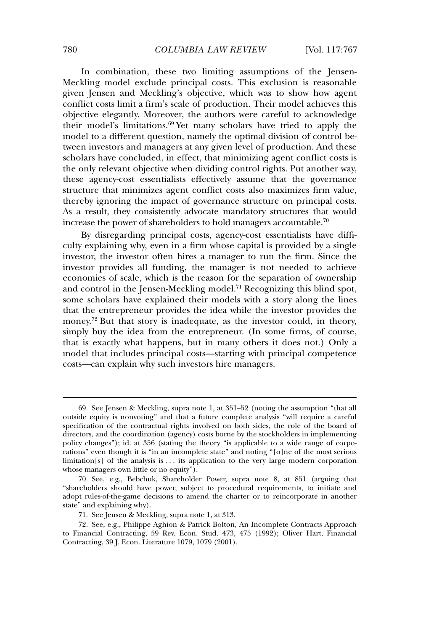In combination, these two limiting assumptions of the Jensen-Meckling model exclude principal costs. This exclusion is reasonable given Jensen and Meckling's objective, which was to show how agent conflict costs limit a firm's scale of production. Their model achieves this objective elegantly. Moreover, the authors were careful to acknowledge their model's limitations.<sup>69</sup> Yet many scholars have tried to apply the model to a different question, namely the optimal division of control between investors and managers at any given level of production. And these scholars have concluded, in effect, that minimizing agent conflict costs is the only relevant objective when dividing control rights. Put another way, these agency-cost essentialists effectively assume that the governance structure that minimizes agent conflict costs also maximizes firm value, thereby ignoring the impact of governance structure on principal costs. As a result, they consistently advocate mandatory structures that would increase the power of shareholders to hold managers accountable.<sup>70</sup>

By disregarding principal costs, agency-cost essentialists have difficulty explaining why, even in a firm whose capital is provided by a single investor, the investor often hires a manager to run the firm. Since the investor provides all funding, the manager is not needed to achieve economies of scale, which is the reason for the separation of ownership and control in the Jensen-Meckling model.<sup>71</sup> Recognizing this blind spot, some scholars have explained their models with a story along the lines that the entrepreneur provides the idea while the investor provides the money.<sup>72</sup> But that story is inadequate, as the investor could, in theory, simply buy the idea from the entrepreneur. (In some firms, of course, that is exactly what happens, but in many others it does not.) Only a model that includes principal costs—starting with principal competence costs—can explain why such investors hire managers.

<sup>69.</sup> See Jensen & Meckling, supra note 1, at 351–52 (noting the assumption "that all outside equity is nonvoting" and that a future complete analysis "will require a careful specification of the contractual rights involved on both sides, the role of the board of directors, and the coordination (agency) costs borne by the stockholders in implementing policy changes"); id. at 356 (stating the theory "is applicable to a wide range of corporations" even though it is "in an incomplete state" and noting "[o]ne of the most serious limitation[s] of the analysis is . . . its application to the very large modern corporation whose managers own little or no equity").

<sup>70.</sup> See, e.g., Bebchuk, Shareholder Power, supra note 8, at 851 (arguing that "shareholders should have power, subject to procedural requirements, to initiate and adopt rules-of-the-game decisions to amend the charter or to reincorporate in another state" and explaining why).

<sup>71.</sup> See Jensen & Meckling, supra note 1, at 313.

<sup>72.</sup> See, e.g., Philippe Aghion & Patrick Bolton, An Incomplete Contracts Approach to Financial Contracting, 59 Rev. Econ. Stud. 473, 475 (1992); Oliver Hart, Financial Contracting, 39 J. Econ. Literature 1079, 1079 (2001).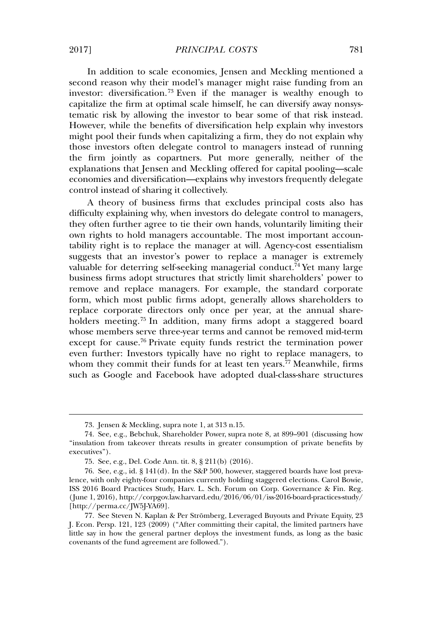In addition to scale economies, Jensen and Meckling mentioned a second reason why their model's manager might raise funding from an investor: diversification.<sup>73</sup> Even if the manager is wealthy enough to capitalize the firm at optimal scale himself, he can diversify away nonsystematic risk by allowing the investor to bear some of that risk instead. However, while the benefits of diversification help explain why investors might pool their funds when capitalizing a firm, they do not explain why those investors often delegate control to managers instead of running the firm jointly as copartners. Put more generally, neither of the explanations that Jensen and Meckling offered for capital pooling—scale economies and diversification—explains why investors frequently delegate control instead of sharing it collectively.

A theory of business firms that excludes principal costs also has difficulty explaining why, when investors do delegate control to managers, they often further agree to tie their own hands, voluntarily limiting their own rights to hold managers accountable. The most important accountability right is to replace the manager at will. Agency-cost essentialism suggests that an investor's power to replace a manager is extremely valuable for deterring self-seeking managerial conduct.<sup>74</sup> Yet many large business firms adopt structures that strictly limit shareholders' power to remove and replace managers. For example, the standard corporate form, which most public firms adopt, generally allows shareholders to replace corporate directors only once per year, at the annual shareholders meeting.<sup>75</sup> In addition, many firms adopt a staggered board whose members serve three-year terms and cannot be removed mid-term except for cause.<sup>76</sup> Private equity funds restrict the termination power even further: Investors typically have no right to replace managers, to whom they commit their funds for at least ten years.<sup>77</sup> Meanwhile, firms such as Google and Facebook have adopted dual-class-share structures

<sup>73.</sup> Jensen & Meckling, supra note 1, at 313 n.15.

<sup>74.</sup> See, e.g., Bebchuk, Shareholder Power, supra note 8, at 899–901 (discussing how "insulation from takeover threats results in greater consumption of private benefits by executives").

<sup>75.</sup> See, e.g., Del. Code Ann. tit. 8, § 211(b) (2016).

<sup>76.</sup> See, e.g., id. § 141(d). In the S&P 500, however, staggered boards have lost prevalence, with only eighty-four companies currently holding staggered elections. Carol Bowie, ISS 2016 Board Practices Study, Harv. L. Sch. Forum on Corp. Governance & Fin. Reg. (June 1, 2016), http://corpgov.law.harvard.edu/2016/06/01/iss-2016-board-practices-study/ [http://perma.cc/JW5J-YA69].

<sup>77.</sup> See Steven N. Kaplan & Per Strömberg, Leveraged Buyouts and Private Equity, 23 J. Econ. Persp. 121, 123 (2009) ("After committing their capital, the limited partners have little say in how the general partner deploys the investment funds, as long as the basic covenants of the fund agreement are followed.").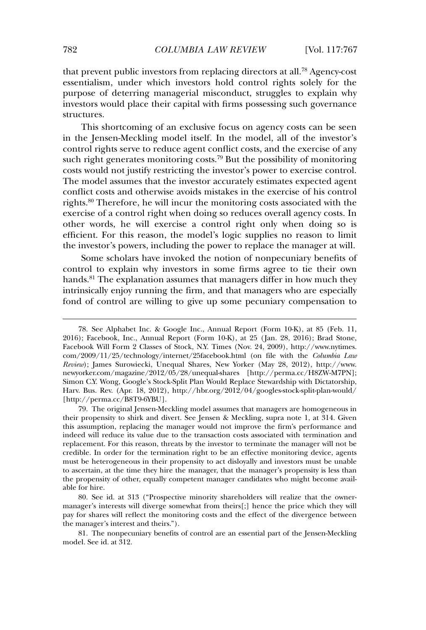that prevent public investors from replacing directors at all.<sup>78</sup> Agency-cost essentialism, under which investors hold control rights solely for the purpose of deterring managerial misconduct, struggles to explain why investors would place their capital with firms possessing such governance structures.

This shortcoming of an exclusive focus on agency costs can be seen in the Jensen-Meckling model itself. In the model, all of the investor's control rights serve to reduce agent conflict costs, and the exercise of any such right generates monitoring costs.<sup>79</sup> But the possibility of monitoring costs would not justify restricting the investor's power to exercise control. The model assumes that the investor accurately estimates expected agent conflict costs and otherwise avoids mistakes in the exercise of his control rights.<sup>80</sup> Therefore, he will incur the monitoring costs associated with the exercise of a control right when doing so reduces overall agency costs. In other words, he will exercise a control right only when doing so is efficient. For this reason, the model's logic supplies no reason to limit the investor's powers, including the power to replace the manager at will.

Some scholars have invoked the notion of nonpecuniary benefits of control to explain why investors in some firms agree to tie their own hands.<sup>81</sup> The explanation assumes that managers differ in how much they intrinsically enjoy running the firm, and that managers who are especially fond of control are willing to give up some pecuniary compensation to

<sup>78.</sup> See Alphabet Inc. & Google Inc., Annual Report (Form 10-K), at 85 (Feb. 11, 2016); Facebook, Inc., Annual Report (Form 10-K), at 25 ( Jan. 28, 2016); Brad Stone, Facebook Will Form 2 Classes of Stock, N.Y. Times (Nov. 24, 2009), http://www.nytimes. com/2009/11/25/technology/internet/25facebook.html (on file with the *Columbia Law Review*); James Surowiecki, Unequal Shares, New Yorker (May 28, 2012), http://www. newyorker.com/magazine/2012/05/28/unequal-shares [http://perma.cc/H8ZW-M7PN]; Simon C.Y. Wong, Google's Stock-Split Plan Would Replace Stewardship with Dictatorship, Harv. Bus. Rev. (Apr. 18, 2012), http://hbr.org/2012/04/googles-stock-split-plan-would/ [http://perma.cc/B8T9-6YBU].

<sup>79.</sup> The original Jensen-Meckling model assumes that managers are homogeneous in their propensity to shirk and divert. See Jensen & Meckling, supra note 1, at 314. Given this assumption, replacing the manager would not improve the firm's performance and indeed will reduce its value due to the transaction costs associated with termination and replacement. For this reason, threats by the investor to terminate the manager will not be credible. In order for the termination right to be an effective monitoring device, agents must be heterogeneous in their propensity to act disloyally and investors must be unable to ascertain, at the time they hire the manager, that the manager's propensity is less than the propensity of other, equally competent manager candidates who might become available for hire.

<sup>80.</sup> See id. at 313 ("Prospective minority shareholders will realize that the ownermanager's interests will diverge somewhat from theirs[;] hence the price which they will pay for shares will reflect the monitoring costs and the effect of the divergence between the manager's interest and theirs.").

<sup>81.</sup> The nonpecuniary benefits of control are an essential part of the Jensen-Meckling model. See id. at 312.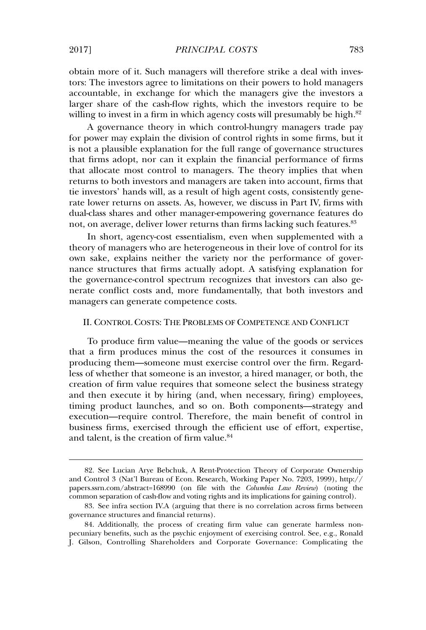obtain more of it. Such managers will therefore strike a deal with investors: The investors agree to limitations on their powers to hold managers accountable, in exchange for which the managers give the investors a larger share of the cash-flow rights, which the investors require to be willing to invest in a firm in which agency costs will presumably be high.<sup>82</sup>

A governance theory in which control-hungry managers trade pay for power may explain the division of control rights in some firms, but it is not a plausible explanation for the full range of governance structures that firms adopt, nor can it explain the financial performance of firms that allocate most control to managers. The theory implies that when returns to both investors and managers are taken into account, firms that tie investors' hands will, as a result of high agent costs, consistently generate lower returns on assets. As, however, we discuss in Part IV, firms with dual-class shares and other manager-empowering governance features do not, on average, deliver lower returns than firms lacking such features.<sup>83</sup>

In short, agency-cost essentialism, even when supplemented with a theory of managers who are heterogeneous in their love of control for its own sake, explains neither the variety nor the performance of governance structures that firms actually adopt. A satisfying explanation for the governance-control spectrum recognizes that investors can also generate conflict costs and, more fundamentally, that both investors and managers can generate competence costs.

# II. CONTROL COSTS: THE PROBLEMS OF COMPETENCE AND CONFLICT

To produce firm value—meaning the value of the goods or services that a firm produces minus the cost of the resources it consumes in producing them—someone must exercise control over the firm. Regardless of whether that someone is an investor, a hired manager, or both, the creation of firm value requires that someone select the business strategy and then execute it by hiring (and, when necessary, firing) employees, timing product launches, and so on. Both components—strategy and execution—require control. Therefore, the main benefit of control in business firms, exercised through the efficient use of effort, expertise, and talent, is the creation of firm value.<sup>84</sup>

<sup>82.</sup> See Lucian Arye Bebchuk, A Rent-Protection Theory of Corporate Ownership and Control 3 (Nat'l Bureau of Econ. Research, Working Paper No. 7203, 1999), http:// papers.ssrn.com/abstract=168990 (on file with the *Columbia Law Review*) (noting the common separation of cash-flow and voting rights and its implications for gaining control).

<sup>83.</sup> See infra section IV.A (arguing that there is no correlation across firms between governance structures and financial returns).

<sup>84.</sup> Additionally, the process of creating firm value can generate harmless nonpecuniary benefits, such as the psychic enjoyment of exercising control. See, e.g., Ronald J. Gilson, Controlling Shareholders and Corporate Governance: Complicating the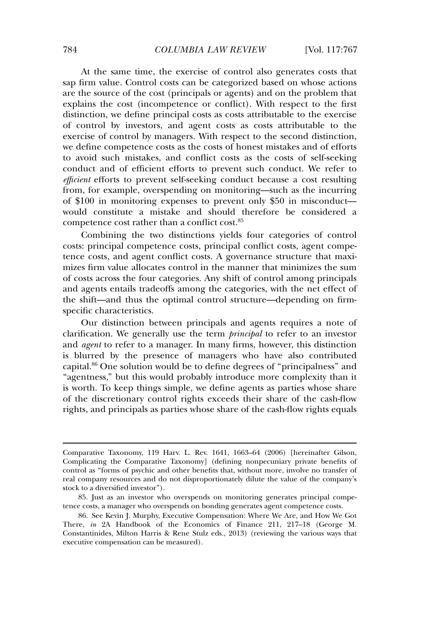At the same time, the exercise of control also generates costs that sap firm value. Control costs can be categorized based on whose actions are the source of the cost (principals or agents) and on the problem that explains the cost (incompetence or conflict). With respect to the first distinction, we define principal costs as costs attributable to the exercise of control by investors, and agent costs as costs attributable to the exercise of control by managers. With respect to the second distinction, we define competence costs as the costs of honest mistakes and of efforts to avoid such mistakes, and conflict costs as the costs of self-seeking conduct and of efficient efforts to prevent such conduct. We refer to *efficient* efforts to prevent self-seeking conduct because a cost resulting from, for example, overspending on monitoring—such as the incurring of \$100 in monitoring expenses to prevent only \$50 in misconduct would constitute a mistake and should therefore be considered a competence cost rather than a conflict cost.<sup>85</sup>

Combining the two distinctions yields four categories of control costs: principal competence costs, principal conflict costs, agent competence costs, and agent conflict costs. A governance structure that maximizes firm value allocates control in the manner that minimizes the sum of costs across the four categories. Any shift of control among principals and agents entails tradeoffs among the categories, with the net effect of the shift—and thus the optimal control structure—depending on firmspecific characteristics.

Our distinction between principals and agents requires a note of clarification. We generally use the term *principal* to refer to an investor and *agent* to refer to a manager. In many firms, however, this distinction is blurred by the presence of managers who have also contributed capital.<sup>86</sup> One solution would be to define degrees of "principalness" and "agentness," but this would probably introduce more complexity than it is worth. To keep things simple, we define agents as parties whose share of the discretionary control rights exceeds their share of the cash-flow rights, and principals as parties whose share of the cash-flow rights equals

Comparative Taxonomy, 119 Harv. L. Rev. 1641, 1663–64 (2006) [hereinafter Gilson, Complicating the Comparative Taxonomy] (defining nonpecuniary private benefits of control as "forms of psychic and other benefits that, without more, involve no transfer of real company resources and do not disproportionately dilute the value of the company's stock to a diversified investor").

<sup>85.</sup> Just as an investor who overspends on monitoring generates principal competence costs, a manager who overspends on bonding generates agent competence costs.

<sup>86.</sup> See Kevin J. Murphy, Executive Compensation: Where We Are, and How We Got There, *in* 2A Handbook of the Economics of Finance 211, 217–18 (George M. Constantinides, Milton Harris & Rene Stulz eds., 2013) (reviewing the various ways that executive compensation can be measured).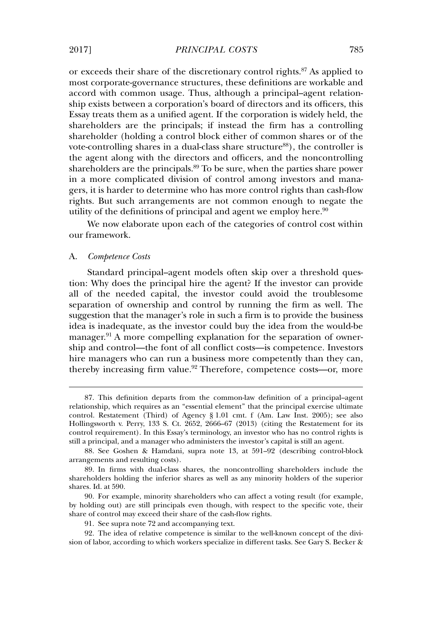or exceeds their share of the discretionary control rights.<sup>87</sup> As applied to most corporate-governance structures, these definitions are workable and accord with common usage. Thus, although a principal–agent relationship exists between a corporation's board of directors and its officers, this Essay treats them as a unified agent. If the corporation is widely held, the shareholders are the principals; if instead the firm has a controlling shareholder (holding a control block either of common shares or of the vote-controlling shares in a dual-class share structure<sup>88</sup>), the controller is the agent along with the directors and officers, and the noncontrolling shareholders are the principals.<sup>89</sup> To be sure, when the parties share power in a more complicated division of control among investors and managers, it is harder to determine who has more control rights than cash-flow rights. But such arrangements are not common enough to negate the utility of the definitions of principal and agent we employ here. $90$ 

We now elaborate upon each of the categories of control cost within our framework.

#### A. *Competence Costs*

Standard principal–agent models often skip over a threshold question: Why does the principal hire the agent? If the investor can provide all of the needed capital, the investor could avoid the troublesome separation of ownership and control by running the firm as well. The suggestion that the manager's role in such a firm is to provide the business idea is inadequate, as the investor could buy the idea from the would-be manager.<sup>91</sup> A more compelling explanation for the separation of ownership and control—the font of all conflict costs—is competence. Investors hire managers who can run a business more competently than they can, thereby increasing firm value.<sup>92</sup> Therefore, competence costs—or, more

<sup>87.</sup> This definition departs from the common-law definition of a principal–agent relationship, which requires as an "essential element" that the principal exercise ultimate control. Restatement (Third) of Agency § 1.01 cmt. f (Am. Law Inst. 2005); see also Hollingsworth v. Perry, 133 S. Ct. 2652, 2666–67 (2013) (citing the Restatement for its control requirement). In this Essay's terminology, an investor who has no control rights is still a principal, and a manager who administers the investor's capital is still an agent.

<sup>88.</sup> See Goshen & Hamdani, supra note 13, at 591–92 (describing control-block arrangements and resulting costs).

<sup>89.</sup> In firms with dual-class shares, the noncontrolling shareholders include the shareholders holding the inferior shares as well as any minority holders of the superior shares. Id. at 590.

<sup>90.</sup> For example, minority shareholders who can affect a voting result (for example, by holding out) are still principals even though, with respect to the specific vote, their share of control may exceed their share of the cash-flow rights.

<sup>91.</sup> See supra note 72 and accompanying text.

<sup>92.</sup> The idea of relative competence is similar to the well-known concept of the division of labor, according to which workers specialize in different tasks. See Gary S. Becker &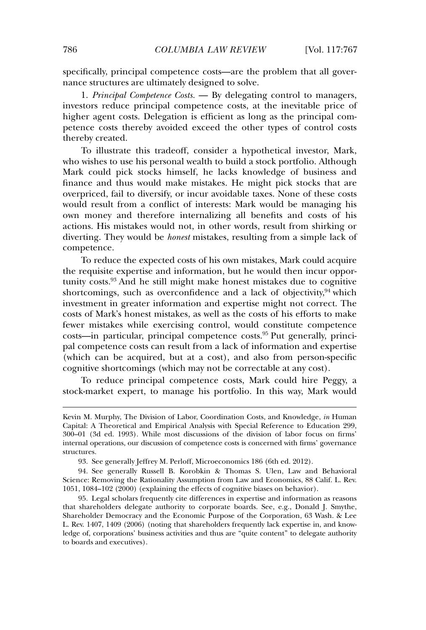specifically, principal competence costs—are the problem that all governance structures are ultimately designed to solve.

1. *Principal Competence Costs.* — By delegating control to managers, investors reduce principal competence costs, at the inevitable price of higher agent costs. Delegation is efficient as long as the principal competence costs thereby avoided exceed the other types of control costs thereby created.

To illustrate this tradeoff, consider a hypothetical investor, Mark, who wishes to use his personal wealth to build a stock portfolio. Although Mark could pick stocks himself, he lacks knowledge of business and finance and thus would make mistakes. He might pick stocks that are overpriced, fail to diversify, or incur avoidable taxes. None of these costs would result from a conflict of interests: Mark would be managing his own money and therefore internalizing all benefits and costs of his actions. His mistakes would not, in other words, result from shirking or diverting. They would be *honest* mistakes, resulting from a simple lack of competence.

To reduce the expected costs of his own mistakes, Mark could acquire the requisite expertise and information, but he would then incur opportunity costs.<sup>93</sup> And he still might make honest mistakes due to cognitive shortcomings, such as overconfidence and a lack of objectivity,  $94$  which investment in greater information and expertise might not correct. The costs of Mark's honest mistakes, as well as the costs of his efforts to make fewer mistakes while exercising control, would constitute competence costs—in particular, principal competence costs.<sup>95</sup> Put generally, principal competence costs can result from a lack of information and expertise (which can be acquired, but at a cost), and also from person-specific cognitive shortcomings (which may not be correctable at any cost).

To reduce principal competence costs, Mark could hire Peggy, a stock-market expert, to manage his portfolio. In this way, Mark would

Kevin M. Murphy, The Division of Labor, Coordination Costs, and Knowledge, *in* Human Capital: A Theoretical and Empirical Analysis with Special Reference to Education 299, 300–01 (3d ed. 1993). While most discussions of the division of labor focus on firms' internal operations, our discussion of competence costs is concerned with firms' governance structures.

<sup>93.</sup> See generally Jeffrey M. Perloff, Microeconomics 186 (6th ed. 2012).

<sup>94.</sup> See generally Russell B. Korobkin & Thomas S. Ulen, Law and Behavioral Science: Removing the Rationality Assumption from Law and Economics, 88 Calif. L. Rev. 1051, 1084–102 (2000) (explaining the effects of cognitive biases on behavior).

<sup>95.</sup> Legal scholars frequently cite differences in expertise and information as reasons that shareholders delegate authority to corporate boards. See, e.g., Donald J. Smythe, Shareholder Democracy and the Economic Purpose of the Corporation, 63 Wash. & Lee L. Rev. 1407, 1409 (2006) (noting that shareholders frequently lack expertise in, and knowledge of, corporations' business activities and thus are "quite content" to delegate authority to boards and executives).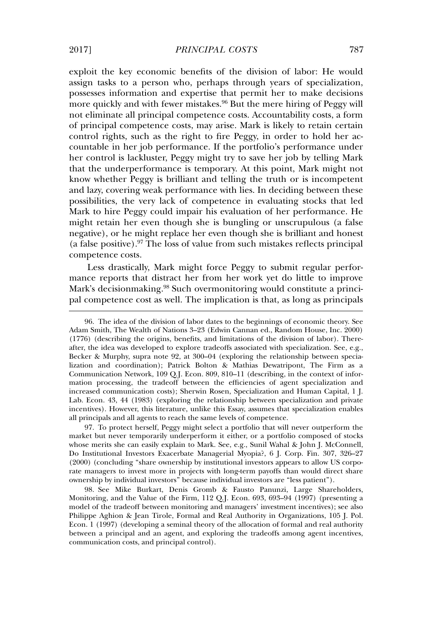exploit the key economic benefits of the division of labor: He would assign tasks to a person who, perhaps through years of specialization, possesses information and expertise that permit her to make decisions more quickly and with fewer mistakes.<sup>96</sup> But the mere hiring of Peggy will not eliminate all principal competence costs. Accountability costs, a form of principal competence costs, may arise. Mark is likely to retain certain control rights, such as the right to fire Peggy, in order to hold her accountable in her job performance. If the portfolio's performance under her control is lackluster, Peggy might try to save her job by telling Mark that the underperformance is temporary. At this point, Mark might not know whether Peggy is brilliant and telling the truth or is incompetent and lazy, covering weak performance with lies. In deciding between these possibilities, the very lack of competence in evaluating stocks that led Mark to hire Peggy could impair his evaluation of her performance. He might retain her even though she is bungling or unscrupulous (a false negative), or he might replace her even though she is brilliant and honest (a false positive). $97$  The loss of value from such mistakes reflects principal competence costs.

Less drastically, Mark might force Peggy to submit regular performance reports that distract her from her work yet do little to improve Mark's decisionmaking.<sup>98</sup> Such overmonitoring would constitute a principal competence cost as well. The implication is that, as long as principals

97. To protect herself, Peggy might select a portfolio that will never outperform the market but never temporarily underperform it either, or a portfolio composed of stocks whose merits she can easily explain to Mark. See, e.g., Sunil Wahal & John J. McConnell, Do Institutional Investors Exacerbate Managerial Myopia?, 6 J. Corp. Fin. 307, 326–27 (2000) (concluding "share ownership by institutional investors appears to allow US corporate managers to invest more in projects with long-term payoffs than would direct share ownership by individual investors" because individual investors are "less patient").

98. See Mike Burkart, Denis Gromb & Fausto Panunzi, Large Shareholders, Monitoring, and the Value of the Firm, 112 Q.J. Econ. 693, 693–94 (1997) (presenting a model of the tradeoff between monitoring and managers' investment incentives); see also Philippe Aghion & Jean Tirole, Formal and Real Authority in Organizations, 105 J. Pol. Econ. 1 (1997) (developing a seminal theory of the allocation of formal and real authority between a principal and an agent, and exploring the tradeoffs among agent incentives, communication costs, and principal control).

<sup>96.</sup> The idea of the division of labor dates to the beginnings of economic theory. See Adam Smith, The Wealth of Nations 3–23 (Edwin Cannan ed., Random House, Inc. 2000) (1776) (describing the origins, benefits, and limitations of the division of labor). Thereafter, the idea was developed to explore tradeoffs associated with specialization. See, e.g., Becker & Murphy, supra note 92, at 300–04 (exploring the relationship between specialization and coordination); Patrick Bolton & Mathias Dewatripont, The Firm as a Communication Network, 109 Q.J. Econ. 809, 810–11 (describing, in the context of information processing, the tradeoff between the efficiencies of agent specialization and increased communication costs); Sherwin Rosen, Specialization and Human Capital, 1 J. Lab. Econ. 43, 44 (1983) (exploring the relationship between specialization and private incentives). However, this literature, unlike this Essay, assumes that specialization enables all principals and all agents to reach the same levels of competence.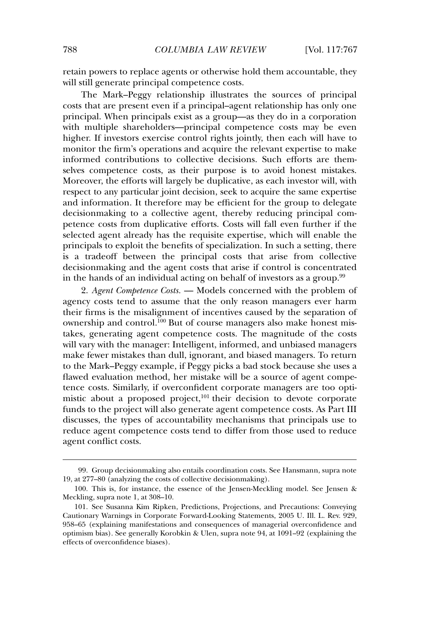retain powers to replace agents or otherwise hold them accountable, they will still generate principal competence costs.

The Mark–Peggy relationship illustrates the sources of principal costs that are present even if a principal–agent relationship has only one principal. When principals exist as a group—as they do in a corporation with multiple shareholders—principal competence costs may be even higher. If investors exercise control rights jointly, then each will have to monitor the firm's operations and acquire the relevant expertise to make informed contributions to collective decisions. Such efforts are themselves competence costs, as their purpose is to avoid honest mistakes. Moreover, the efforts will largely be duplicative, as each investor will, with respect to any particular joint decision, seek to acquire the same expertise and information. It therefore may be efficient for the group to delegate decisionmaking to a collective agent, thereby reducing principal competence costs from duplicative efforts. Costs will fall even further if the selected agent already has the requisite expertise, which will enable the principals to exploit the benefits of specialization. In such a setting, there is a tradeoff between the principal costs that arise from collective decisionmaking and the agent costs that arise if control is concentrated in the hands of an individual acting on behalf of investors as a group.<sup>99</sup>

2. *Agent Competence Costs.* — Models concerned with the problem of agency costs tend to assume that the only reason managers ever harm their firms is the misalignment of incentives caused by the separation of ownership and control.<sup>100</sup> But of course managers also make honest mistakes, generating agent competence costs. The magnitude of the costs will vary with the manager: Intelligent, informed, and unbiased managers make fewer mistakes than dull, ignorant, and biased managers. To return to the Mark–Peggy example, if Peggy picks a bad stock because she uses a flawed evaluation method, her mistake will be a source of agent competence costs. Similarly, if overconfident corporate managers are too optimistic about a proposed project, $101$  their decision to devote corporate funds to the project will also generate agent competence costs. As Part III discusses, the types of accountability mechanisms that principals use to reduce agent competence costs tend to differ from those used to reduce agent conflict costs.

<sup>99.</sup> Group decisionmaking also entails coordination costs. See Hansmann, supra note 19, at 277–80 (analyzing the costs of collective decisionmaking).

<sup>100.</sup> This is, for instance, the essence of the Jensen-Meckling model. See Jensen & Meckling, supra note 1, at 308–10.

<sup>101.</sup> See Susanna Kim Ripken, Predictions, Projections, and Precautions: Conveying Cautionary Warnings in Corporate Forward-Looking Statements, 2005 U. Ill. L. Rev. 929, 958–65 (explaining manifestations and consequences of managerial overconfidence and optimism bias). See generally Korobkin & Ulen, supra note 94, at 1091–92 (explaining the effects of overconfidence biases).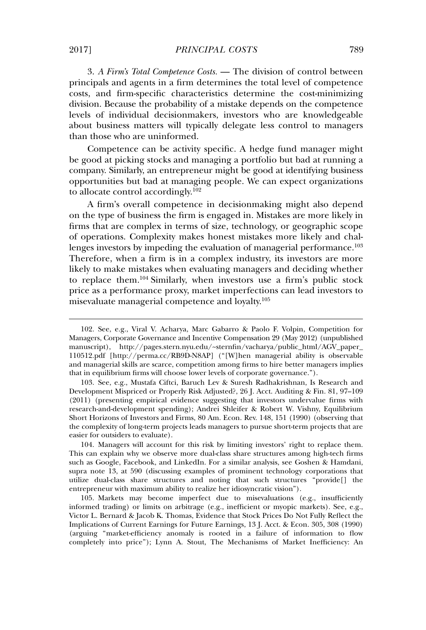3. *A Firm's Total Competence Costs.* — The division of control between principals and agents in a firm determines the total level of competence costs, and firm-specific characteristics determine the cost-minimizing division. Because the probability of a mistake depends on the competence levels of individual decisionmakers, investors who are knowledgeable about business matters will typically delegate less control to managers than those who are uninformed.

Competence can be activity specific. A hedge fund manager might be good at picking stocks and managing a portfolio but bad at running a company. Similarly, an entrepreneur might be good at identifying business opportunities but bad at managing people. We can expect organizations to allocate control accordingly.<sup>102</sup>

A firm's overall competence in decisionmaking might also depend on the type of business the firm is engaged in. Mistakes are more likely in firms that are complex in terms of size, technology, or geographic scope of operations. Complexity makes honest mistakes more likely and challenges investors by impeding the evaluation of managerial performance.<sup>103</sup> Therefore, when a firm is in a complex industry, its investors are more likely to make mistakes when evaluating managers and deciding whether to replace them.<sup>104</sup> Similarly, when investors use a firm's public stock price as a performance proxy, market imperfections can lead investors to misevaluate managerial competence and loyalty.<sup>105</sup>

<sup>102.</sup> See, e.g., Viral V. Acharya, Marc Gabarro & Paolo F. Volpin, Competition for Managers, Corporate Governance and Incentive Compensation 29 (May 2012) (unpublished manuscript), http://pages.stern.nyu.edu/~sternfin/vacharya/public\_html/AGV\_paper\_ 110512.pdf [http://perma.cc/RB9D-N8AP] ("[W]hen managerial ability is observable and managerial skills are scarce, competition among firms to hire better managers implies that in equilibrium firms will choose lower levels of corporate governance.").

<sup>103.</sup> See, e.g., Mustafa Ciftci, Baruch Lev & Suresh Radhakrishnan, Is Research and Development Mispriced or Properly Risk Adjusted?, 26 J. Acct. Auditing & Fin. 81, 97–109 (2011) (presenting empirical evidence suggesting that investors undervalue firms with research-and-development spending); Andrei Shleifer & Robert W. Vishny, Equilibrium Short Horizons of Investors and Firms, 80 Am. Econ. Rev. 148, 151 (1990) (observing that the complexity of long-term projects leads managers to pursue short-term projects that are easier for outsiders to evaluate).

<sup>104.</sup> Managers will account for this risk by limiting investors' right to replace them. This can explain why we observe more dual-class share structures among high-tech firms such as Google, Facebook, and LinkedIn. For a similar analysis, see Goshen & Hamdani, supra note 13, at 590 (discussing examples of prominent technology corporations that utilize dual-class share structures and noting that such structures "provide[] the entrepreneur with maximum ability to realize her idiosyncratic vision").

<sup>105.</sup> Markets may become imperfect due to misevaluations (e.g., insufficiently informed trading) or limits on arbitrage (e.g., inefficient or myopic markets). See, e.g., Victor L. Bernard & Jacob K. Thomas, Evidence that Stock Prices Do Not Fully Reflect the Implications of Current Earnings for Future Earnings, 13 J. Acct. & Econ. 305, 308 (1990) (arguing "market-efficiency anomaly is rooted in a failure of information to flow completely into price"); Lynn A. Stout, The Mechanisms of Market Inefficiency: An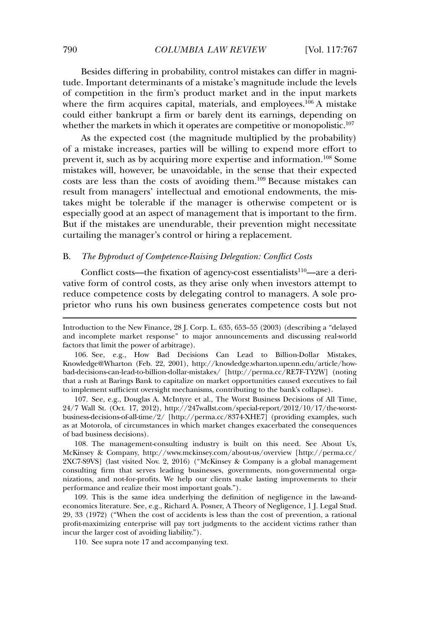Besides differing in probability, control mistakes can differ in magnitude. Important determinants of a mistake's magnitude include the levels of competition in the firm's product market and in the input markets where the firm acquires capital, materials, and employees.<sup>106</sup> A mistake could either bankrupt a firm or barely dent its earnings, depending on whether the markets in which it operates are competitive or monopolistic.<sup>107</sup>

As the expected cost (the magnitude multiplied by the probability) of a mistake increases, parties will be willing to expend more effort to prevent it, such as by acquiring more expertise and information.<sup>108</sup> Some mistakes will, however, be unavoidable, in the sense that their expected costs are less than the costs of avoiding them.<sup>109</sup> Because mistakes can result from managers' intellectual and emotional endowments, the mistakes might be tolerable if the manager is otherwise competent or is especially good at an aspect of management that is important to the firm. But if the mistakes are unendurable, their prevention might necessitate curtailing the manager's control or hiring a replacement.

### B. *The Byproduct of Competence-Raising Delegation: Conflict Costs*

Conflict costs—the fixation of agency-cost essentialists<sup>110</sup>—are a derivative form of control costs, as they arise only when investors attempt to reduce competence costs by delegating control to managers. A sole proprietor who runs his own business generates competence costs but not

107. See, e.g., Douglas A. McIntyre et al., The Worst Business Decisions of All Time, 24/7 Wall St. (Oct. 17, 2012), http://247wallst.com/special-report/2012/10/17/the-worstbusiness-decisions-of-all-time/2/ [http://perma.cc/8374-XHE7] (providing examples, such as at Motorola, of circumstances in which market changes exacerbated the consequences of bad business decisions).

108. The management-consulting industry is built on this need. See About Us, McKinsey & Company, http://www.mckinsey.com/about-us/overview [http://perma.cc/ 2XC7-S9VS] (last visited Nov. 2, 2016) ("McKinsey & Company is a global management consulting firm that serves leading businesses, governments, non-governmental organizations, and not-for-profits. We help our clients make lasting improvements to their performance and realize their most important goals.").

109. This is the same idea underlying the definition of negligence in the law-andeconomics literature. See, e.g., Richard A. Posner, A Theory of Negligence, 1 J. Legal Stud. 29, 33 (1972) ("When the cost of accidents is less than the cost of prevention, a rational profit-maximizing enterprise will pay tort judgments to the accident victims rather than incur the larger cost of avoiding liability.").

110. See supra note 17 and accompanying text.

Introduction to the New Finance, 28 J. Corp. L. 635, 653–55 (2003) (describing a "delayed and incomplete market response" to major announcements and discussing real-world factors that limit the power of arbitrage).

<sup>106.</sup> See, e.g., How Bad Decisions Can Lead to Billion-Dollar Mistakes, Knowledge@Wharton (Feb. 22, 2001), http://knowledge.wharton.upenn.edu/article/howbad-decisions-can-lead-to-billion-dollar-mistakes/ [http://perma.cc/RE7F-TY2W] (noting that a rush at Barings Bank to capitalize on market opportunities caused executives to fail to implement sufficient oversight mechanisms, contributing to the bank's collapse).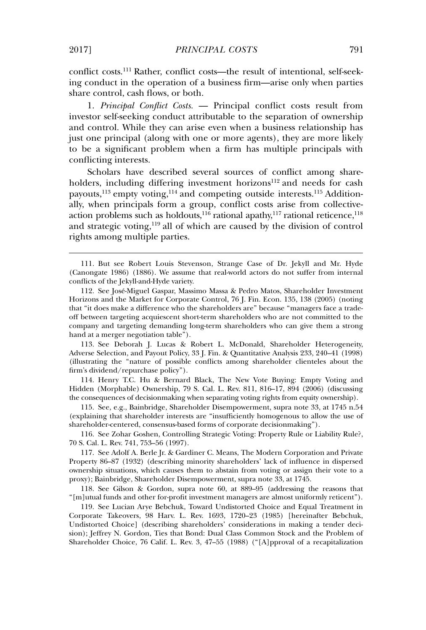conflict costs.<sup>111</sup> Rather, conflict costs—the result of intentional, self-seeking conduct in the operation of a business firm—arise only when parties share control, cash flows, or both.

1. *Principal Conflict Costs.* — Principal conflict costs result from investor self-seeking conduct attributable to the separation of ownership and control. While they can arise even when a business relationship has just one principal (along with one or more agents), they are more likely to be a significant problem when a firm has multiple principals with conflicting interests.

Scholars have described several sources of conflict among shareholders, including differing investment horizons<sup>112</sup> and needs for cash payouts,<sup>113</sup> empty voting,<sup>114</sup> and competing outside interests.<sup>115</sup> Additionally, when principals form a group, conflict costs arise from collectiveaction problems such as holdouts, $116$  rational apathy, $117$  rational reticence, $118$ and strategic voting,<sup>119</sup> all of which are caused by the division of control rights among multiple parties.

113. See Deborah J. Lucas & Robert L. McDonald, Shareholder Heterogeneity, Adverse Selection, and Payout Policy, 33 J. Fin. & Quantitative Analysis 233, 240–41 (1998) (illustrating the "nature of possible conflicts among shareholder clienteles about the firm's dividend/repurchase policy").

114. Henry T.C. Hu & Bernard Black, The New Vote Buying: Empty Voting and Hidden (Morphable) Ownership, 79 S. Cal. L. Rev. 811, 816–17, 894 (2006) (discussing the consequences of decisionmaking when separating voting rights from equity ownership).

115. See, e.g., Bainbridge, Shareholder Disempowerment, supra note 33, at 1745 n.54 (explaining that shareholder interests are "insufficiently homogenous to allow the use of shareholder-centered, consensus-based forms of corporate decisionmaking").

116. See Zohar Goshen, Controlling Strategic Voting: Property Rule or Liability Rule?, 70 S. Cal. L. Rev. 741, 753–56 (1997).

117. See Adolf A. Berle Jr. & Gardiner C. Means, The Modern Corporation and Private Property 86–87 (1932) (describing minority shareholders' lack of influence in dispersed ownership situations, which causes them to abstain from voting or assign their vote to a proxy); Bainbridge, Shareholder Disempowerment, supra note 33, at 1745.

118. See Gilson & Gordon, supra note 60, at 889–95 (addressing the reasons that "[m]utual funds and other for-profit investment managers are almost uniformly reticent").

119. See Lucian Arye Bebchuk, Toward Undistorted Choice and Equal Treatment in Corporate Takeovers, 98 Harv. L. Rev. 1693, 1720–23 (1985) [hereinafter Bebchuk, Undistorted Choice] (describing shareholders' considerations in making a tender decision); Jeffrey N. Gordon, Ties that Bond: Dual Class Common Stock and the Problem of Shareholder Choice, 76 Calif. L. Rev. 3, 47–55 (1988) ("[A]pproval of a recapitalization

<sup>111.</sup> But see Robert Louis Stevenson, Strange Case of Dr. Jekyll and Mr. Hyde (Canongate 1986) (1886). We assume that real-world actors do not suffer from internal conflicts of the Jekyll-and-Hyde variety.

<sup>112.</sup> See José-Miguel Gaspar, Massimo Massa & Pedro Matos, Shareholder Investment Horizons and the Market for Corporate Control, 76 J. Fin. Econ. 135, 138 (2005) (noting that "it does make a difference who the shareholders are" because "managers face a tradeoff between targeting acquiescent short-term shareholders who are not committed to the company and targeting demanding long-term shareholders who can give them a strong hand at a merger negotiation table").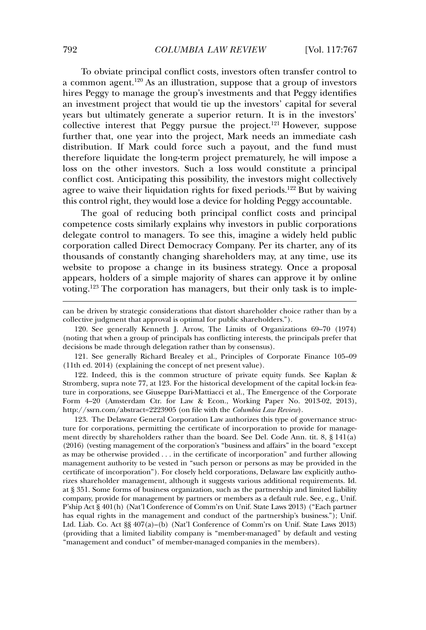To obviate principal conflict costs, investors often transfer control to a common agent.<sup>120</sup> As an illustration, suppose that a group of investors hires Peggy to manage the group's investments and that Peggy identifies an investment project that would tie up the investors' capital for several years but ultimately generate a superior return. It is in the investors' collective interest that Peggy pursue the project.<sup>121</sup> However, suppose further that, one year into the project, Mark needs an immediate cash distribution. If Mark could force such a payout, and the fund must therefore liquidate the long-term project prematurely, he will impose a loss on the other investors. Such a loss would constitute a principal conflict cost. Anticipating this possibility, the investors might collectively agree to waive their liquidation rights for fixed periods.<sup>122</sup> But by waiving this control right, they would lose a device for holding Peggy accountable.

The goal of reducing both principal conflict costs and principal competence costs similarly explains why investors in public corporations delegate control to managers. To see this, imagine a widely held public corporation called Direct Democracy Company. Per its charter, any of its thousands of constantly changing shareholders may, at any time, use its website to propose a change in its business strategy. Once a proposal appears, holders of a simple majority of shares can approve it by online voting.<sup>123</sup> The corporation has managers, but their only task is to imple-

121. See generally Richard Brealey et al., Principles of Corporate Finance 105–09 (11th ed. 2014) (explaining the concept of net present value).

122. Indeed, this is the common structure of private equity funds. See Kaplan & Stromberg, supra note 77, at 123. For the historical development of the capital lock-in feature in corporations, see Giuseppe Dari-Mattiacci et al., The Emergence of the Corporate Form 4–20 (Amsterdam Ctr. for Law & Econ., Working Paper No. 2013-02, 2013), http://ssrn.com/abstract=2223905 (on file with the *Columbia Law Review*).

123. The Delaware General Corporation Law authorizes this type of governance structure for corporations, permitting the certificate of incorporation to provide for management directly by shareholders rather than the board. See Del. Code Ann. tit. 8, § 141(a) (2016) (vesting management of the corporation's "business and affairs" in the board "except as may be otherwise provided . . . in the certificate of incorporation" and further allowing management authority to be vested in "such person or persons as may be provided in the certificate of incorporation"). For closely held corporations, Delaware law explicitly authorizes shareholder management, although it suggests various additional requirements. Id. at § 351. Some forms of business organization, such as the partnership and limited liability company, provide for management by partners or members as a default rule. See, e.g., Unif. P'ship Act § 401(h) (Nat'l Conference of Comm'rs on Unif. State Laws 2013) ("Each partner has equal rights in the management and conduct of the partnership's business."); Unif. Ltd. Liab. Co. Act §§ 407(a)–(b) (Nat'l Conference of Comm'rs on Unif. State Laws 2013) (providing that a limited liability company is "member-managed" by default and vesting "management and conduct" of member-managed companies in the members).

can be driven by strategic considerations that distort shareholder choice rather than by a collective judgment that approval is optimal for public shareholders.").

<sup>120.</sup> See generally Kenneth J. Arrow, The Limits of Organizations 69–70 (1974) (noting that when a group of principals has conflicting interests, the principals prefer that decisions be made through delegation rather than by consensus).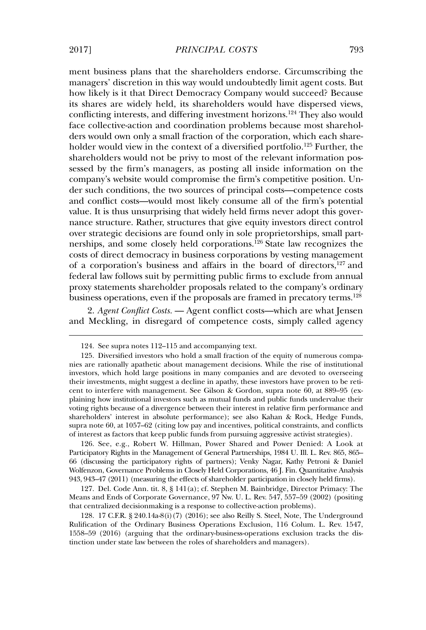ment business plans that the shareholders endorse. Circumscribing the managers' discretion in this way would undoubtedly limit agent costs. But how likely is it that Direct Democracy Company would succeed? Because its shares are widely held, its shareholders would have dispersed views, conflicting interests, and differing investment horizons.<sup>124</sup> They also would face collective-action and coordination problems because most shareholders would own only a small fraction of the corporation, which each shareholder would view in the context of a diversified portfolio.<sup>125</sup> Further, the shareholders would not be privy to most of the relevant information possessed by the firm's managers, as posting all inside information on the company's website would compromise the firm's competitive position. Under such conditions, the two sources of principal costs—competence costs and conflict costs—would most likely consume all of the firm's potential value. It is thus unsurprising that widely held firms never adopt this governance structure. Rather, structures that give equity investors direct control over strategic decisions are found only in sole proprietorships, small partnerships, and some closely held corporations.<sup>126</sup> State law recognizes the costs of direct democracy in business corporations by vesting management of a corporation's business and affairs in the board of directors,<sup>127</sup> and federal law follows suit by permitting public firms to exclude from annual proxy statements shareholder proposals related to the company's ordinary business operations, even if the proposals are framed in precatory terms.<sup>128</sup>

2. *Agent Conflict Costs.* — Agent conflict costs—which are what Jensen and Meckling, in disregard of competence costs, simply called agency

126. See, e.g., Robert W. Hillman, Power Shared and Power Denied: A Look at Participatory Rights in the Management of General Partnerships, 1984 U. Ill. L. Rev. 865, 865– 66 (discussing the participatory rights of partners); Venky Nagar, Kathy Petroni & Daniel Wolfenzon, Governance Problems in Closely Held Corporations, 46 J. Fin. Quantitative Analysis 943, 943–47 (2011) (measuring the effects of shareholder participation in closely held firms).

127. Del. Code Ann. tit. 8, § 141(a); cf. Stephen M. Bainbridge, Director Primacy: The Means and Ends of Corporate Governance, 97 Nw. U. L. Rev. 547, 557–59 (2002) (positing that centralized decisionmaking is a response to collective-action problems).

<sup>124.</sup> See supra notes 112–115 and accompanying text.

<sup>125.</sup> Diversified investors who hold a small fraction of the equity of numerous companies are rationally apathetic about management decisions. While the rise of institutional investors, which hold large positions in many companies and are devoted to overseeing their investments, might suggest a decline in apathy, these investors have proven to be reticent to interfere with management. See Gilson & Gordon, supra note 60, at 889–95 (explaining how institutional investors such as mutual funds and public funds undervalue their voting rights because of a divergence between their interest in relative firm performance and shareholders' interest in absolute performance); see also Kahan & Rock, Hedge Funds, supra note 60, at 1057–62 (citing low pay and incentives, political constraints, and conflicts of interest as factors that keep public funds from pursuing aggressive activist strategies).

<sup>128.</sup> 17 C.F.R. § 240.14a-8(i)(7) (2016); see also Reilly S. Steel, Note, The Underground Rulification of the Ordinary Business Operations Exclusion, 116 Colum. L. Rev. 1547, 1558–59 (2016) (arguing that the ordinary-business-operations exclusion tracks the distinction under state law between the roles of shareholders and managers).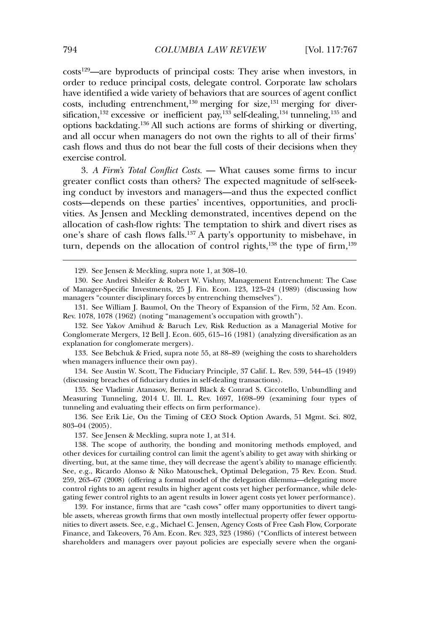$costs<sup>129</sup>$ —are byproducts of principal costs: They arise when investors, in order to reduce principal costs, delegate control. Corporate law scholars have identified a wide variety of behaviors that are sources of agent conflict costs, including entrenchment,<sup>130</sup> merging for size,<sup>131</sup> merging for diversification,<sup>132</sup> excessive or inefficient pay,<sup>133</sup> self-dealing,<sup>134</sup> tunneling,<sup>135</sup> and options backdating.<sup>136</sup> All such actions are forms of shirking or diverting, and all occur when managers do not own the rights to all of their firms' cash flows and thus do not bear the full costs of their decisions when they exercise control.

3. *A Firm's Total Conflict Costs.* — What causes some firms to incur greater conflict costs than others? The expected magnitude of self-seeking conduct by investors and managers—and thus the expected conflict costs—depends on these parties' incentives, opportunities, and proclivities. As Jensen and Meckling demonstrated, incentives depend on the allocation of cash-flow rights: The temptation to shirk and divert rises as one's share of cash flows falls.<sup>137</sup> A party's opportunity to misbehave, in turn, depends on the allocation of control rights, $138$  the type of firm,  $139$ 

132. See Yakov Amihud & Baruch Lev, Risk Reduction as a Managerial Motive for Conglomerate Mergers, 12 Bell J. Econ. 605, 615–16 (1981) (analyzing diversification as an explanation for conglomerate mergers).

133. See Bebchuk & Fried, supra note 55, at 88–89 (weighing the costs to shareholders when managers influence their own pay).

134. See Austin W. Scott, The Fiduciary Principle, 37 Calif. L. Rev. 539, 544–45 (1949) (discussing breaches of fiduciary duties in self-dealing transactions).

135. See Vladimir Atanasov, Bernard Black & Conrad S. Ciccotello, Unbundling and Measuring Tunneling, 2014 U. Ill. L. Rev. 1697, 1698–99 (examining four types of tunneling and evaluating their effects on firm performance).

136. See Erik Lie, On the Timing of CEO Stock Option Awards, 51 Mgmt. Sci. 802, 803–04 (2005).

137. See Jensen & Meckling, supra note 1, at 314.

138. The scope of authority, the bonding and monitoring methods employed, and other devices for curtailing control can limit the agent's ability to get away with shirking or diverting, but, at the same time, they will decrease the agent's ability to manage efficiently. See, e.g., Ricardo Alonso & Niko Matouschek, Optimal Delegation, 75 Rev. Econ. Stud. 259, 263–67 (2008) (offering a formal model of the delegation dilemma—delegating more control rights to an agent results in higher agent costs yet higher performance, while delegating fewer control rights to an agent results in lower agent costs yet lower performance).

139. For instance, firms that are "cash cows" offer many opportunities to divert tangible assets, whereas growth firms that own mostly intellectual property offer fewer opportunities to divert assets. See, e.g., Michael C. Jensen, Agency Costs of Free Cash Flow, Corporate Finance, and Takeovers, 76 Am. Econ. Rev. 323, 323 (1986) ("Conflicts of interest between shareholders and managers over payout policies are especially severe when the organi-

<sup>129.</sup> See Jensen & Meckling, supra note 1, at 308–10.

<sup>130.</sup> See Andrei Shleifer & Robert W. Vishny, Management Entrenchment: The Case of Manager-Specific Investments, 25 J. Fin. Econ. 123, 123–24 (1989) (discussing how managers "counter disciplinary forces by entrenching themselves").

<sup>131.</sup> See William J. Baumol, On the Theory of Expansion of the Firm, 52 Am. Econ. Rev. 1078, 1078 (1962) (noting "management's occupation with growth").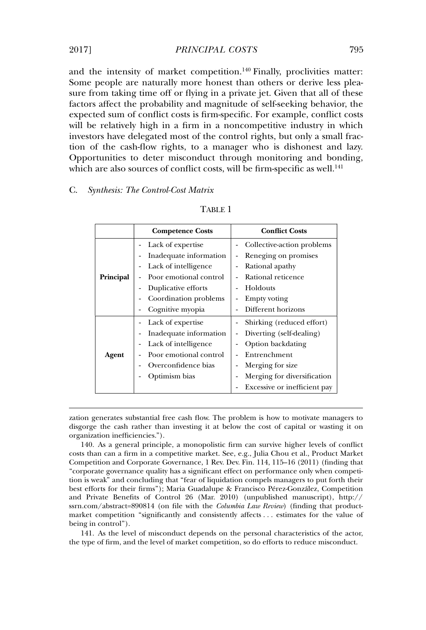and the intensity of market competition.<sup>140</sup> Finally, proclivities matter: Some people are naturally more honest than others or derive less pleasure from taking time off or flying in a private jet. Given that all of these factors affect the probability and magnitude of self-seeking behavior, the expected sum of conflict costs is firm-specific. For example, conflict costs will be relatively high in a firm in a noncompetitive industry in which investors have delegated most of the control rights, but only a small fraction of the cash-flow rights, to a manager who is dishonest and lazy. Opportunities to deter misconduct through monitoring and bonding, which are also sources of conflict costs, will be firm-specific as well.<sup>141</sup>

#### C. *Synthesis: The Control-Cost Matrix*

|           | <b>Competence Costs</b> | <b>Conflict Costs</b>        |
|-----------|-------------------------|------------------------------|
|           | Lack of expertise       | Collective-action problems   |
|           | Inadequate information  | Reneging on promises         |
|           | Lack of intelligence    | Rational apathy              |
| Principal | Poor emotional control  | Rational reticence           |
|           | Duplicative efforts     | Holdouts                     |
|           | Coordination problems   | <b>Empty voting</b>          |
|           | Cognitive myopia        | Different horizons           |
|           | Lack of expertise       | Shirking (reduced effort)    |
|           | Inadequate information  | Diverting (self-dealing)     |
|           | Lack of intelligence    | Option backdating            |
| Agent     | Poor emotional control  | Entrenchment                 |
|           | Overconfidence bias     | Merging for size             |
|           | Optimism bias           | Merging for diversification  |
|           |                         | Excessive or inefficient pay |

| ٠<br>. .<br>. .<br>٠<br>۹ |
|---------------------------|
|---------------------------|

zation generates substantial free cash flow. The problem is how to motivate managers to disgorge the cash rather than investing it at below the cost of capital or wasting it on organization inefficiencies.").

140. As a general principle, a monopolistic firm can survive higher levels of conflict costs than can a firm in a competitive market. See, e.g., Julia Chou et al., Product Market Competition and Corporate Governance, 1 Rev. Dev. Fin. 114, 115–16 (2011) (finding that "corporate governance quality has a significant effect on performance only when competition is weak" and concluding that "fear of liquidation compels managers to put forth their best efforts for their firms"); Maria Guadalupe & Francisco Pérez-González, Competition and Private Benefits of Control 26 (Mar. 2010) (unpublished manuscript), http:// ssrn.com/abstract=890814 (on file with the *Columbia Law Review*) (finding that productmarket competition "significantly and consistently affects . . . estimates for the value of being in control").

141. As the level of misconduct depends on the personal characteristics of the actor, the type of firm, and the level of market competition, so do efforts to reduce misconduct.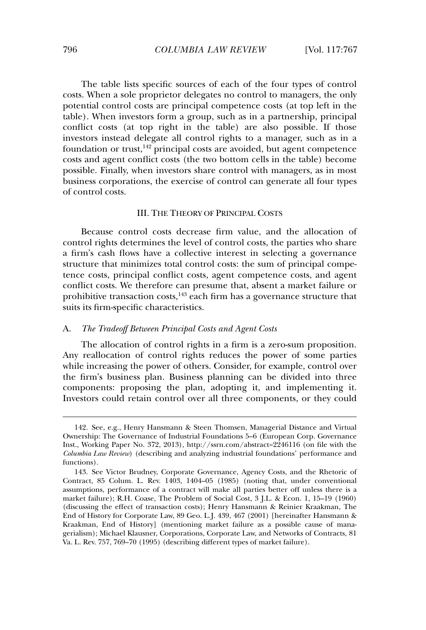The table lists specific sources of each of the four types of control costs. When a sole proprietor delegates no control to managers, the only potential control costs are principal competence costs (at top left in the table). When investors form a group, such as in a partnership, principal conflict costs (at top right in the table) are also possible. If those investors instead delegate all control rights to a manager, such as in a foundation or trust, $142$  principal costs are avoided, but agent competence costs and agent conflict costs (the two bottom cells in the table) become possible. Finally, when investors share control with managers, as in most business corporations, the exercise of control can generate all four types of control costs.

### III. THE THEORY OF PRINCIPAL COSTS

Because control costs decrease firm value, and the allocation of control rights determines the level of control costs, the parties who share a firm's cash flows have a collective interest in selecting a governance structure that minimizes total control costs: the sum of principal competence costs, principal conflict costs, agent competence costs, and agent conflict costs. We therefore can presume that, absent a market failure or prohibitive transaction costs, $143$  each firm has a governance structure that suits its firm-specific characteristics.

#### A. *The Tradeoff Between Principal Costs and Agent Costs*

The allocation of control rights in a firm is a zero-sum proposition. Any reallocation of control rights reduces the power of some parties while increasing the power of others. Consider, for example, control over the firm's business plan. Business planning can be divided into three components: proposing the plan, adopting it, and implementing it. Investors could retain control over all three components, or they could

<sup>142.</sup> See, e.g., Henry Hansmann & Steen Thomsen, Managerial Distance and Virtual Ownership: The Governance of Industrial Foundations 5–6 (European Corp. Governance Inst., Working Paper No. 372, 2013), http://ssrn.com/abstract=2246116 (on file with the *Columbia Law Review*) (describing and analyzing industrial foundations' performance and functions).

<sup>143.</sup> See Victor Brudney, Corporate Governance, Agency Costs, and the Rhetoric of Contract, 85 Colum. L. Rev. 1403, 1404–05 (1985) (noting that, under conventional assumptions, performance of a contract will make all parties better off unless there is a market failure); R.H. Coase, The Problem of Social Cost, 3 J.L. & Econ. 1, 15–19 (1960) (discussing the effect of transaction costs); Henry Hansmann & Reinier Kraakman, The End of History for Corporate Law, 89 Geo. L.J. 439, 467 (2001) [hereinafter Hansmann & Kraakman, End of History] (mentioning market failure as a possible cause of managerialism); Michael Klausner, Corporations, Corporate Law, and Networks of Contracts, 81 Va. L. Rev. 757, 769–70 (1995) (describing different types of market failure).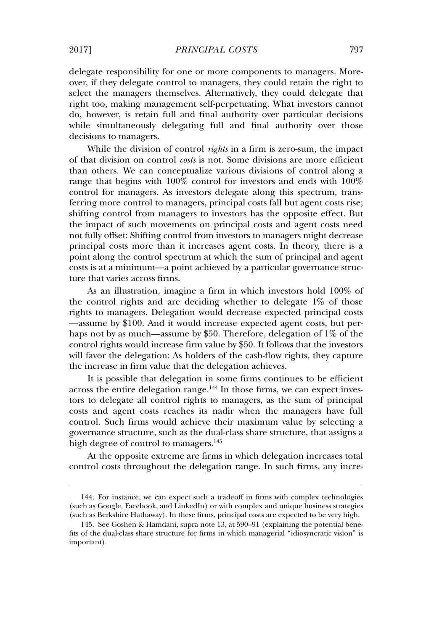delegate responsibility for one or more components to managers. Moreover, if they delegate control to managers, they could retain the right to select the managers themselves. Alternatively, they could delegate that right too, making management self-perpetuating. What investors cannot do, however, is retain full and final authority over particular decisions while simultaneously delegating full and final authority over those decisions to managers.

While the division of control *rights* in a firm is zero-sum, the impact of that division on control *costs* is not. Some divisions are more efficient than others. We can conceptualize various divisions of control along a range that begins with 100% control for investors and ends with 100% control for managers. As investors delegate along this spectrum, transferring more control to managers, principal costs fall but agent costs rise; shifting control from managers to investors has the opposite effect. But the impact of such movements on principal costs and agent costs need not fully offset: Shifting control from investors to managers might decrease principal costs more than it increases agent costs. In theory, there is a point along the control spectrum at which the sum of principal and agent costs is at a minimum—a point achieved by a particular governance structure that varies across firms.

As an illustration, imagine a firm in which investors hold 100% of the control rights and are deciding whether to delegate 1% of those rights to managers. Delegation would decrease expected principal costs —assume by \$100. And it would increase expected agent costs, but perhaps not by as much—assume by \$50. Therefore, delegation of 1% of the control rights would increase firm value by \$50. It follows that the investors will favor the delegation: As holders of the cash-flow rights, they capture the increase in firm value that the delegation achieves.

It is possible that delegation in some firms continues to be efficient across the entire delegation range.<sup>144</sup> In those firms, we can expect investors to delegate all control rights to managers, as the sum of principal costs and agent costs reaches its nadir when the managers have full control. Such firms would achieve their maximum value by selecting a governance structure, such as the dual-class share structure, that assigns a high degree of control to managers.<sup>145</sup>

At the opposite extreme are firms in which delegation increases total control costs throughout the delegation range. In such firms, any incre-

<sup>144.</sup> For instance, we can expect such a tradeoff in firms with complex technologies (such as Google, Facebook, and LinkedIn) or with complex and unique business strategies (such as Berkshire Hathaway). In these firms, principal costs are expected to be very high.

<sup>145.</sup> See Goshen & Hamdani, supra note 13, at 590–91 (explaining the potential benefits of the dual-class share structure for firms in which managerial "idiosyncratic vision" is important).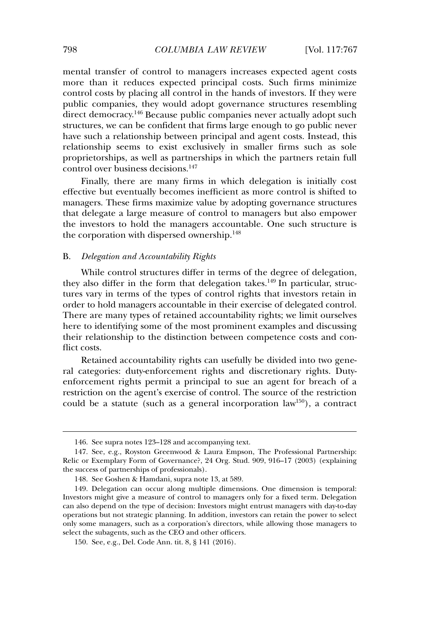mental transfer of control to managers increases expected agent costs more than it reduces expected principal costs. Such firms minimize control costs by placing all control in the hands of investors. If they were public companies, they would adopt governance structures resembling direct democracy.<sup>146</sup> Because public companies never actually adopt such structures, we can be confident that firms large enough to go public never have such a relationship between principal and agent costs. Instead, this relationship seems to exist exclusively in smaller firms such as sole proprietorships, as well as partnerships in which the partners retain full control over business decisions.<sup>147</sup>

Finally, there are many firms in which delegation is initially cost effective but eventually becomes inefficient as more control is shifted to managers. These firms maximize value by adopting governance structures that delegate a large measure of control to managers but also empower the investors to hold the managers accountable. One such structure is the corporation with dispersed ownership.<sup>148</sup>

#### B. *Delegation and Accountability Rights*

While control structures differ in terms of the degree of delegation, they also differ in the form that delegation takes.<sup>149</sup> In particular, structures vary in terms of the types of control rights that investors retain in order to hold managers accountable in their exercise of delegated control. There are many types of retained accountability rights; we limit ourselves here to identifying some of the most prominent examples and discussing their relationship to the distinction between competence costs and conflict costs.

Retained accountability rights can usefully be divided into two general categories: duty-enforcement rights and discretionary rights. Dutyenforcement rights permit a principal to sue an agent for breach of a restriction on the agent's exercise of control. The source of the restriction could be a statute (such as a general incorporation law<sup>150</sup>), a contract

<sup>146.</sup> See supra notes 123–128 and accompanying text.

<sup>147.</sup> See, e.g., Royston Greenwood & Laura Empson, The Professional Partnership: Relic or Exemplary Form of Governance?, 24 Org. Stud. 909, 916–17 (2003) (explaining the success of partnerships of professionals).

<sup>148.</sup> See Goshen & Hamdani, supra note 13, at 589.

<sup>149.</sup> Delegation can occur along multiple dimensions. One dimension is temporal: Investors might give a measure of control to managers only for a fixed term. Delegation can also depend on the type of decision: Investors might entrust managers with day-to-day operations but not strategic planning. In addition, investors can retain the power to select only some managers, such as a corporation's directors, while allowing those managers to select the subagents, such as the CEO and other officers.

<sup>150.</sup> See, e.g., Del. Code Ann. tit. 8, § 141 (2016).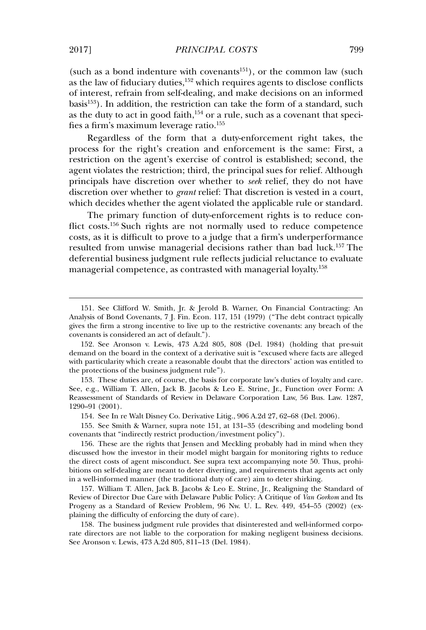(such as a bond indenture with covenants<sup>151</sup>), or the common law (such as the law of fiduciary duties,<sup>152</sup> which requires agents to disclose conflicts of interest, refrain from self-dealing, and make decisions on an informed  $basis<sup>153</sup>$ ). In addition, the restriction can take the form of a standard, such as the duty to act in good faith, $154$  or a rule, such as a covenant that specifies a firm's maximum leverage ratio.<sup>155</sup>

Regardless of the form that a duty-enforcement right takes, the process for the right's creation and enforcement is the same: First, a restriction on the agent's exercise of control is established; second, the agent violates the restriction; third, the principal sues for relief. Although principals have discretion over whether to *seek* relief, they do not have discretion over whether to *grant* relief: That discretion is vested in a court, which decides whether the agent violated the applicable rule or standard.

The primary function of duty-enforcement rights is to reduce conflict costs.<sup>156</sup> Such rights are not normally used to reduce competence costs, as it is difficult to prove to a judge that a firm's underperformance resulted from unwise managerial decisions rather than bad luck.<sup>157</sup> The deferential business judgment rule reflects judicial reluctance to evaluate managerial competence, as contrasted with managerial loyalty.<sup>158</sup>

<sup>151.</sup> See Clifford W. Smith, Jr. & Jerold B. Warner, On Financial Contracting: An Analysis of Bond Covenants, 7 J. Fin. Econ. 117, 151 (1979) ("The debt contract typically gives the firm a strong incentive to live up to the restrictive covenants: any breach of the covenants is considered an act of default.").

<sup>152.</sup> See Aronson v. Lewis, 473 A.2d 805, 808 (Del. 1984) (holding that pre-suit demand on the board in the context of a derivative suit is "excused where facts are alleged with particularity which create a reasonable doubt that the directors' action was entitled to the protections of the business judgment rule").

<sup>153.</sup> These duties are, of course, the basis for corporate law's duties of loyalty and care. See, e.g., William T. Allen, Jack B. Jacobs & Leo E. Strine, Jr., Function over Form: A Reassessment of Standards of Review in Delaware Corporation Law, 56 Bus. Law. 1287, 1290–91 (2001).

<sup>154.</sup> See In re Walt Disney Co. Derivative Litig., 906 A.2d 27, 62–68 (Del. 2006).

<sup>155.</sup> See Smith & Warner, supra note 151, at 131–35 (describing and modeling bond covenants that "indirectly restrict production/investment policy").

<sup>156.</sup> These are the rights that Jensen and Meckling probably had in mind when they discussed how the investor in their model might bargain for monitoring rights to reduce the direct costs of agent misconduct. See supra text accompanying note 50. Thus, prohibitions on self-dealing are meant to deter diverting, and requirements that agents act only in a well-informed manner (the traditional duty of care) aim to deter shirking.

<sup>157.</sup> William T. Allen, Jack B. Jacobs & Leo E. Strine, Jr., Realigning the Standard of Review of Director Due Care with Delaware Public Policy: A Critique of *Van Gorkom* and Its Progeny as a Standard of Review Problem, 96 Nw. U. L. Rev. 449, 454–55 (2002) (explaining the difficulty of enforcing the duty of care).

<sup>158.</sup> The business judgment rule provides that disinterested and well-informed corporate directors are not liable to the corporation for making negligent business decisions. See Aronson v. Lewis, 473 A.2d 805, 811–13 (Del. 1984).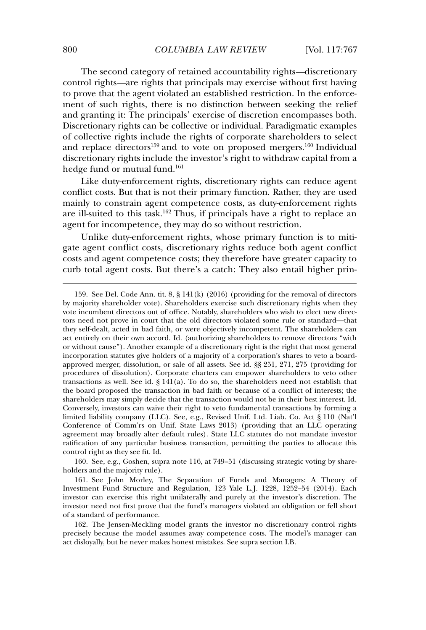The second category of retained accountability rights*—*discretionary control rights*—*are rights that principals may exercise without first having to prove that the agent violated an established restriction. In the enforcement of such rights, there is no distinction between seeking the relief and granting it: The principals' exercise of discretion encompasses both. Discretionary rights can be collective or individual. Paradigmatic examples of collective rights include the rights of corporate shareholders to select and replace directors<sup>159</sup> and to vote on proposed mergers.<sup>160</sup> Individual discretionary rights include the investor's right to withdraw capital from a hedge fund or mutual fund.<sup>161</sup>

Like duty-enforcement rights, discretionary rights can reduce agent conflict costs. But that is not their primary function. Rather, they are used mainly to constrain agent competence costs, as duty-enforcement rights are ill-suited to this task.<sup>162</sup> Thus, if principals have a right to replace an agent for incompetence, they may do so without restriction.

Unlike duty-enforcement rights, whose primary function is to mitigate agent conflict costs, discretionary rights reduce both agent conflict costs and agent competence costs; they therefore have greater capacity to curb total agent costs. But there's a catch: They also entail higher prin-

160. See, e.g., Goshen, supra note 116, at 749–51 (discussing strategic voting by shareholders and the majority rule).

<sup>159.</sup> See Del. Code Ann. tit. 8, § 141(k) (2016) (providing for the removal of directors by majority shareholder vote). Shareholders exercise such discretionary rights when they vote incumbent directors out of office. Notably, shareholders who wish to elect new directors need not prove in court that the old directors violated some rule or standard—that they self-dealt, acted in bad faith, or were objectively incompetent. The shareholders can act entirely on their own accord. Id. (authorizing shareholders to remove directors "with or without cause"). Another example of a discretionary right is the right that most general incorporation statutes give holders of a majority of a corporation's shares to veto a boardapproved merger, dissolution, or sale of all assets. See id. §§ 251, 271, 275 (providing for procedures of dissolution). Corporate charters can empower shareholders to veto other transactions as well. See id. § 141(a). To do so, the shareholders need not establish that the board proposed the transaction in bad faith or because of a conflict of interests; the shareholders may simply decide that the transaction would not be in their best interest. Id. Conversely, investors can waive their right to veto fundamental transactions by forming a limited liability company (LLC). See, e.g., Revised Unif. Ltd. Liab. Co. Act § 110 (Nat'l Conference of Comm'rs on Unif. State Laws 2013) (providing that an LLC operating agreement may broadly alter default rules). State LLC statutes do not mandate investor ratification of any particular business transaction, permitting the parties to allocate this control right as they see fit. Id.

<sup>161.</sup> See John Morley, The Separation of Funds and Managers: A Theory of Investment Fund Structure and Regulation, 123 Yale L.J. 1228, 1252–54 (2014). Each investor can exercise this right unilaterally and purely at the investor's discretion. The investor need not first prove that the fund's managers violated an obligation or fell short of a standard of performance.

<sup>162.</sup> The Jensen-Meckling model grants the investor no discretionary control rights precisely because the model assumes away competence costs. The model's manager can act disloyally, but he never makes honest mistakes. See supra section I.B.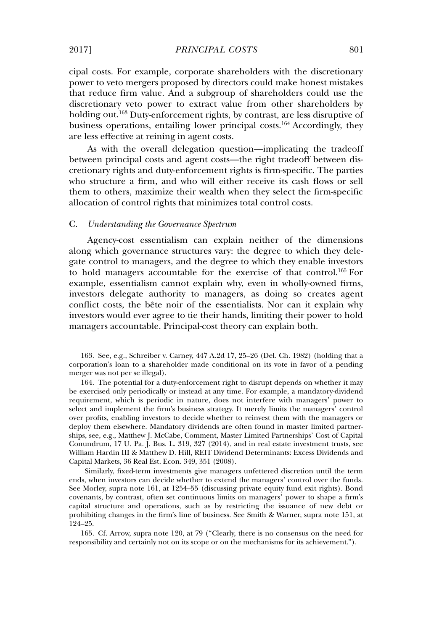cipal costs. For example, corporate shareholders with the discretionary power to veto mergers proposed by directors could make honest mistakes that reduce firm value. And a subgroup of shareholders could use the discretionary veto power to extract value from other shareholders by holding out.<sup>163</sup> Duty-enforcement rights, by contrast, are less disruptive of business operations, entailing lower principal costs.<sup>164</sup> Accordingly, they are less effective at reining in agent costs.

As with the overall delegation question—implicating the tradeoff between principal costs and agent costs—the right tradeoff between discretionary rights and duty-enforcement rights is firm-specific. The parties who structure a firm, and who will either receive its cash flows or sell them to others, maximize their wealth when they select the firm-specific allocation of control rights that minimizes total control costs.

#### C. *Understanding the Governance Spectrum*

Agency-cost essentialism can explain neither of the dimensions along which governance structures vary: the degree to which they delegate control to managers, and the degree to which they enable investors to hold managers accountable for the exercise of that control.<sup>165</sup> For example, essentialism cannot explain why, even in wholly-owned firms, investors delegate authority to managers, as doing so creates agent conflict costs, the bête noir of the essentialists. Nor can it explain why investors would ever agree to tie their hands, limiting their power to hold managers accountable. Principal-cost theory can explain both.

Similarly, fixed-term investments give managers unfettered discretion until the term ends, when investors can decide whether to extend the managers' control over the funds. See Morley, supra note 161, at 1254–55 (discussing private equity fund exit rights). Bond covenants, by contrast, often set continuous limits on managers' power to shape a firm's capital structure and operations, such as by restricting the issuance of new debt or prohibiting changes in the firm's line of business. See Smith & Warner, supra note 151, at 124–25.

165. Cf. Arrow, supra note 120, at 79 ("Clearly, there is no consensus on the need for responsibility and certainly not on its scope or on the mechanisms for its achievement.").

<sup>163.</sup> See, e.g., Schreiber v. Carney, 447 A.2d 17, 25–26 (Del. Ch. 1982) (holding that a corporation's loan to a shareholder made conditional on its vote in favor of a pending merger was not per se illegal).

<sup>164.</sup> The potential for a duty-enforcement right to disrupt depends on whether it may be exercised only periodically or instead at any time. For example, a mandatory-dividend requirement, which is periodic in nature, does not interfere with managers' power to select and implement the firm's business strategy. It merely limits the managers' control over profits, enabling investors to decide whether to reinvest them with the managers or deploy them elsewhere. Mandatory dividends are often found in master limited partnerships, see, e.g., Matthew J. McCabe, Comment, Master Limited Partnerships' Cost of Capital Conundrum, 17 U. Pa. J. Bus. L. 319, 327 (2014), and in real estate investment trusts, see William Hardin III & Matthew D. Hill, REIT Dividend Determinants: Excess Dividends and Capital Markets, 36 Real Est. Econ. 349, 351 (2008).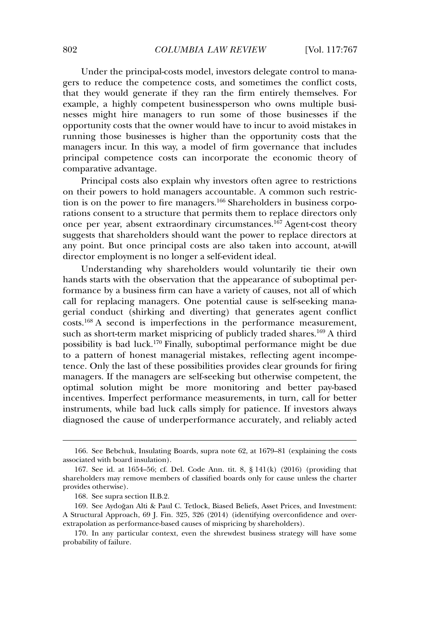Under the principal-costs model, investors delegate control to managers to reduce the competence costs, and sometimes the conflict costs, that they would generate if they ran the firm entirely themselves. For example, a highly competent businessperson who owns multiple businesses might hire managers to run some of those businesses if the opportunity costs that the owner would have to incur to avoid mistakes in running those businesses is higher than the opportunity costs that the managers incur. In this way, a model of firm governance that includes principal competence costs can incorporate the economic theory of comparative advantage.

Principal costs also explain why investors often agree to restrictions on their powers to hold managers accountable. A common such restriction is on the power to fire managers.<sup>166</sup> Shareholders in business corporations consent to a structure that permits them to replace directors only once per year, absent extraordinary circumstances.<sup>167</sup> Agent-cost theory suggests that shareholders should want the power to replace directors at any point. But once principal costs are also taken into account, at-will director employment is no longer a self-evident ideal.

Understanding why shareholders would voluntarily tie their own hands starts with the observation that the appearance of suboptimal performance by a business firm can have a variety of causes, not all of which call for replacing managers. One potential cause is self-seeking managerial conduct (shirking and diverting) that generates agent conflict costs.<sup>168</sup> A second is imperfections in the performance measurement, such as short-term market mispricing of publicly traded shares.<sup>169</sup> A third possibility is bad luck.<sup>170</sup> Finally, suboptimal performance might be due to a pattern of honest managerial mistakes, reflecting agent incompetence. Only the last of these possibilities provides clear grounds for firing managers. If the managers are self-seeking but otherwise competent, the optimal solution might be more monitoring and better pay-based incentives. Imperfect performance measurements, in turn, call for better instruments, while bad luck calls simply for patience. If investors always diagnosed the cause of underperformance accurately, and reliably acted

<sup>166.</sup> See Bebchuk, Insulating Boards, supra note 62, at 1679–81 (explaining the costs associated with board insulation).

<sup>167.</sup> See id. at 1654–56; cf. Del. Code Ann. tit. 8, § 141(k) (2016) (providing that shareholders may remove members of classified boards only for cause unless the charter provides otherwise).

<sup>168.</sup> See supra section II.B.2.

<sup>169.</sup> See Aydoğan Alti & Paul C. Tetlock, Biased Beliefs, Asset Prices, and Investment: A Structural Approach, 69 J. Fin. 325, 326 (2014) (identifying overconfidence and overextrapolation as performance-based causes of mispricing by shareholders).

<sup>170.</sup> In any particular context, even the shrewdest business strategy will have some probability of failure.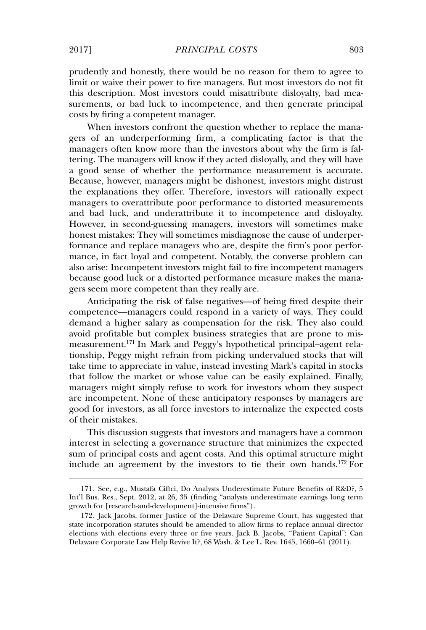prudently and honestly, there would be no reason for them to agree to limit or waive their power to fire managers. But most investors do not fit this description. Most investors could misattribute disloyalty, bad measurements, or bad luck to incompetence, and then generate principal costs by firing a competent manager.

When investors confront the question whether to replace the managers of an underperforming firm, a complicating factor is that the managers often know more than the investors about why the firm is faltering. The managers will know if they acted disloyally, and they will have a good sense of whether the performance measurement is accurate. Because, however, managers might be dishonest, investors might distrust the explanations they offer. Therefore, investors will rationally expect managers to overattribute poor performance to distorted measurements and bad luck, and underattribute it to incompetence and disloyalty. However, in second-guessing managers, investors will sometimes make honest mistakes: They will sometimes misdiagnose the cause of underperformance and replace managers who are, despite the firm's poor performance, in fact loyal and competent. Notably, the converse problem can also arise: Incompetent investors might fail to fire incompetent managers because good luck or a distorted performance measure makes the managers seem more competent than they really are.

Anticipating the risk of false negatives—of being fired despite their competence—managers could respond in a variety of ways. They could demand a higher salary as compensation for the risk. They also could avoid profitable but complex business strategies that are prone to mismeasurement.<sup>171</sup> In Mark and Peggy's hypothetical principal–agent relationship, Peggy might refrain from picking undervalued stocks that will take time to appreciate in value, instead investing Mark's capital in stocks that follow the market or whose value can be easily explained. Finally, managers might simply refuse to work for investors whom they suspect are incompetent. None of these anticipatory responses by managers are good for investors, as all force investors to internalize the expected costs of their mistakes.

This discussion suggests that investors and managers have a common interest in selecting a governance structure that minimizes the expected sum of principal costs and agent costs. And this optimal structure might include an agreement by the investors to tie their own hands.<sup>172</sup> For

<sup>171.</sup> See, e.g., Mustafa Ciftci, Do Analysts Underestimate Future Benefits of R&D?, 5 Int'l Bus. Res., Sept. 2012, at 26, 35 (finding "analysts underestimate earnings long term growth for [research-and-development]-intensive firms").

<sup>172.</sup> Jack Jacobs, former Justice of the Delaware Supreme Court, has suggested that state incorporation statutes should be amended to allow firms to replace annual director elections with elections every three or five years. Jack B. Jacobs, "Patient Capital": Can Delaware Corporate Law Help Revive It?, 68 Wash. & Lee L. Rev. 1645, 1660–61 (2011).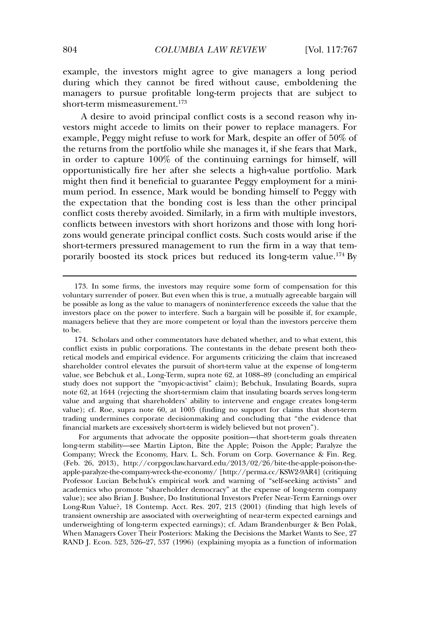example, the investors might agree to give managers a long period during which they cannot be fired without cause, emboldening the managers to pursue profitable long-term projects that are subject to short-term mismeasurement.<sup>173</sup>

A desire to avoid principal conflict costs is a second reason why investors might accede to limits on their power to replace managers. For example, Peggy might refuse to work for Mark, despite an offer of 50% of the returns from the portfolio while she manages it, if she fears that Mark, in order to capture 100% of the continuing earnings for himself, will opportunistically fire her after she selects a high-value portfolio. Mark might then find it beneficial to guarantee Peggy employment for a minimum period. In essence, Mark would be bonding himself to Peggy with the expectation that the bonding cost is less than the other principal conflict costs thereby avoided. Similarly, in a firm with multiple investors, conflicts between investors with short horizons and those with long horizons would generate principal conflict costs. Such costs would arise if the short-termers pressured management to run the firm in a way that temporarily boosted its stock prices but reduced its long-term value.<sup>174</sup> By

For arguments that advocate the opposite position—that short-term goals threaten long-term stability—see Martin Lipton, Bite the Apple; Poison the Apple; Paralyze the Company; Wreck the Economy, Harv. L. Sch. Forum on Corp. Governance & Fin. Reg. (Feb. 26, 2013), http://corpgov.law.harvard.edu/2013/02/26/bite-the-apple-poison-theapple-paralyze-the-company-wreck-the-economy/ [http://perma.cc/KSW2-9AR4] (critiquing Professor Lucian Bebchuk's empirical work and warning of "self-seeking activists" and academics who promote "shareholder democracy" at the expense of long-term company value); see also Brian J. Bushee, Do Institutional Investors Prefer Near-Term Earnings over Long-Run Value?, 18 Contemp. Acct. Res. 207, 213 (2001) (finding that high levels of transient ownership are associated with overweighting of near-term expected earnings and underweighting of long-term expected earnings); cf. Adam Brandenburger & Ben Polak, When Managers Cover Their Posteriors: Making the Decisions the Market Wants to See, 27 RAND J. Econ. 523, 526–27, 537 (1996) (explaining myopia as a function of information

<sup>173.</sup> In some firms, the investors may require some form of compensation for this voluntary surrender of power. But even when this is true, a mutually agreeable bargain will be possible as long as the value to managers of noninterference exceeds the value that the investors place on the power to interfere. Such a bargain will be possible if, for example, managers believe that they are more competent or loyal than the investors perceive them to be.

<sup>174.</sup> Scholars and other commentators have debated whether, and to what extent, this conflict exists in public corporations. The contestants in the debate present both theoretical models and empirical evidence. For arguments criticizing the claim that increased shareholder control elevates the pursuit of short-term value at the expense of long-term value, see Bebchuk et al., Long-Term, supra note 62, at 1088–89 (concluding an empirical study does not support the "myopic-activist" claim); Bebchuk, Insulating Boards, supra note 62, at 1644 (rejecting the short-termism claim that insulating boards serves long-term value and arguing that shareholders' ability to intervene and engage creates long-term value); cf. Roe, supra note 60, at 1005 (finding no support for claims that short-term trading undermines corporate decisionmaking and concluding that "the evidence that financial markets are excessively short-term is widely believed but not proven").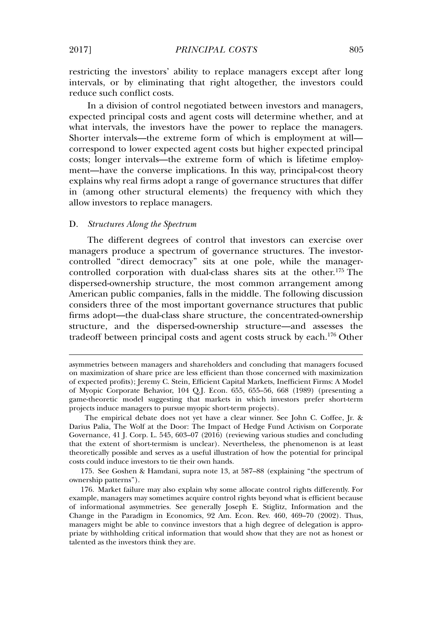restricting the investors' ability to replace managers except after long intervals, or by eliminating that right altogether, the investors could reduce such conflict costs.

In a division of control negotiated between investors and managers, expected principal costs and agent costs will determine whether, and at what intervals, the investors have the power to replace the managers. Shorter intervals—the extreme form of which is employment at will correspond to lower expected agent costs but higher expected principal costs; longer intervals—the extreme form of which is lifetime employment—have the converse implications. In this way, principal-cost theory explains why real firms adopt a range of governance structures that differ in (among other structural elements) the frequency with which they allow investors to replace managers.

#### D. *Structures Along the Spectrum*

The different degrees of control that investors can exercise over managers produce a spectrum of governance structures. The investorcontrolled "direct democracy" sits at one pole, while the managercontrolled corporation with dual-class shares sits at the other.<sup>175</sup> The dispersed-ownership structure, the most common arrangement among American public companies, falls in the middle. The following discussion considers three of the most important governance structures that public firms adopt—the dual-class share structure, the concentrated-ownership structure, and the dispersed-ownership structure—and assesses the tradeoff between principal costs and agent costs struck by each.<sup>176</sup> Other

175. See Goshen & Hamdani, supra note 13, at 587–88 (explaining "the spectrum of ownership patterns").

asymmetries between managers and shareholders and concluding that managers focused on maximization of share price are less efficient than those concerned with maximization of expected profits); Jeremy C. Stein, Efficient Capital Markets, Inefficient Firms: A Model of Myopic Corporate Behavior, 104 Q.J. Econ. 655, 655–56, 668 (1989) (presenting a game-theoretic model suggesting that markets in which investors prefer short-term projects induce managers to pursue myopic short-term projects).

The empirical debate does not yet have a clear winner. See John C. Coffee, Jr. & Darius Palia, The Wolf at the Door: The Impact of Hedge Fund Activism on Corporate Governance, 41 J. Corp. L. 545, 603–07 (2016) (reviewing various studies and concluding that the extent of short-termism is unclear). Nevertheless, the phenomenon is at least theoretically possible and serves as a useful illustration of how the potential for principal costs could induce investors to tie their own hands.

<sup>176.</sup> Market failure may also explain why some allocate control rights differently. For example, managers may sometimes acquire control rights beyond what is efficient because of informational asymmetries. See generally Joseph E. Stiglitz, Information and the Change in the Paradigm in Economics, 92 Am. Econ. Rev. 460, 469–70 (2002). Thus, managers might be able to convince investors that a high degree of delegation is appropriate by withholding critical information that would show that they are not as honest or talented as the investors think they are.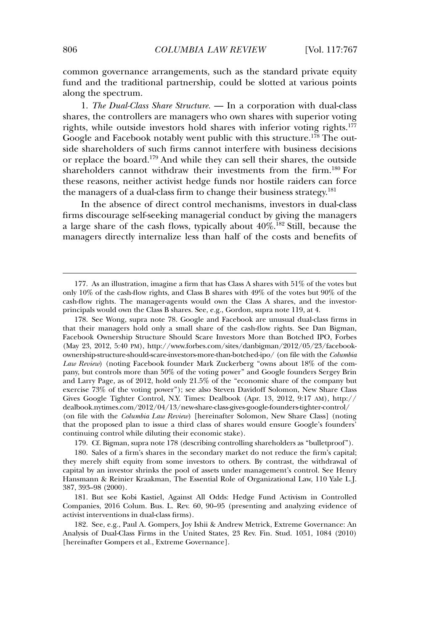common governance arrangements, such as the standard private equity fund and the traditional partnership, could be slotted at various points along the spectrum.

1. *The Dual-Class Share Structure.* — In a corporation with dual-class shares, the controllers are managers who own shares with superior voting rights, while outside investors hold shares with inferior voting rights.<sup>177</sup> Google and Facebook notably went public with this structure.<sup>178</sup> The outside shareholders of such firms cannot interfere with business decisions or replace the board.<sup>179</sup> And while they can sell their shares, the outside shareholders cannot withdraw their investments from the firm.<sup>180</sup> For these reasons, neither activist hedge funds nor hostile raiders can force the managers of a dual-class firm to change their business strategy.<sup>181</sup>

In the absence of direct control mechanisms, investors in dual-class firms discourage self-seeking managerial conduct by giving the managers a large share of the cash flows, typically about  $40\%$ .<sup>182</sup> Still, because the managers directly internalize less than half of the costs and benefits of

continuing control while diluting their economic stake).

<sup>177.</sup> As an illustration, imagine a firm that has Class A shares with 51% of the votes but only 10% of the cash-flow rights, and Class B shares with 49% of the votes but 90% of the cash-flow rights. The manager-agents would own the Class A shares, and the investorprincipals would own the Class B shares. See, e.g., Gordon, supra note 119, at 4.

<sup>178.</sup> See Wong, supra note 78. Google and Facebook are unusual dual-class firms in that their managers hold only a small share of the cash-flow rights. See Dan Bigman, Facebook Ownership Structure Should Scare Investors More than Botched IPO, Forbes (May 23, 2012, 5:40 PM), http://www.forbes.com/sites/danbigman/2012/05/23/facebookownership-structure-should-scare-investors-more-than-botched-ipo/ (on file with the *Columbia Law Review*) (noting Facebook founder Mark Zuckerberg "owns about 18% of the company, but controls more than 50% of the voting power" and Google founders Sergey Brin and Larry Page, as of 2012, hold only 21.5% of the "economic share of the company but exercise 73% of the voting power"); see also Steven Davidoff Solomon, New Share Class Gives Google Tighter Control, N.Y. Times: Dealbook (Apr. 13, 2012, 9:17 AM), http:// dealbook.nytimes.com/2012/04/13/new-share-class-gives-google-founders-tighter-control/ (on file with the *Columbia Law Review*) [hereinafter Solomon, New Share Class] (noting that the proposed plan to issue a third class of shares would ensure Google's founders'

<sup>179.</sup> Cf. Bigman, supra note 178 (describing controlling shareholders as "bulletproof").

<sup>180.</sup> Sales of a firm's shares in the secondary market do not reduce the firm's capital; they merely shift equity from some investors to others. By contrast, the withdrawal of capital by an investor shrinks the pool of assets under management's control. See Henry Hansmann & Reinier Kraakman, The Essential Role of Organizational Law, 110 Yale L.J. 387, 393–98 (2000).

<sup>181.</sup> But see Kobi Kastiel, Against All Odds: Hedge Fund Activism in Controlled Companies, 2016 Colum. Bus. L. Rev. 60, 90–95 (presenting and analyzing evidence of activist interventions in dual-class firms).

<sup>182.</sup> See, e.g., Paul A. Gompers, Joy Ishii & Andrew Metrick, Extreme Governance: An Analysis of Dual-Class Firms in the United States, 23 Rev. Fin. Stud. 1051, 1084 (2010) [hereinafter Gompers et al., Extreme Governance].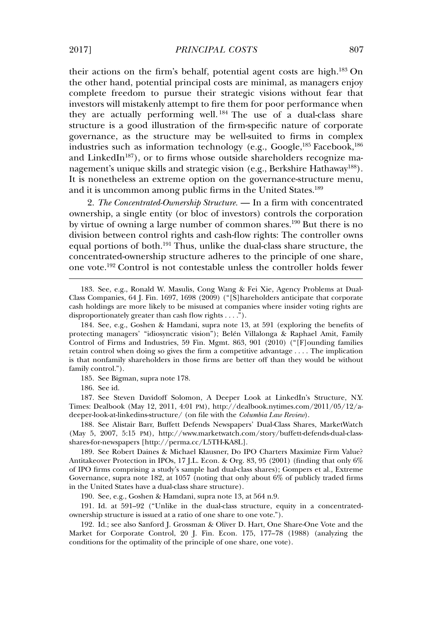their actions on the firm's behalf, potential agent costs are high.<sup>183</sup> On the other hand, potential principal costs are minimal, as managers enjoy complete freedom to pursue their strategic visions without fear that investors will mistakenly attempt to fire them for poor performance when they are actually performing well. <sup>184</sup> The use of a dual-class share structure is a good illustration of the firm-specific nature of corporate governance, as the structure may be well-suited to firms in complex industries such as information technology (e.g., Google,<sup>185</sup> Facebook,<sup>186</sup>) and LinkedIn $187$ ), or to firms whose outside shareholders recognize management's unique skills and strategic vision (e.g., Berkshire Hathaway<sup>188</sup>). It is nonetheless an extreme option on the governance-structure menu, and it is uncommon among public firms in the United States.<sup>189</sup>

2. *The Concentrated-Ownership Structure.* — In a firm with concentrated ownership, a single entity (or bloc of investors) controls the corporation by virtue of owning a large number of common shares.<sup>190</sup> But there is no division between control rights and cash-flow rights: The controller owns equal portions of both.<sup>191</sup> Thus, unlike the dual-class share structure, the concentrated-ownership structure adheres to the principle of one share, one vote.<sup>192</sup> Control is not contestable unless the controller holds fewer

183. See, e.g., Ronald W. Masulis, Cong Wang & Fei Xie, Agency Problems at Dual-Class Companies, 64 J. Fin. 1697, 1698 (2009) ("[S]hareholders anticipate that corporate cash holdings are more likely to be misused at companies where insider voting rights are disproportionately greater than cash flow rights . . . .").

184. See, e.g., Goshen & Hamdani, supra note 13, at 591 (exploring the benefits of protecting managers' "idiosyncratic vision"); Belén Villalonga & Raphael Amit, Family Control of Firms and Industries, 59 Fin. Mgmt. 863, 901 (2010) ("[F]ounding families retain control when doing so gives the firm a competitive advantage . . . . The implication is that nonfamily shareholders in those firms are better off than they would be without family control.").

185. See Bigman, supra note 178.

186. See id.

187. See Steven Davidoff Solomon, A Deeper Look at LinkedIn's Structure, N.Y. Times: Dealbook (May 12, 2011, 4:01 PM), http://dealbook.nytimes.com/2011/05/12/adeeper-look-at-linkedins-structure/ (on file with the *Columbia Law Review*).

188. See Alistair Barr, Buffett Defends Newspapers' Dual-Class Shares, MarketWatch (May 5, 2007, 5:15 PM), http://www.marketwatch.com/story/buffett-defends-dual-classshares-for-newspapers [http://perma.cc/L5TH-KA8L].

189. See Robert Daines & Michael Klausner, Do IPO Charters Maximize Firm Value? Antitakeover Protection in IPOs, 17 J.L. Econ. & Org. 83, 95 (2001) (finding that only 6% of IPO firms comprising a study's sample had dual-class shares); Gompers et al., Extreme Governance, supra note 182, at 1057 (noting that only about 6% of publicly traded firms in the United States have a dual-class share structure).

190. See, e.g., Goshen & Hamdani, supra note 13, at 564 n.9.

191. Id. at 591–92 ("Unlike in the dual-class structure, equity in a concentratedownership structure is issued at a ratio of one share to one vote.").

192. Id.; see also Sanford J. Grossman & Oliver D. Hart, One Share-One Vote and the Market for Corporate Control, 20 J. Fin. Econ. 175, 177–78 (1988) (analyzing the conditions for the optimality of the principle of one share, one vote).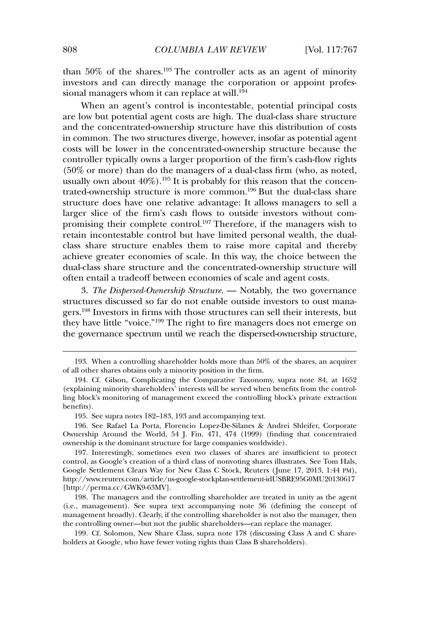than  $50\%$  of the shares.<sup>193</sup> The controller acts as an agent of minority investors and can directly manage the corporation or appoint professional managers whom it can replace at will.<sup>194</sup>

When an agent's control is incontestable, potential principal costs are low but potential agent costs are high. The dual-class share structure and the concentrated-ownership structure have this distribution of costs in common. The two structures diverge, however, insofar as potential agent costs will be lower in the concentrated-ownership structure because the controller typically owns a larger proportion of the firm's cash-flow rights (50% or more) than do the managers of a dual-class firm (who, as noted, usually own about  $40\%$ ).<sup>195</sup> It is probably for this reason that the concentrated-ownership structure is more common.<sup>196</sup> But the dual-class share structure does have one relative advantage: It allows managers to sell a larger slice of the firm's cash flows to outside investors without compromising their complete control.<sup>197</sup> Therefore, if the managers wish to retain incontestable control but have limited personal wealth, the dualclass share structure enables them to raise more capital and thereby achieve greater economies of scale. In this way, the choice between the dual-class share structure and the concentrated-ownership structure will often entail a tradeoff between economies of scale and agent costs.

3. *The Dispersed-Ownership Structure.* — Notably, the two governance structures discussed so far do not enable outside investors to oust managers.<sup>198</sup> Investors in firms with those structures can sell their interests, but they have little "voice."<sup>199</sup> The right to fire managers does not emerge on the governance spectrum until we reach the dispersed-ownership structure,

<sup>193.</sup> When a controlling shareholder holds more than 50% of the shares, an acquirer of all other shares obtains only a minority position in the firm.

<sup>194.</sup> Cf. Gilson, Complicating the Comparative Taxonomy, supra note 84, at 1652 (explaining minority shareholders' interests will be served when benefits from the controlling block's monitoring of management exceed the controlling block's private extraction benefits).

<sup>195.</sup> See supra notes 182–183, 193 and accompanying text.

<sup>196.</sup> See Rafael La Porta, Florencio Lopez-De-Silanes & Andrei Shleifer, Corporate Ownership Around the World, 54 J. Fin. 471, 474 (1999) (finding that concentrated ownership is the dominant structure for large companies worldwide).

<sup>197.</sup> Interestingly, sometimes even two classes of shares are insufficient to protect control, as Google's creation of a third class of nonvoting shares illustrates. See Tom Hals, Google Settlement Clears Way for New Class C Stock, Reuters ( June 17, 2013, 1:44 PM), http://www.reuters.com/article/us-google-stockplan-settlement-idUSBRE95G0MU20130617 [http://perma.cc/GWK9-63MV].

<sup>198.</sup> The managers and the controlling shareholder are treated in unity as the agent (i.e., management). See supra text accompanying note 36 (defining the concept of management broadly). Clearly, if the controlling shareholder is not also the manager, then the controlling owner—but not the public shareholders—can replace the manager.

<sup>199.</sup> Cf. Solomon, New Share Class, supra note 178 (discussing Class A and C shareholders at Google, who have fewer voting rights than Class B shareholders).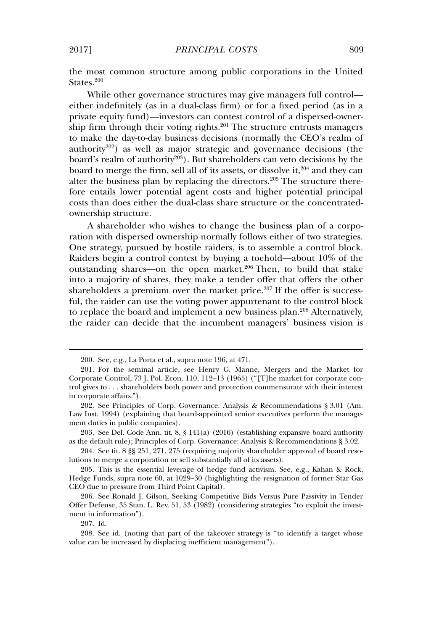the most common structure among public corporations in the United States.<sup>200</sup>

While other governance structures may give managers full control either indefinitely (as in a dual-class firm) or for a fixed period (as in a private equity fund)—investors can contest control of a dispersed-ownership firm through their voting rights.<sup>201</sup> The structure entrusts managers to make the day-to-day business decisions (normally the CEO's realm of authority<sup>202</sup>) as well as major strategic and governance decisions (the board's realm of authority<sup>203</sup>). But shareholders can veto decisions by the board to merge the firm, sell all of its assets, or dissolve it,<sup>204</sup> and they can alter the business plan by replacing the directors.<sup>205</sup> The structure therefore entails lower potential agent costs and higher potential principal costs than does either the dual-class share structure or the concentratedownership structure.

A shareholder who wishes to change the business plan of a corporation with dispersed ownership normally follows either of two strategies. One strategy, pursued by hostile raiders, is to assemble a control block. Raiders begin a control contest by buying a toehold—about 10% of the outstanding shares—on the open market.<sup>206</sup> Then, to build that stake into a majority of shares, they make a tender offer that offers the other shareholders a premium over the market price.<sup>207</sup> If the offer is successful, the raider can use the voting power appurtenant to the control block to replace the board and implement a new business plan.<sup>208</sup> Alternatively, the raider can decide that the incumbent managers' business vision is

207. Id.

<sup>200.</sup> See, e.g., La Porta et al., supra note 196, at 471.

<sup>201.</sup> For the seminal article, see Henry G. Manne, Mergers and the Market for Corporate Control, 73 J. Pol. Econ. 110, 112–13 (1965) ("[T]he market for corporate control gives to . . . shareholders both power and protection commensurate with their interest in corporate affairs.").

<sup>202.</sup> See Principles of Corp. Governance: Analysis & Recommendations § 3.01 (Am. Law Inst. 1994) (explaining that board-appointed senior executives perform the management duties in public companies).

<sup>203.</sup> See Del. Code Ann. tit. 8, § 141(a) (2016) (establishing expansive board authority as the default rule); Principles of Corp. Governance: Analysis & Recommendations § 3.02.

<sup>204.</sup> See tit. 8 §§ 251, 271, 275 (requiring majority shareholder approval of board resolutions to merge a corporation or sell substantially all of its assets).

<sup>205.</sup> This is the essential leverage of hedge fund activism. See, e.g., Kahan & Rock, Hedge Funds, supra note 60, at 1029–30 (highlighting the resignation of former Star Gas CEO due to pressure from Third Point Capital).

<sup>206.</sup> See Ronald J. Gilson, Seeking Competitive Bids Versus Pure Passivity in Tender Offer Defense, 35 Stan. L. Rev. 51, 53 (1982) (considering strategies "to exploit the investment in information").

<sup>208.</sup> See id. (noting that part of the takeover strategy is "to identify a target whose value can be increased by displacing inefficient management").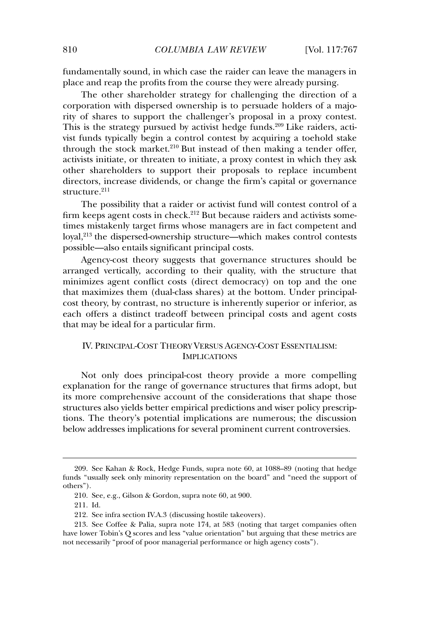fundamentally sound, in which case the raider can leave the managers in place and reap the profits from the course they were already pursing.

The other shareholder strategy for challenging the direction of a corporation with dispersed ownership is to persuade holders of a majority of shares to support the challenger's proposal in a proxy contest. This is the strategy pursued by activist hedge funds.<sup>209</sup> Like raiders, activist funds typically begin a control contest by acquiring a toehold stake through the stock market.<sup>210</sup> But instead of then making a tender offer, activists initiate, or threaten to initiate, a proxy contest in which they ask other shareholders to support their proposals to replace incumbent directors, increase dividends, or change the firm's capital or governance structure.<sup>211</sup>

The possibility that a raider or activist fund will contest control of a firm keeps agent costs in check.<sup>212</sup> But because raiders and activists sometimes mistakenly target firms whose managers are in fact competent and loyal,<sup>213</sup> the dispersed-ownership structure—which makes control contests possible—also entails significant principal costs.

Agency-cost theory suggests that governance structures should be arranged vertically, according to their quality, with the structure that minimizes agent conflict costs (direct democracy) on top and the one that maximizes them (dual-class shares) at the bottom. Under principalcost theory, by contrast, no structure is inherently superior or inferior, as each offers a distinct tradeoff between principal costs and agent costs that may be ideal for a particular firm.

# IV. PRINCIPAL-COST THEORY VERSUS AGENCY-COST ESSENTIALISM: IMPLICATIONS

Not only does principal-cost theory provide a more compelling explanation for the range of governance structures that firms adopt, but its more comprehensive account of the considerations that shape those structures also yields better empirical predictions and wiser policy prescriptions. The theory's potential implications are numerous; the discussion below addresses implications for several prominent current controversies.

<sup>209.</sup> See Kahan & Rock, Hedge Funds, supra note 60, at 1088–89 (noting that hedge funds "usually seek only minority representation on the board" and "need the support of others").

<sup>210.</sup> See, e.g., Gilson & Gordon, supra note 60, at 900.

<sup>211.</sup> Id.

<sup>212.</sup> See infra section IV.A.3 (discussing hostile takeovers).

<sup>213.</sup> See Coffee & Palia, supra note 174, at 583 (noting that target companies often have lower Tobin's Q scores and less "value orientation" but arguing that these metrics are not necessarily "proof of poor managerial performance or high agency costs").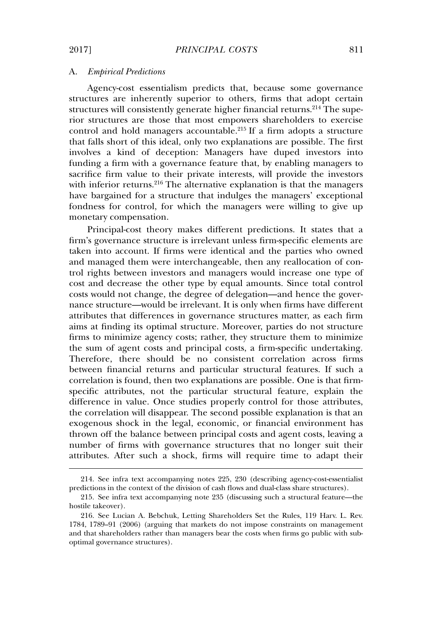#### A. *Empirical Predictions*

Agency-cost essentialism predicts that, because some governance structures are inherently superior to others, firms that adopt certain structures will consistently generate higher financial returns.<sup>214</sup> The superior structures are those that most empowers shareholders to exercise control and hold managers accountable.<sup>215</sup> If a firm adopts a structure that falls short of this ideal, only two explanations are possible. The first involves a kind of deception: Managers have duped investors into funding a firm with a governance feature that, by enabling managers to sacrifice firm value to their private interests, will provide the investors with inferior returns.<sup>216</sup> The alternative explanation is that the managers have bargained for a structure that indulges the managers' exceptional fondness for control, for which the managers were willing to give up monetary compensation.

Principal-cost theory makes different predictions. It states that a firm's governance structure is irrelevant unless firm-specific elements are taken into account. If firms were identical and the parties who owned and managed them were interchangeable, then any reallocation of control rights between investors and managers would increase one type of cost and decrease the other type by equal amounts. Since total control costs would not change, the degree of delegation—and hence the governance structure—would be irrelevant. It is only when firms have different attributes that differences in governance structures matter, as each firm aims at finding its optimal structure. Moreover, parties do not structure firms to minimize agency costs; rather, they structure them to minimize the sum of agent costs and principal costs, a firm-specific undertaking. Therefore, there should be no consistent correlation across firms between financial returns and particular structural features. If such a correlation is found, then two explanations are possible. One is that firmspecific attributes, not the particular structural feature, explain the difference in value. Once studies properly control for those attributes, the correlation will disappear. The second possible explanation is that an exogenous shock in the legal, economic, or financial environment has thrown off the balance between principal costs and agent costs, leaving a number of firms with governance structures that no longer suit their attributes. After such a shock, firms will require time to adapt their

<sup>214.</sup> See infra text accompanying notes 225, 230 (describing agency-cost-essentialist predictions in the context of the division of cash flows and dual-class share structures).

<sup>215.</sup> See infra text accompanying note 235 (discussing such a structural feature—the hostile takeover).

<sup>216.</sup> See Lucian A. Bebchuk, Letting Shareholders Set the Rules, 119 Harv. L. Rev. 1784, 1789–91 (2006) (arguing that markets do not impose constraints on management and that shareholders rather than managers bear the costs when firms go public with suboptimal governance structures).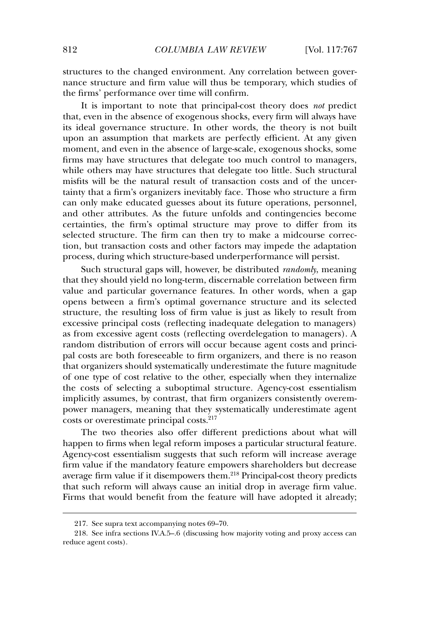structures to the changed environment. Any correlation between governance structure and firm value will thus be temporary, which studies of the firms' performance over time will confirm.

It is important to note that principal-cost theory does *not* predict that, even in the absence of exogenous shocks, every firm will always have its ideal governance structure. In other words, the theory is not built upon an assumption that markets are perfectly efficient. At any given moment, and even in the absence of large-scale, exogenous shocks, some firms may have structures that delegate too much control to managers, while others may have structures that delegate too little. Such structural misfits will be the natural result of transaction costs and of the uncertainty that a firm's organizers inevitably face. Those who structure a firm can only make educated guesses about its future operations, personnel, and other attributes. As the future unfolds and contingencies become certainties, the firm's optimal structure may prove to differ from its selected structure. The firm can then try to make a midcourse correction, but transaction costs and other factors may impede the adaptation process, during which structure-based underperformance will persist.

Such structural gaps will, however, be distributed *randomly*, meaning that they should yield no long-term, discernable correlation between firm value and particular governance features. In other words, when a gap opens between a firm's optimal governance structure and its selected structure, the resulting loss of firm value is just as likely to result from excessive principal costs (reflecting inadequate delegation to managers) as from excessive agent costs (reflecting overdelegation to managers). A random distribution of errors will occur because agent costs and principal costs are both foreseeable to firm organizers, and there is no reason that organizers should systematically underestimate the future magnitude of one type of cost relative to the other, especially when they internalize the costs of selecting a suboptimal structure. Agency-cost essentialism implicitly assumes, by contrast, that firm organizers consistently overempower managers, meaning that they systematically underestimate agent costs or overestimate principal costs.<sup>217</sup>

The two theories also offer different predictions about what will happen to firms when legal reform imposes a particular structural feature. Agency-cost essentialism suggests that such reform will increase average firm value if the mandatory feature empowers shareholders but decrease average firm value if it disempowers them.<sup>218</sup> Principal-cost theory predicts that such reform will always cause an initial drop in average firm value. Firms that would benefit from the feature will have adopted it already;

<sup>217.</sup> See supra text accompanying notes 69–70.

<sup>218.</sup> See infra sections IV.A.5–.6 (discussing how majority voting and proxy access can reduce agent costs).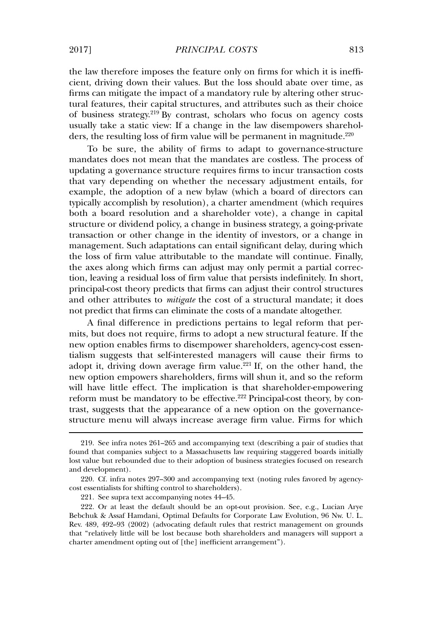the law therefore imposes the feature only on firms for which it is inefficient, driving down their values. But the loss should abate over time, as firms can mitigate the impact of a mandatory rule by altering other structural features, their capital structures, and attributes such as their choice of business strategy.<sup>219</sup> By contrast, scholars who focus on agency costs usually take a static view: If a change in the law disempowers shareholders, the resulting loss of firm value will be permanent in magnitude.<sup>220</sup>

To be sure, the ability of firms to adapt to governance-structure mandates does not mean that the mandates are costless. The process of updating a governance structure requires firms to incur transaction costs that vary depending on whether the necessary adjustment entails, for example, the adoption of a new bylaw (which a board of directors can typically accomplish by resolution), a charter amendment (which requires both a board resolution and a shareholder vote), a change in capital structure or dividend policy, a change in business strategy, a going-private transaction or other change in the identity of investors, or a change in management. Such adaptations can entail significant delay, during which the loss of firm value attributable to the mandate will continue. Finally, the axes along which firms can adjust may only permit a partial correction, leaving a residual loss of firm value that persists indefinitely. In short, principal-cost theory predicts that firms can adjust their control structures and other attributes to *mitigate* the cost of a structural mandate; it does not predict that firms can eliminate the costs of a mandate altogether.

A final difference in predictions pertains to legal reform that permits, but does not require, firms to adopt a new structural feature. If the new option enables firms to disempower shareholders, agency-cost essentialism suggests that self-interested managers will cause their firms to adopt it, driving down average firm value.<sup>221</sup> If, on the other hand, the new option empowers shareholders, firms will shun it, and so the reform will have little effect. The implication is that shareholder-empowering reform must be mandatory to be effective.<sup>222</sup> Principal-cost theory, by contrast, suggests that the appearance of a new option on the governancestructure menu will always increase average firm value. Firms for which

<sup>219.</sup> See infra notes 261–265 and accompanying text (describing a pair of studies that found that companies subject to a Massachusetts law requiring staggered boards initially lost value but rebounded due to their adoption of business strategies focused on research and development).

<sup>220.</sup> Cf. infra notes 297–300 and accompanying text (noting rules favored by agencycost essentialists for shifting control to shareholders).

<sup>221.</sup> See supra text accompanying notes 44–45.

<sup>222.</sup> Or at least the default should be an opt-out provision. See, e.g., Lucian Arye Bebchuk & Assaf Hamdani, Optimal Defaults for Corporate Law Evolution, 96 Nw. U. L. Rev. 489, 492–93 (2002) (advocating default rules that restrict management on grounds that "relatively little will be lost because both shareholders and managers will support a charter amendment opting out of [the] inefficient arrangement").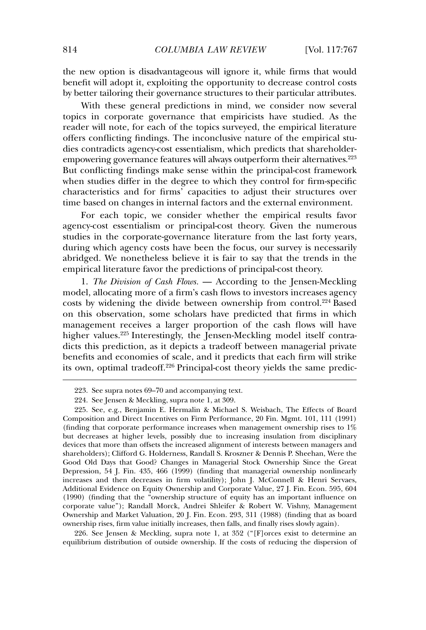the new option is disadvantageous will ignore it, while firms that would benefit will adopt it, exploiting the opportunity to decrease control costs by better tailoring their governance structures to their particular attributes.

With these general predictions in mind, we consider now several topics in corporate governance that empiricists have studied. As the reader will note, for each of the topics surveyed, the empirical literature offers conflicting findings. The inconclusive nature of the empirical studies contradicts agency-cost essentialism, which predicts that shareholderempowering governance features will always outperform their alternatives.<sup>223</sup> But conflicting findings make sense within the principal-cost framework when studies differ in the degree to which they control for firm-specific characteristics and for firms' capacities to adjust their structures over time based on changes in internal factors and the external environment.

For each topic, we consider whether the empirical results favor agency-cost essentialism or principal-cost theory. Given the numerous studies in the corporate-governance literature from the last forty years, during which agency costs have been the focus, our survey is necessarily abridged. We nonetheless believe it is fair to say that the trends in the empirical literature favor the predictions of principal-cost theory.

1. *The Division of Cash Flows.* — According to the Jensen-Meckling model, allocating more of a firm's cash flows to investors increases agency costs by widening the divide between ownership from control.<sup>224</sup> Based on this observation, some scholars have predicted that firms in which management receives a larger proportion of the cash flows will have higher values.<sup>225</sup> Interestingly, the Jensen-Meckling model itself contradicts this prediction, as it depicts a tradeoff between managerial private benefits and economies of scale, and it predicts that each firm will strike its own, optimal tradeoff.<sup>226</sup> Principal-cost theory yields the same predic-

226. See Jensen & Meckling, supra note 1, at 352 ("[F]orces exist to determine an equilibrium distribution of outside ownership. If the costs of reducing the dispersion of

<sup>223.</sup> See supra notes 69–70 and accompanying text.

<sup>224.</sup> See Jensen & Meckling, supra note 1, at 309.

<sup>225.</sup> See, e.g., Benjamin E. Hermalin & Michael S. Weisbach, The Effects of Board Composition and Direct Incentives on Firm Performance, 20 Fin. Mgmt. 101, 111 (1991) (finding that corporate performance increases when management ownership rises to 1% but decreases at higher levels, possibly due to increasing insulation from disciplinary devices that more than offsets the increased alignment of interests between managers and shareholders); Clifford G. Holderness, Randall S. Kroszner & Dennis P. Sheehan, Were the Good Old Days that Good? Changes in Managerial Stock Ownership Since the Great Depression, 54 J. Fin. 435, 466 (1999) (finding that managerial ownership nonlinearly increases and then decreases in firm volatility); John J. McConnell & Henri Servaes, Additional Evidence on Equity Ownership and Corporate Value, 27 J. Fin. Econ. 595, 604 (1990) (finding that the "ownership structure of equity has an important influence on corporate value"); Randall Morck, Andrei Shleifer & Robert W. Vishny, Management Ownership and Market Valuation, 20 J. Fin. Econ. 293, 311 (1988) (finding that as board ownership rises, firm value initially increases, then falls, and finally rises slowly again).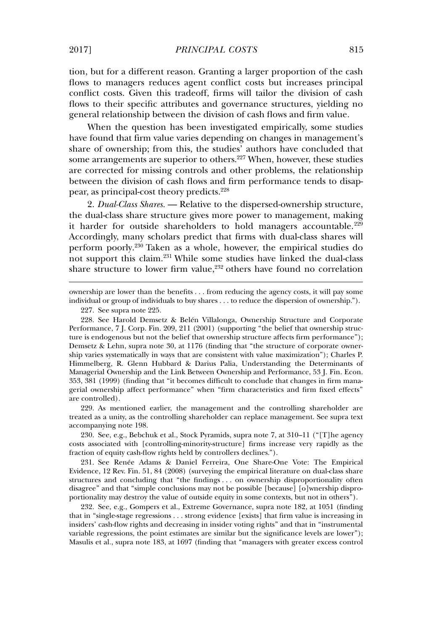tion, but for a different reason. Granting a larger proportion of the cash flows to managers reduces agent conflict costs but increases principal conflict costs. Given this tradeoff, firms will tailor the division of cash flows to their specific attributes and governance structures, yielding no general relationship between the division of cash flows and firm value.

When the question has been investigated empirically, some studies have found that firm value varies depending on changes in management's share of ownership; from this, the studies' authors have concluded that some arrangements are superior to others.<sup>227</sup> When, however, these studies are corrected for missing controls and other problems, the relationship between the division of cash flows and firm performance tends to disappear, as principal-cost theory predicts.<sup>228</sup>

2. *Dual-Class Shares.* — Relative to the dispersed-ownership structure, the dual-class share structure gives more power to management, making it harder for outside shareholders to hold managers accountable.<sup>229</sup> Accordingly, many scholars predict that firms with dual-class shares will perform poorly.<sup>230</sup> Taken as a whole, however, the empirical studies do not support this claim.<sup>231</sup> While some studies have linked the dual-class share structure to lower firm value, $232$  others have found no correlation

227. See supra note 225.

228. See Harold Demsetz & Belén Villalonga, Ownership Structure and Corporate Performance, 7 J. Corp. Fin. 209, 211 (2001) (supporting "the belief that ownership structure is endogenous but not the belief that ownership structure affects firm performance"); Demsetz & Lehn, supra note 30, at 1176 (finding that "the structure of corporate ownership varies systematically in ways that are consistent with value maximization"); Charles P. Himmelberg, R. Glenn Hubbard & Darius Palia, Understanding the Determinants of Managerial Ownership and the Link Between Ownership and Performance, 53 J. Fin. Econ. 353, 381 (1999) (finding that "it becomes difficult to conclude that changes in firm managerial ownership affect performance" when "firm characteristics and firm fixed effects" are controlled).

229. As mentioned earlier, the management and the controlling shareholder are treated as a unity, as the controlling shareholder can replace management. See supra text accompanying note 198.

230. See, e.g., Bebchuk et al., Stock Pyramids, supra note 7, at 310–11 ("[T]he agency costs associated with [controlling-minority-structure] firms increase very rapidly as the fraction of equity cash-flow rights held by controllers declines.").

231. See Renée Adams & Daniel Ferreira, One Share-One Vote: The Empirical Evidence, 12 Rev. Fin. 51, 84 (2008) (surveying the empirical literature on dual-class share structures and concluding that "the findings . . . on ownership disproportionality often disagree" and that "simple conclusions may not be possible [because] [o]wnership disproportionality may destroy the value of outside equity in some contexts, but not in others").

232. See, e.g., Gompers et al., Extreme Governance, supra note 182, at 1051 (finding that in "single-stage regressions . . . strong evidence [exists] that firm value is increasing in insiders' cash-flow rights and decreasing in insider voting rights" and that in "instrumental variable regressions, the point estimates are similar but the significance levels are lower"); Masulis et al., supra note 183, at 1697 (finding that "managers with greater excess control

ownership are lower than the benefits . . . from reducing the agency costs, it will pay some individual or group of individuals to buy shares . . . to reduce the dispersion of ownership.").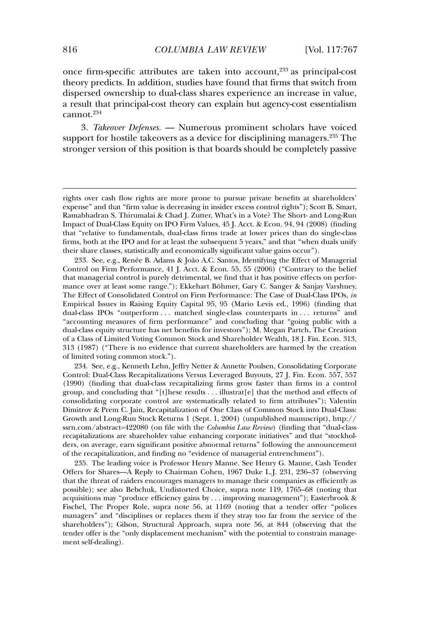once firm-specific attributes are taken into account,<sup>233</sup> as principal-cost theory predicts. In addition, studies have found that firms that switch from dispersed ownership to dual-class shares experience an increase in value, a result that principal-cost theory can explain but agency-cost essentialism cannot.<sup>234</sup>

3. *Takeover Defenses.* — Numerous prominent scholars have voiced support for hostile takeovers as a device for disciplining managers.<sup>235</sup> The stronger version of this position is that boards should be completely passive

233. See, e.g., Renée B. Adams & João A.C. Santos, Identifying the Effect of Managerial Control on Firm Performance, 41 J. Acct. & Econ. 55, 55 (2006) ("Contrary to the belief that managerial control is purely detrimental, we find that it has positive effects on performance over at least some range."); Ekkehart Böhmer, Gary C. Sanger & Sanjay Varshney, The Effect of Consolidated Control on Firm Performance: The Case of Dual-Class IPOs, *in* Empirical Issues in Raising Equity Capital 95, 95 (Mario Levis ed., 1996) (finding that dual-class IPOs "outperform . . . matched single-class counterparts in . . . returns" and "accounting measures of firm performance" and concluding that "going public with a dual-class equity structure has net benefits for investors"); M. Megan Partch, The Creation of a Class of Limited Voting Common Stock and Shareholder Wealth, 18 J. Fin. Econ. 313, 313 (1987) ("There is no evidence that current shareholders are harmed by the creation of limited voting common stock.").

234. See, e.g., Kenneth Lehn, Jeffry Netter & Annette Poulsen, Consolidating Corporate Control: Dual-Class Recapitalizations Versus Leveraged Buyouts, 27 J. Fin. Econ. 557, 557 (1990) (finding that dual-class recapitalizing firms grow faster than firms in a control group, and concluding that "[t]hese results . . . illustrat[e] that the method and effects of consolidating corporate control are systematically related to firm attributes"); Valentin Dimitrov & Prem C. Jain, Recapitalization of One Class of Common Stock into Dual-Class: Growth and Long-Run Stock Returns 1 (Sept. 1, 2004) (unpublished manuscript), http:// ssrn.com/abstract=422080 (on file with the *Columbia Law Review*) (finding that "dual-class recapitalizations are shareholder value enhancing corporate initiatives" and that "stockholders, on average, earn significant positive abnormal returns" following the announcement of the recapitalization, and finding no "evidence of managerial entrenchment").

235. The leading voice is Professor Henry Manne. See Henry G. Manne, Cash Tender Offers for Shares—A Reply to Chairman Cohen, 1967 Duke L.J. 231, 236–37 (observing that the threat of raiders encourages managers to manage their companies as efficiently as possible); see also Bebchuk, Undistorted Choice, supra note 119, 1765–68 (noting that acquisitions may "produce efficiency gains by . . . improving management"); Easterbrook & Fischel, The Proper Role, supra note 56, at 1169 (noting that a tender offer "polices managers" and "disciplines or replaces them if they stray too far from the service of the shareholders"); Gilson, Structural Approach, supra note 56, at 844 (observing that the tender offer is the "only displacement mechanism" with the potential to constrain management self-dealing).

rights over cash flow rights are more prone to pursue private benefits at shareholders' expense" and that "firm value is decreasing in insider excess control rights"); Scott B. Smart, Ramabhadran S. Thirumalai & Chad J. Zutter, What's in a Vote? The Short- and Long-Run Impact of Dual-Class Equity on IPO Firm Values, 45 J. Acct. & Econ. 94, 94 (2008) (finding that "relative to fundamentals, dual-class firms trade at lower prices than do single-class firms, both at the IPO and for at least the subsequent 5 years," and that "when duals unify their share classes, statistically and economically significant value gains occur").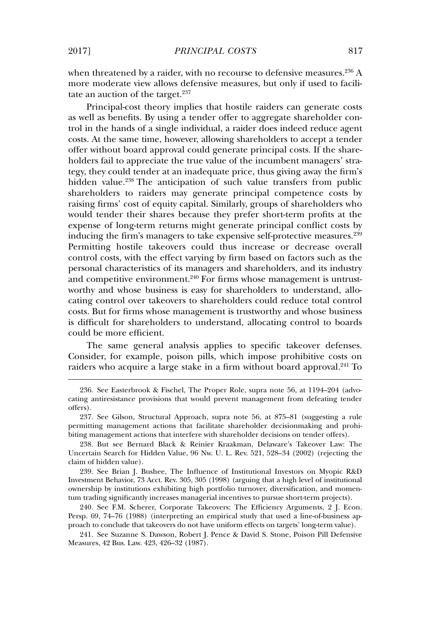when threatened by a raider, with no recourse to defensive measures.<sup>236</sup> A more moderate view allows defensive measures, but only if used to facilitate an auction of the target. $237$ 

Principal-cost theory implies that hostile raiders can generate costs as well as benefits. By using a tender offer to aggregate shareholder control in the hands of a single individual, a raider does indeed reduce agent costs. At the same time, however, allowing shareholders to accept a tender offer without board approval could generate principal costs. If the shareholders fail to appreciate the true value of the incumbent managers' strategy, they could tender at an inadequate price, thus giving away the firm's hidden value.<sup>238</sup> The anticipation of such value transfers from public shareholders to raiders may generate principal competence costs by raising firms' cost of equity capital. Similarly, groups of shareholders who would tender their shares because they prefer short-term profits at the expense of long-term returns might generate principal conflict costs by inducing the firm's managers to take expensive self-protective measures.<sup>239</sup> Permitting hostile takeovers could thus increase or decrease overall control costs, with the effect varying by firm based on factors such as the personal characteristics of its managers and shareholders, and its industry and competitive environment. $240$  For firms whose management is untrustworthy and whose business is easy for shareholders to understand, allocating control over takeovers to shareholders could reduce total control costs. But for firms whose management is trustworthy and whose business is difficult for shareholders to understand, allocating control to boards could be more efficient.

The same general analysis applies to specific takeover defenses. Consider, for example, poison pills, which impose prohibitive costs on raiders who acquire a large stake in a firm without board approval.<sup>241</sup> To

239. See Brian J. Bushee, The Influence of Institutional Investors on Myopic R&D Investment Behavior, 73 Acct. Rev. 305, 305 (1998) (arguing that a high level of institutional ownership by institutions exhibiting high portfolio turnover, diversification, and momentum trading significantly increases managerial incentives to pursue short-term projects).

240. See F.M. Scherer, Corporate Takeovers: The Efficiency Arguments, 2 J. Econ. Persp. 69, 74–76 (1988) (interpreting an empirical study that used a line-of-business approach to conclude that takeovers do not have uniform effects on targets' long-term value).

241. See Suzanne S. Dawson, Robert J. Pence & David S. Stone, Poison Pill Defensive Measures, 42 Bus. Law. 423, 426–32 (1987).

<sup>236.</sup> See Easterbrook & Fischel, The Proper Role, supra note 56, at 1194–204 (advocating antiresistance provisions that would prevent management from defeating tender offers).

<sup>237.</sup> See Gilson, Structural Approach, supra note 56, at 875–81 (suggesting a rule permitting management actions that facilitate shareholder decisionmaking and prohibiting management actions that interfere with shareholder decisions on tender offers).

<sup>238.</sup> But see Bernard Black & Reinier Kraakman, Delaware's Takeover Law: The Uncertain Search for Hidden Value, 96 Nw. U. L. Rev. 521, 528–34 (2002) (rejecting the claim of hidden value).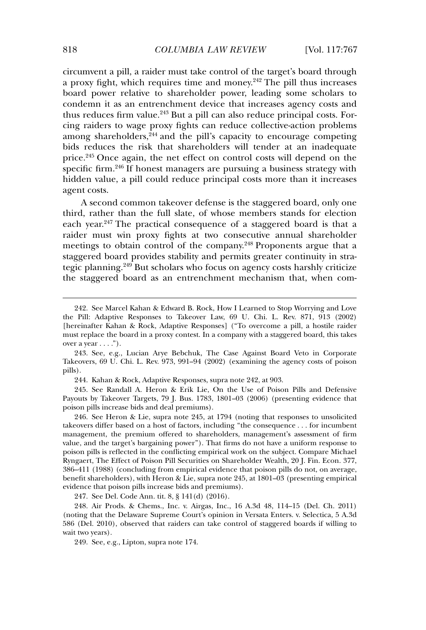circumvent a pill, a raider must take control of the target's board through a proxy fight, which requires time and money.<sup>242</sup> The pill thus increases board power relative to shareholder power, leading some scholars to condemn it as an entrenchment device that increases agency costs and thus reduces firm value.<sup>243</sup> But a pill can also reduce principal costs. Forcing raiders to wage proxy fights can reduce collective-action problems among shareholders, $244$  and the pill's capacity to encourage competing bids reduces the risk that shareholders will tender at an inadequate price.<sup>245</sup> Once again, the net effect on control costs will depend on the specific firm.<sup>246</sup> If honest managers are pursuing a business strategy with hidden value, a pill could reduce principal costs more than it increases agent costs.

A second common takeover defense is the staggered board, only one third, rather than the full slate, of whose members stands for election each year.<sup>247</sup> The practical consequence of a staggered board is that a raider must win proxy fights at two consecutive annual shareholder meetings to obtain control of the company.<sup>248</sup> Proponents argue that a staggered board provides stability and permits greater continuity in strategic planning.<sup>249</sup> But scholars who focus on agency costs harshly criticize the staggered board as an entrenchment mechanism that, when com-

247. See Del. Code Ann. tit. 8, § 141(d) (2016).

249. See, e.g., Lipton, supra note 174.

<sup>242.</sup> See Marcel Kahan & Edward B. Rock, How I Learned to Stop Worrying and Love the Pill: Adaptive Responses to Takeover Law, 69 U. Chi. L. Rev. 871, 913 (2002) [hereinafter Kahan & Rock, Adaptive Responses] ("To overcome a pill, a hostile raider must replace the board in a proxy contest. In a company with a staggered board, this takes over a year  $\dots$ .").

<sup>243.</sup> See, e.g., Lucian Arye Bebchuk, The Case Against Board Veto in Corporate Takeovers, 69 U. Chi. L. Rev. 973, 991–94 (2002) (examining the agency costs of poison pills).

<sup>244.</sup> Kahan & Rock, Adaptive Responses, supra note 242, at 903.

<sup>245.</sup> See Randall A. Heron & Erik Lie, On the Use of Poison Pills and Defensive Payouts by Takeover Targets, 79 J. Bus. 1783, 1801–03 (2006) (presenting evidence that poison pills increase bids and deal premiums).

<sup>246.</sup> See Heron & Lie, supra note 245, at 1794 (noting that responses to unsolicited takeovers differ based on a host of factors, including "the consequence . . . for incumbent management, the premium offered to shareholders, management's assessment of firm value, and the target's bargaining power"). That firms do not have a uniform response to poison pills is reflected in the conflicting empirical work on the subject. Compare Michael Ryngaert, The Effect of Poison Pill Securities on Shareholder Wealth, 20 J. Fin. Econ. 377, 386–411 (1988) (concluding from empirical evidence that poison pills do not, on average, benefit shareholders), with Heron & Lie, supra note 245, at 1801–03 (presenting empirical evidence that poison pills increase bids and premiums).

<sup>248.</sup> Air Prods. & Chems., Inc. v. Airgas, Inc., 16 A.3d 48, 114–15 (Del. Ch. 2011) (noting that the Delaware Supreme Court's opinion in Versata Enters. v. Selectica, 5 A.3d 586 (Del. 2010), observed that raiders can take control of staggered boards if willing to wait two years).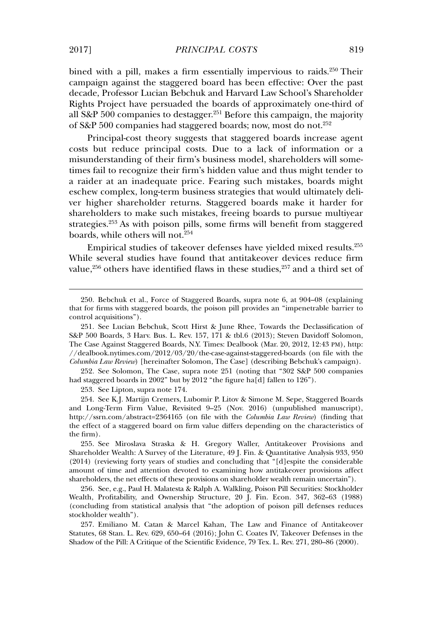bined with a pill, makes a firm essentially impervious to raids.<sup>250</sup> Their campaign against the staggered board has been effective: Over the past decade, Professor Lucian Bebchuk and Harvard Law School's Shareholder Rights Project have persuaded the boards of approximately one-third of all S&P 500 companies to destagger.<sup>251</sup> Before this campaign, the majority of S&P 500 companies had staggered boards; now, most do not.<sup>252</sup>

Principal-cost theory suggests that staggered boards increase agent costs but reduce principal costs. Due to a lack of information or a misunderstanding of their firm's business model, shareholders will sometimes fail to recognize their firm's hidden value and thus might tender to a raider at an inadequate price. Fearing such mistakes, boards might eschew complex, long-term business strategies that would ultimately deliver higher shareholder returns. Staggered boards make it harder for shareholders to make such mistakes, freeing boards to pursue multiyear strategies.<sup>253</sup> As with poison pills, some firms will benefit from staggered boards, while others will not.<sup>254</sup>

Empirical studies of takeover defenses have yielded mixed results.<sup>255</sup> While several studies have found that antitakeover devices reduce firm value,<sup>256</sup> others have identified flaws in these studies,<sup>257</sup> and a third set of

252. See Solomon, The Case, supra note 251 (noting that "302 S&P 500 companies had staggered boards in 2002" but by 2012 "the figure ha[d] fallen to 126").

253. See Lipton, supra note 174.

254. See K.J. Martijn Cremers, Lubomir P. Litov & Simone M. Sepe, Staggered Boards and Long-Term Firm Value, Revisited 9–25 (Nov. 2016) (unpublished manuscript), http://ssrn.com/abstract=2364165 (on file with the *Columbia Law Review*) (finding that the effect of a staggered board on firm value differs depending on the characteristics of the firm).

255. See Miroslava Straska & H. Gregory Waller, Antitakeover Provisions and Shareholder Wealth: A Survey of the Literature, 49 J. Fin. & Quantitative Analysis 933, 950 (2014) (reviewing forty years of studies and concluding that "[d]espite the considerable amount of time and attention devoted to examining how antitakeover provisions affect shareholders, the net effects of these provisions on shareholder wealth remain uncertain").

256. See, e.g., Paul H. Malatesta & Ralph A. Walkling, Poison Pill Securities: Stockholder Wealth, Profitability, and Ownership Structure, 20 J. Fin. Econ. 347, 362–63 (1988) (concluding from statistical analysis that "the adoption of poison pill defenses reduces stockholder wealth").

257. Emiliano M. Catan & Marcel Kahan, The Law and Finance of Antitakeover Statutes, 68 Stan. L. Rev. 629, 650–64 (2016); John C. Coates IV, Takeover Defenses in the Shadow of the Pill: A Critique of the Scientific Evidence, 79 Tex. L. Rev. 271, 280–86 (2000).

<sup>250.</sup> Bebchuk et al., Force of Staggered Boards, supra note 6, at 904–08 (explaining that for firms with staggered boards, the poison pill provides an "impenetrable barrier to control acquisitions").

<sup>251.</sup> See Lucian Bebchuk, Scott Hirst & June Rhee, Towards the Declassification of S&P 500 Boards, 3 Harv. Bus. L. Rev. 157, 171 & tbl.6 (2013); Steven Davidoff Solomon, The Case Against Staggered Boards, N.Y. Times: Dealbook (Mar. 20, 2012, 12:43 PM), http: //dealbook.nytimes.com/2012/03/20/the-case-against-staggered-boards (on file with the *Columbia Law Review*) [hereinafter Solomon, The Case] (describing Bebchuk's campaign).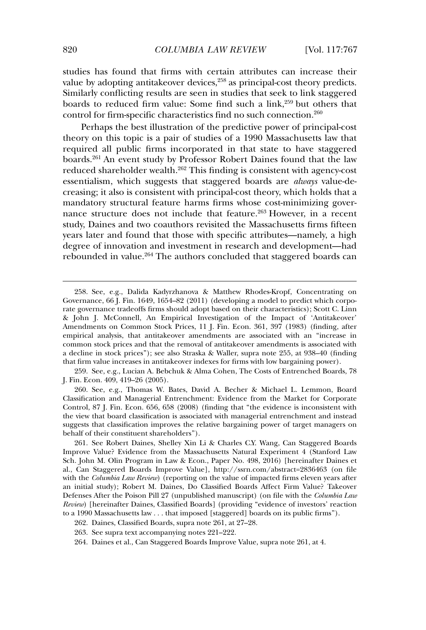studies has found that firms with certain attributes can increase their value by adopting antitakeover devices, $258$  as principal-cost theory predicts. Similarly conflicting results are seen in studies that seek to link staggered boards to reduced firm value: Some find such a link,<sup>259</sup> but others that control for firm-specific characteristics find no such connection.<sup>260</sup>

Perhaps the best illustration of the predictive power of principal-cost theory on this topic is a pair of studies of a 1990 Massachusetts law that required all public firms incorporated in that state to have staggered boards.<sup>261</sup> An event study by Professor Robert Daines found that the law reduced shareholder wealth.<sup>262</sup> This finding is consistent with agency-cost essentialism, which suggests that staggered boards are *always* value-decreasing; it also is consistent with principal-cost theory, which holds that a mandatory structural feature harms firms whose cost-minimizing governance structure does not include that feature.<sup>263</sup> However, in a recent study, Daines and two coauthors revisited the Massachusetts firms fifteen years later and found that those with specific attributes—namely, a high degree of innovation and investment in research and development—had rebounded in value.<sup>264</sup> The authors concluded that staggered boards can

259. See, e.g., Lucian A. Bebchuk & Alma Cohen, The Costs of Entrenched Boards, 78 J. Fin. Econ. 409, 419–26 (2005).

260. See, e.g., Thomas W. Bates, David A. Becher & Michael L. Lemmon, Board Classification and Managerial Entrenchment: Evidence from the Market for Corporate Control, 87 J. Fin. Econ. 656, 658 (2008) (finding that "the evidence is inconsistent with the view that board classification is associated with managerial entrenchment and instead suggests that classification improves the relative bargaining power of target managers on behalf of their constituent shareholders").

261. See Robert Daines, Shelley Xin Li & Charles C.Y. Wang, Can Staggered Boards Improve Value? Evidence from the Massachusetts Natural Experiment 4 (Stanford Law Sch. John M. Olin Program in Law & Econ., Paper No. 498, 2016) [hereinafter Daines et al., Can Staggered Boards Improve Value], http://ssrn.com/abstract=2836463 (on file with the *Columbia Law Review*) (reporting on the value of impacted firms eleven years after an initial study); Robert M. Daines, Do Classified Boards Affect Firm Value? Takeover Defenses After the Poison Pill 27 (unpublished manuscript) (on file with the *Columbia Law Review*) [hereinafter Daines, Classified Boards] (providing "evidence of investors' reaction to a 1990 Massachusetts law . . . that imposed [staggered] boards on its public firms").

<sup>258.</sup> See, e.g., Dalida Kadyrzhanova & Matthew Rhodes-Kropf, Concentrating on Governance, 66 J. Fin. 1649, 1654–82 (2011) (developing a model to predict which corporate governance tradeoffs firms should adopt based on their characteristics); Scott C. Linn & John J. McConnell, An Empirical Investigation of the Impact of 'Antitakeover' Amendments on Common Stock Prices, 11 J. Fin. Econ. 361, 397 (1983) (finding, after empirical analysis, that antitakeover amendments are associated with an "increase in common stock prices and that the removal of antitakeover amendments is associated with a decline in stock prices"); see also Straska & Waller, supra note 255, at 938–40 (finding that firm value increases in antitakeover indexes for firms with low bargaining power).

<sup>262.</sup> Daines, Classified Boards, supra note 261, at 27–28.

<sup>263.</sup> See supra text accompanying notes 221–222.

<sup>264.</sup> Daines et al., Can Staggered Boards Improve Value, supra note 261, at 4.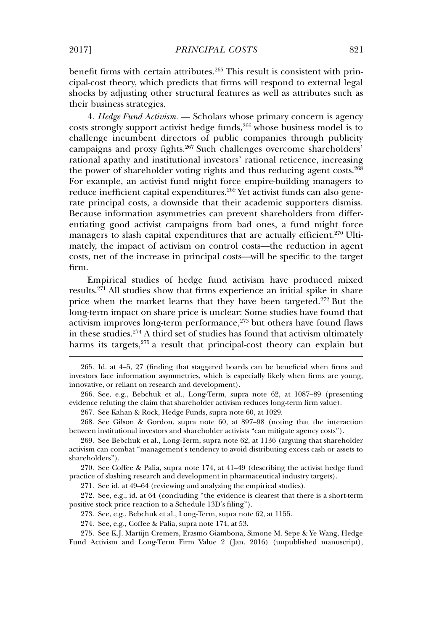benefit firms with certain attributes.<sup>265</sup> This result is consistent with principal-cost theory, which predicts that firms will respond to external legal shocks by adjusting other structural features as well as attributes such as their business strategies.

4. *Hedge Fund Activism.* — Scholars whose primary concern is agency costs strongly support activist hedge funds,<sup>266</sup> whose business model is to challenge incumbent directors of public companies through publicity campaigns and proxy fights.<sup>267</sup> Such challenges overcome shareholders' rational apathy and institutional investors' rational reticence, increasing the power of shareholder voting rights and thus reducing agent costs.<sup>268</sup> For example, an activist fund might force empire-building managers to reduce inefficient capital expenditures.<sup>269</sup> Yet activist funds can also generate principal costs, a downside that their academic supporters dismiss. Because information asymmetries can prevent shareholders from differentiating good activist campaigns from bad ones, a fund might force managers to slash capital expenditures that are actually efficient.<sup>270</sup> Ultimately, the impact of activism on control costs—the reduction in agent costs, net of the increase in principal costs—will be specific to the target firm.

Empirical studies of hedge fund activism have produced mixed results.<sup>271</sup> All studies show that firms experience an initial spike in share price when the market learns that they have been targeted.<sup>272</sup> But the long-term impact on share price is unclear: Some studies have found that activism improves long-term performance,<sup>273</sup> but others have found flaws in these studies.<sup>274</sup> A third set of studies has found that activism ultimately harms its targets, $275$  a result that principal-cost theory can explain but

267. See Kahan & Rock, Hedge Funds, supra note 60, at 1029.

270. See Coffee & Palia, supra note 174, at 41–49 (describing the activist hedge fund practice of slashing research and development in pharmaceutical industry targets).

271. See id. at 49–64 (reviewing and analyzing the empirical studies).

272. See, e.g., id. at 64 (concluding "the evidence is clearest that there is a short-term positive stock price reaction to a Schedule 13D's filing").

273. See, e.g., Bebchuk et al., Long-Term, supra note 62, at 1155.

274. See, e.g., Coffee & Palia, supra note 174, at 53.

275. See K.J. Martijn Cremers, Erasmo Giambona, Simone M. Sepe & Ye Wang, Hedge Fund Activism and Long-Term Firm Value 2 (Jan. 2016) (unpublished manuscript),

<sup>265.</sup> Id. at 4–5, 27 (finding that staggered boards can be beneficial when firms and investors face information asymmetries, which is especially likely when firms are young, innovative, or reliant on research and development).

<sup>266.</sup> See, e.g., Bebchuk et al., Long-Term, supra note 62, at 1087–89 (presenting evidence refuting the claim that shareholder activism reduces long-term firm value).

<sup>268.</sup> See Gilson & Gordon, supra note 60, at 897–98 (noting that the interaction between institutional investors and shareholder activists "can mitigate agency costs").

<sup>269.</sup> See Bebchuk et al., Long-Term, supra note 62, at 1136 (arguing that shareholder activism can combat "management's tendency to avoid distributing excess cash or assets to shareholders").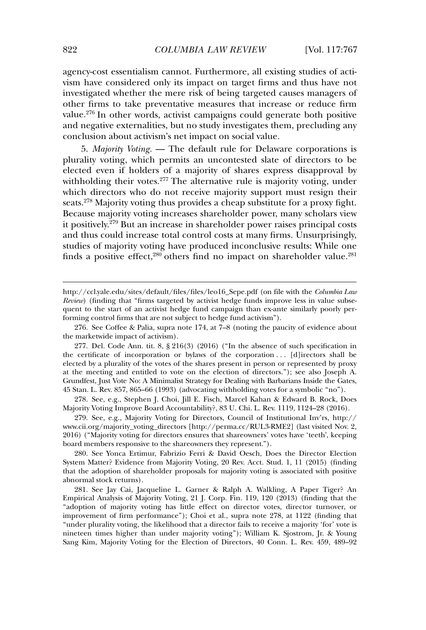agency-cost essentialism cannot. Furthermore, all existing studies of activism have considered only its impact on target firms and thus have not investigated whether the mere risk of being targeted causes managers of other firms to take preventative measures that increase or reduce firm value.<sup>276</sup> In other words, activist campaigns could generate both positive and negative externalities, but no study investigates them, precluding any conclusion about activism's net impact on social value.

5. *Majority Voting.* — The default rule for Delaware corporations is plurality voting, which permits an uncontested slate of directors to be elected even if holders of a majority of shares express disapproval by withholding their votes. $277$  The alternative rule is majority voting, under which directors who do not receive majority support must resign their seats.<sup>278</sup> Majority voting thus provides a cheap substitute for a proxy fight. Because majority voting increases shareholder power, many scholars view it positively.<sup>279</sup> But an increase in shareholder power raises principal costs and thus could increase total control costs at many firms. Unsurprisingly, studies of majority voting have produced inconclusive results: While one finds a positive effect, $280$  others find no impact on shareholder value. $281$ 

279. See, e.g., Majority Voting for Directors, Council of Institutional Inv'rs, http:// www.cii.org/majority\_voting\_directors [http://perma.cc/RUL3-RME2] (last visited Nov. 2, 2016) ("Majority voting for directors ensures that shareowners' votes have 'teeth', keeping board members responsive to the shareowners they represent.").

280. See Yonca Ertimur, Fabrizio Ferri & David Oesch, Does the Director Election System Matter? Evidence from Majority Voting, 20 Rev. Acct. Stud. 1, 11 (2015) (finding that the adoption of shareholder proposals for majority voting is associated with positive abnormal stock returns).

281. See Jay Cai, Jacqueline L. Garner & Ralph A. Walkling, A Paper Tiger? An Empirical Analysis of Majority Voting, 21 J. Corp. Fin. 119, 120 (2013) (finding that the "adoption of majority voting has little effect on director votes, director turnover, or improvement of firm performance"); Choi et al., supra note 278, at 1122 (finding that "under plurality voting, the likelihood that a director fails to receive a majority 'for' vote is nineteen times higher than under majority voting"); William K. Sjostrom, Jr. & Young Sang Kim, Majority Voting for the Election of Directors, 40 Conn. L. Rev. 459, 489–92

http://ccl.yale.edu/sites/default/files/files/leo16\_Sepe.pdf (on file with the *Columbia Law Review*) (finding that "firms targeted by activist hedge funds improve less in value subsequent to the start of an activist hedge fund campaign than ex-ante similarly poorly performing control firms that are not subject to hedge fund activism").

<sup>276.</sup> See Coffee & Palia, supra note 174, at 7–8 (noting the paucity of evidence about the marketwide impact of activism).

<sup>277.</sup> Del. Code Ann. tit. 8,  $\S 216(3)$  (2016) ("In the absence of such specification in the certificate of incorporation or bylaws of the corporation . . . [d]irectors shall be elected by a plurality of the votes of the shares present in person or represented by proxy at the meeting and entitled to vote on the election of directors."); see also Joseph A. Grundfest, Just Vote No: A Minimalist Strategy for Dealing with Barbarians Inside the Gates, 45 Stan. L. Rev. 857, 865–66 (1993) (advocating withholding votes for a symbolic "no").

<sup>278.</sup> See, e.g., Stephen J. Choi, Jill E. Fisch, Marcel Kahan & Edward B. Rock, Does Majority Voting Improve Board Accountability?, 83 U. Chi. L. Rev. 1119, 1124–28 (2016).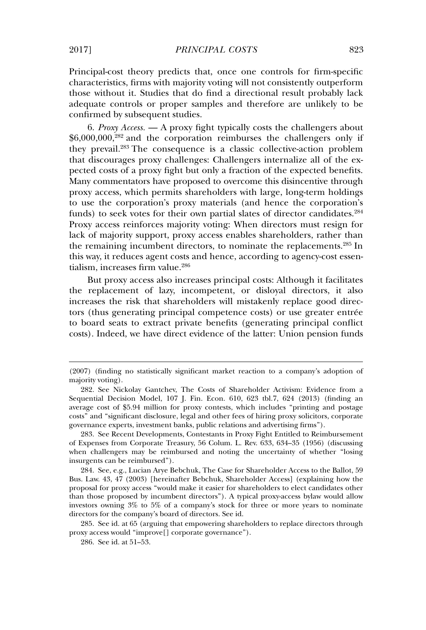Principal-cost theory predicts that, once one controls for firm-specific characteristics, firms with majority voting will not consistently outperform those without it. Studies that do find a directional result probably lack adequate controls or proper samples and therefore are unlikely to be confirmed by subsequent studies.

6. *Proxy Access.* — A proxy fight typically costs the challengers about  $$6,000,000,382$  and the corporation reimburses the challengers only if they prevail.<sup>283</sup> The consequence is a classic collective-action problem that discourages proxy challenges: Challengers internalize all of the expected costs of a proxy fight but only a fraction of the expected benefits. Many commentators have proposed to overcome this disincentive through proxy access, which permits shareholders with large, long-term holdings to use the corporation's proxy materials (and hence the corporation's funds) to seek votes for their own partial slates of director candidates.<sup>284</sup> Proxy access reinforces majority voting: When directors must resign for lack of majority support, proxy access enables shareholders, rather than the remaining incumbent directors, to nominate the replacements.<sup>285</sup> In this way, it reduces agent costs and hence, according to agency-cost essentialism, increases firm value.<sup>286</sup>

But proxy access also increases principal costs: Although it facilitates the replacement of lazy, incompetent, or disloyal directors, it also increases the risk that shareholders will mistakenly replace good directors (thus generating principal competence costs) or use greater entrée to board seats to extract private benefits (generating principal conflict costs). Indeed, we have direct evidence of the latter: Union pension funds

<sup>(2007) (</sup>finding no statistically significant market reaction to a company's adoption of majority voting).

<sup>282.</sup> See Nickolay Gantchev, The Costs of Shareholder Activism: Evidence from a Sequential Decision Model, 107 J. Fin. Econ. 610, 623 tbl.7, 624 (2013) (finding an average cost of \$5.94 million for proxy contests, which includes "printing and postage costs" and "significant disclosure, legal and other fees of hiring proxy solicitors, corporate governance experts, investment banks, public relations and advertising firms").

<sup>283.</sup> See Recent Developments, Contestants in Proxy Fight Entitled to Reimbursement of Expenses from Corporate Treasury, 56 Colum. L. Rev. 633, 634–35 (1956) (discussing when challengers may be reimbursed and noting the uncertainty of whether "losing insurgents can be reimbursed").

<sup>284.</sup> See, e.g., Lucian Arye Bebchuk, The Case for Shareholder Access to the Ballot, 59 Bus. Law. 43, 47 (2003) [hereinafter Bebchuk, Shareholder Access] (explaining how the proposal for proxy access "would make it easier for shareholders to elect candidates other than those proposed by incumbent directors"). A typical proxy-access bylaw would allow investors owning 3% to 5% of a company's stock for three or more years to nominate directors for the company's board of directors. See id.

<sup>285.</sup> See id. at 65 (arguing that empowering shareholders to replace directors through proxy access would "improve[] corporate governance").

<sup>286.</sup> See id. at 51–53.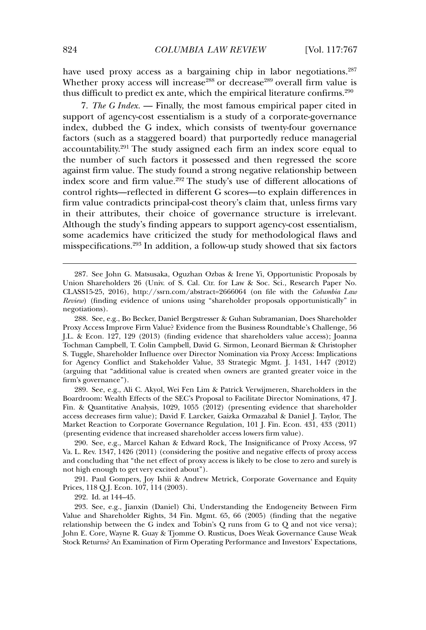have used proxy access as a bargaining chip in labor negotiations.<sup>287</sup> Whether proxy access will increase<sup>288</sup> or decrease<sup>289</sup> overall firm value is thus difficult to predict ex ante, which the empirical literature confirms.<sup>290</sup>

7. *The G Index.* — Finally, the most famous empirical paper cited in support of agency-cost essentialism is a study of a corporate-governance index, dubbed the G index, which consists of twenty-four governance factors (such as a staggered board) that purportedly reduce managerial accountability.<sup>291</sup> The study assigned each firm an index score equal to the number of such factors it possessed and then regressed the score against firm value. The study found a strong negative relationship between index score and firm value.<sup>292</sup> The study's use of different allocations of control rights—reflected in different G scores—to explain differences in firm value contradicts principal-cost theory's claim that, unless firms vary in their attributes, their choice of governance structure is irrelevant. Although the study's finding appears to support agency-cost essentialism, some academics have criticized the study for methodological flaws and misspecifications.<sup>293</sup> In addition, a follow-up study showed that six factors

289. See, e.g., Ali C. Akyol, Wei Fen Lim & Patrick Verwijmeren, Shareholders in the Boardroom: Wealth Effects of the SEC's Proposal to Facilitate Director Nominations, 47 J. Fin. & Quantitative Analysis, 1029, 1055 (2012) (presenting evidence that shareholder access decreases firm value); David F. Larcker, Gaizka Ormazabal & Daniel J. Taylor, The Market Reaction to Corporate Governance Regulation, 101 J. Fin. Econ. 431, 433 (2011) (presenting evidence that increased shareholder access lowers firm value).

290. See, e.g., Marcel Kahan & Edward Rock, The Insignificance of Proxy Access, 97 Va. L. Rev. 1347, 1426 (2011) (considering the positive and negative effects of proxy access and concluding that "the net effect of proxy access is likely to be close to zero and surely is not high enough to get very excited about").

291. Paul Gompers, Joy Ishii & Andrew Metrick, Corporate Governance and Equity Prices, 118 Q.J. Econ. 107, 114 (2003).

292. Id. at 144–45.

293. See, e.g., Jianxin (Daniel) Chi, Understanding the Endogeneity Between Firm Value and Shareholder Rights, 34 Fin. Mgmt. 65, 66 (2005) (finding that the negative relationship between the G index and Tobin's Q runs from G to Q and not vice versa); John E. Core, Wayne R. Guay & Tjomme O. Rusticus, Does Weak Governance Cause Weak Stock Returns? An Examination of Firm Operating Performance and Investors' Expectations,

<sup>287.</sup> See John G. Matsusaka, Oguzhan Ozbas & Irene Yi, Opportunistic Proposals by Union Shareholders 26 (Univ. of S. Cal. Ctr. for Law & Soc. Sci., Research Paper No. CLASS15-25, 2016), http://ssrn.com/abstract=2666064 (on file with the *Columbia Law Review*) (finding evidence of unions using "shareholder proposals opportunistically" in negotiations).

<sup>288.</sup> See, e.g., Bo Becker, Daniel Bergstresser & Guhan Subramanian, Does Shareholder Proxy Access Improve Firm Value? Evidence from the Business Roundtable's Challenge, 56 J.L. & Econ. 127, 129 (2013) (finding evidence that shareholders value access); Joanna Tochman Campbell, T. Colin Campbell, David G. Sirmon, Leonard Bierman & Christopher S. Tuggle, Shareholder Influence over Director Nomination via Proxy Access: Implications for Agency Conflict and Stakeholder Value, 33 Strategic Mgmt. J. 1431, 1447 (2012) (arguing that "additional value is created when owners are granted greater voice in the firm's governance").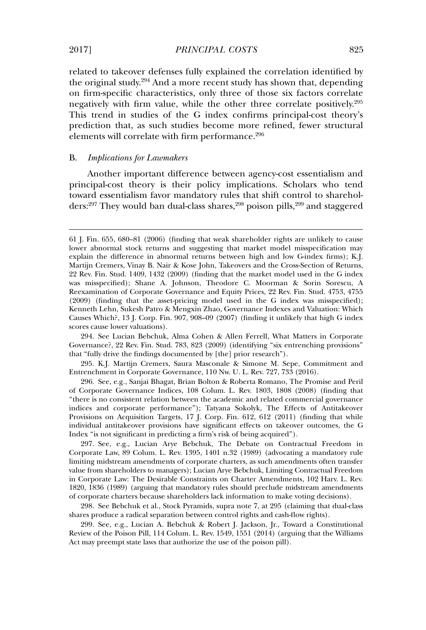related to takeover defenses fully explained the correlation identified by the original study.<sup>294</sup> And a more recent study has shown that, depending on firm-specific characteristics, only three of those six factors correlate negatively with firm value, while the other three correlate positively.<sup>295</sup> This trend in studies of the G index confirms principal-cost theory's prediction that, as such studies become more refined, fewer structural elements will correlate with firm performance.<sup>296</sup>

#### B. *Implications for Lawmakers*

Another important difference between agency-cost essentialism and principal-cost theory is their policy implications. Scholars who tend toward essentialism favor mandatory rules that shift control to shareholders: $297$  They would ban dual-class shares, $298$  poison pills,  $299$  and staggered

294. See Lucian Bebchuk, Alma Cohen & Allen Ferrell, What Matters in Corporate Governance?, 22 Rev. Fin. Stud. 783, 823 (2009) (identifying "six entrenching provisions" that "fully drive the findings documented by [the] prior research").

295. K.J. Martijn Cremers, Saura Masconale & Simone M. Sepe, Commitment and Entrenchment in Corporate Governance, 110 Nw. U. L. Rev. 727, 733 (2016).

296. See, e.g., Sanjai Bhagat, Brian Bolton & Roberta Romano, The Promise and Peril of Corporate Governance Indices, 108 Colum. L. Rev. 1803, 1808 (2008) (finding that "there is no consistent relation between the academic and related commercial governance indices and corporate performance"); Tatyana Sokolyk, The Effects of Antitakeover Provisions on Acquisition Targets, 17 J. Corp. Fin. 612, 612 (2011) (finding that while individual antitakeover provisions have significant effects on takeover outcomes, the G Index "is not significant in predicting a firm's risk of being acquired").

297. See, e.g., Lucian Arye Bebchuk, The Debate on Contractual Freedom in Corporate Law, 89 Colum. L. Rev. 1395, 1401 n.32 (1989) (advocating a mandatory rule limiting midstream amendments of corporate charters, as such amendments often transfer value from shareholders to managers); Lucian Arye Bebchuk, Limiting Contractual Freedom in Corporate Law: The Desirable Constraints on Charter Amendments, 102 Harv. L. Rev. 1820, 1836 (1989) (arguing that mandatory rules should preclude midstream amendments of corporate charters because shareholders lack information to make voting decisions).

298. See Bebchuk et al., Stock Pyramids, supra note 7, at 295 (claiming that dual-class shares produce a radical separation between control rights and cash-flow rights).

299. See, e.g., Lucian A. Bebchuk & Robert J. Jackson, Jr., Toward a Constitutional Review of the Poison Pill, 114 Colum. L. Rev. 1549, 1551 (2014) (arguing that the Williams Act may preempt state laws that authorize the use of the poison pill).

<sup>61</sup> J. Fin. 655, 680–81 (2006) (finding that weak shareholder rights are unlikely to cause lower abnormal stock returns and suggesting that market model misspecification may explain the difference in abnormal returns between high and low G-index firms); K.J. Martijn Cremers, Vinay B. Nair & Kose John, Takeovers and the Cross-Section of Returns, 22 Rev. Fin. Stud. 1409, 1432 (2009) (finding that the market model used in the G index was misspecified); Shane A. Johnson, Theodore C. Moorman & Sorin Sorescu, A Reexamination of Corporate Governance and Equity Prices, 22 Rev. Fin. Stud. 4753, 4755 (2009) (finding that the asset-pricing model used in the G index was misspecified); Kenneth Lehn, Sukesh Patro & Mengxin Zhao, Governance Indexes and Valuation: Which Causes Which?, 13 J. Corp. Fin. 907, 908–09 (2007) (finding it unlikely that high G index scores cause lower valuations).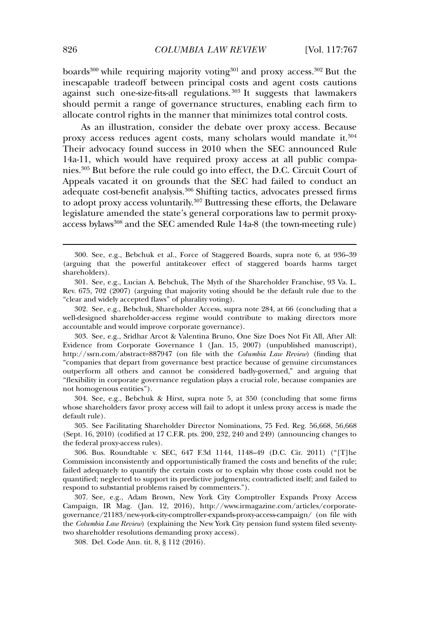boards<sup>300</sup> while requiring majority voting<sup>301</sup> and proxy access.<sup>302</sup> But the inescapable tradeoff between principal costs and agent costs cautions against such one-size-fits-all regulations. <sup>303</sup> It suggests that lawmakers should permit a range of governance structures, enabling each firm to allocate control rights in the manner that minimizes total control costs.

As an illustration, consider the debate over proxy access. Because proxy access reduces agent costs, many scholars would mandate it.<sup>304</sup> Their advocacy found success in 2010 when the SEC announced Rule 14a-11, which would have required proxy access at all public companies.<sup>305</sup> But before the rule could go into effect, the D.C. Circuit Court of Appeals vacated it on grounds that the SEC had failed to conduct an adequate cost-benefit analysis.<sup>306</sup> Shifting tactics, advocates pressed firms to adopt proxy access voluntarily.<sup>307</sup> Buttressing these efforts, the Delaware legislature amended the state's general corporations law to permit proxyaccess bylaws<sup>308</sup> and the SEC amended Rule 14a-8 (the town-meeting rule)

308. Del. Code Ann. tit. 8, § 112 (2016).

<sup>300.</sup> See, e.g., Bebchuk et al., Force of Staggered Boards, supra note 6, at 936–39 (arguing that the powerful antitakeover effect of staggered boards harms target shareholders).

<sup>301.</sup> See, e.g., Lucian A. Bebchuk, The Myth of the Shareholder Franchise, 93 Va. L. Rev. 675, 702 (2007) (arguing that majority voting should be the default rule due to the "clear and widely accepted flaws" of plurality voting).

<sup>302.</sup> See, e.g., Bebchuk, Shareholder Access, supra note 284, at 66 (concluding that a well-designed shareholder-access regime would contribute to making directors more accountable and would improve corporate governance).

<sup>303.</sup> See, e.g., Sridhar Arcot & Valentina Bruno, One Size Does Not Fit All, After All: Evidence from Corporate Governance 1 (Jan. 15, 2007) (unpublished manuscript), http://ssrn.com/abstract=887947 (on file with the *Columbia Law Review*) (finding that "companies that depart from governance best practice because of genuine circumstances outperform all others and cannot be considered badly-governed," and arguing that "flexibility in corporate governance regulation plays a crucial role, because companies are not homogenous entities").

<sup>304.</sup> See, e.g., Bebchuk & Hirst, supra note 5, at 350 (concluding that some firms whose shareholders favor proxy access will fail to adopt it unless proxy access is made the default rule).

<sup>305.</sup> See Facilitating Shareholder Director Nominations, 75 Fed. Reg. 56,668, 56,668 (Sept. 16, 2010) (codified at 17 C.F.R. pts. 200, 232, 240 and 249) (announcing changes to the federal proxy-access rules).

<sup>306.</sup> Bus. Roundtable v. SEC, 647 F.3d 1144, 1148–49 (D.C. Cir. 2011) ("[T]he Commission inconsistently and opportunistically framed the costs and benefits of the rule; failed adequately to quantify the certain costs or to explain why those costs could not be quantified; neglected to support its predictive judgments; contradicted itself; and failed to respond to substantial problems raised by commenters.").

<sup>307.</sup> See, e.g., Adam Brown, New York City Comptroller Expands Proxy Access Campaign, IR Mag. ( Jan. 12, 2016), http://www.irmagazine.com/articles/corporategovernance/21183/new-york-city-comptroller-expands-proxy-access-campaign/ (on file with the *Columbia Law Review*) (explaining the New York City pension fund system filed seventytwo shareholder resolutions demanding proxy access).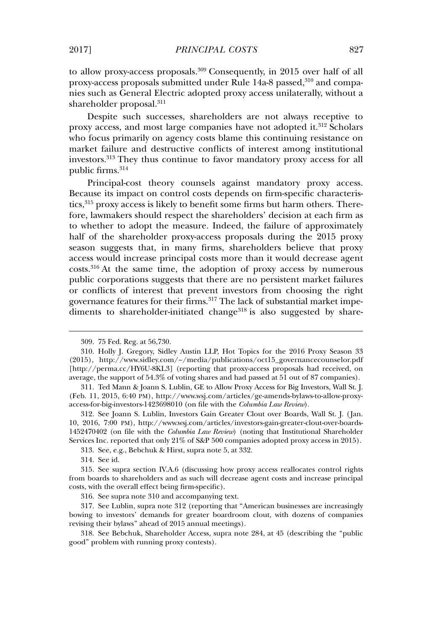to allow proxy-access proposals.<sup>309</sup> Consequently, in 2015 over half of all proxy-access proposals submitted under Rule 14a-8 passed,<sup>310</sup> and companies such as General Electric adopted proxy access unilaterally, without a shareholder proposal.<sup>311</sup>

Despite such successes, shareholders are not always receptive to proxy access, and most large companies have not adopted it.<sup>312</sup> Scholars who focus primarily on agency costs blame this continuing resistance on market failure and destructive conflicts of interest among institutional investors.<sup>313</sup> They thus continue to favor mandatory proxy access for all public firms.<sup>314</sup>

Principal-cost theory counsels against mandatory proxy access. Because its impact on control costs depends on firm-specific characteristics,<sup>315</sup> proxy access is likely to benefit some firms but harm others. Therefore, lawmakers should respect the shareholders' decision at each firm as to whether to adopt the measure. Indeed, the failure of approximately half of the shareholder proxy-access proposals during the 2015 proxy season suggests that, in many firms, shareholders believe that proxy access would increase principal costs more than it would decrease agent costs.<sup>316</sup> At the same time, the adoption of proxy access by numerous public corporations suggests that there are no persistent market failures or conflicts of interest that prevent investors from choosing the right governance features for their firms.<sup>317</sup> The lack of substantial market impediments to shareholder-initiated change<sup>318</sup> is also suggested by share-

<sup>309. 75</sup> Fed. Reg. at 56,730.

<sup>310.</sup> Holly J. Gregory, Sidley Austin LLP, Hot Topics for the 2016 Proxy Season 33 (2015), http://www.sidley.com/~/media/publications/oct15\_governancecounselor.pdf [http://perma.cc/HY6U-8KL3] (reporting that proxy-access proposals had received, on average, the support of 54.3% of voting shares and had passed at 51 out of 87 companies).

<sup>311.</sup> Ted Mann & Joann S. Lublin, GE to Allow Proxy Access for Big Investors, Wall St. J. (Feb. 11, 2015, 6:40 PM), http://www.wsj.com/articles/ge-amends-bylaws-to-allow-proxyaccess-for-big-investors-1423698010 (on file with the *Columbia Law Review*).

<sup>312.</sup> See Joann S. Lublin, Investors Gain Greater Clout over Boards, Wall St. J. ( Jan. 10, 2016, 7:00 PM), http://www.wsj.com/articles/investors-gain-greater-clout-over-boards-1452470402 (on file with the *Columbia Law Review*) (noting that Institutional Shareholder Services Inc. reported that only 21% of S&P 500 companies adopted proxy access in 2015).

<sup>313.</sup> See, e.g., Bebchuk & Hirst, supra note 5, at 332.

<sup>314.</sup> See id.

<sup>315.</sup> See supra section IV.A.6 (discussing how proxy access reallocates control rights from boards to shareholders and as such will decrease agent costs and increase principal costs, with the overall effect being firm-specific).

<sup>316.</sup> See supra note 310 and accompanying text.

<sup>317.</sup> See Lublin, supra note 312 (reporting that "American businesses are increasingly bowing to investors' demands for greater boardroom clout, with dozens of companies revising their bylaws" ahead of 2015 annual meetings).

<sup>318.</sup> See Bebchuk, Shareholder Access, supra note 284, at 45 (describing the "public good" problem with running proxy contests).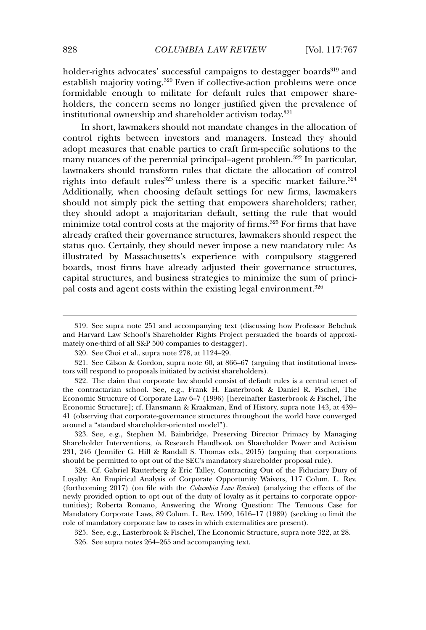holder-rights advocates' successful campaigns to destagger boards<sup>319</sup> and establish majority voting.<sup>320</sup> Even if collective-action problems were once formidable enough to militate for default rules that empower shareholders, the concern seems no longer justified given the prevalence of institutional ownership and shareholder activism today.<sup>321</sup>

In short, lawmakers should not mandate changes in the allocation of control rights between investors and managers. Instead they should adopt measures that enable parties to craft firm-specific solutions to the many nuances of the perennial principal–agent problem.<sup>322</sup> In particular, lawmakers should transform rules that dictate the allocation of control rights into default rules<sup>323</sup> unless there is a specific market failure.<sup>324</sup> Additionally, when choosing default settings for new firms, lawmakers should not simply pick the setting that empowers shareholders; rather, they should adopt a majoritarian default, setting the rule that would minimize total control costs at the majority of firms.<sup>325</sup> For firms that have already crafted their governance structures, lawmakers should respect the status quo. Certainly, they should never impose a new mandatory rule: As illustrated by Massachusetts's experience with compulsory staggered boards, most firms have already adjusted their governance structures, capital structures, and business strategies to minimize the sum of principal costs and agent costs within the existing legal environment.<sup>326</sup>

323. See, e.g., Stephen M. Bainbridge, Preserving Director Primacy by Managing Shareholder Interventions, *in* Research Handbook on Shareholder Power and Activism 231, 246 ( Jennifer G. Hill & Randall S. Thomas eds., 2015) (arguing that corporations should be permitted to opt out of the SEC's mandatory shareholder proposal rule).

324. Cf. Gabriel Rauterberg & Eric Talley, Contracting Out of the Fiduciary Duty of Loyalty: An Empirical Analysis of Corporate Opportunity Waivers, 117 Colum. L. Rev. (forthcoming 2017) (on file with the *Columbia Law Review*) (analyzing the effects of the newly provided option to opt out of the duty of loyalty as it pertains to corporate opportunities); Roberta Romano, Answering the Wrong Question: The Tenuous Case for Mandatory Corporate Laws, 89 Colum. L. Rev. 1599, 1616–17 (1989) (seeking to limit the role of mandatory corporate law to cases in which externalities are present).

325. See, e.g., Easterbrook & Fischel, The Economic Structure, supra note 322, at 28. 326. See supra notes 264–265 and accompanying text.

<sup>319.</sup> See supra note 251 and accompanying text (discussing how Professor Bebchuk and Harvard Law School's Shareholder Rights Project persuaded the boards of approximately one-third of all S&P 500 companies to destagger).

<sup>320.</sup> See Choi et al., supra note 278, at 1124–29.

<sup>321.</sup> See Gilson & Gordon, supra note 60, at 866–67 (arguing that institutional investors will respond to proposals initiated by activist shareholders).

<sup>322.</sup> The claim that corporate law should consist of default rules is a central tenet of the contractarian school. See, e.g., Frank H. Easterbrook & Daniel R. Fischel, The Economic Structure of Corporate Law 6–7 (1996) [hereinafter Easterbrook & Fischel, The Economic Structure]; cf. Hansmann & Kraakman, End of History, supra note 143, at 439– 41 (observing that corporate-governance structures throughout the world have converged around a "standard shareholder-oriented model").